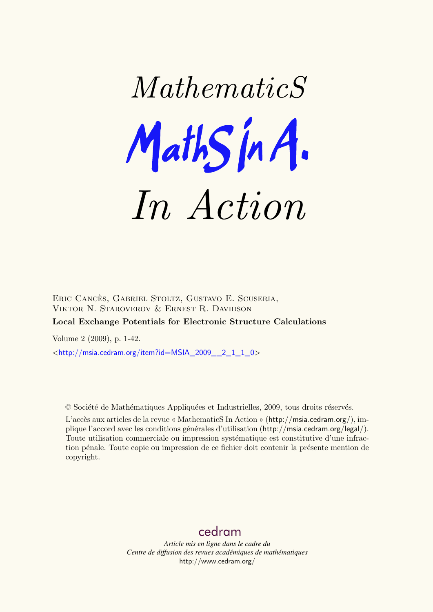

Eric Cancès, Gabriel Stoltz, Gustavo E. Scuseria, Viktor N. Staroverov & Ernest R. Davidson

# **Local Exchange Potentials for Electronic Structure Calculations**

Volume 2 (2009), p. 1-42.

 $\lt$ [http://msia.cedram.org/item?id=MSIA\\_2009\\_\\_2\\_1\\_1\\_0](http://msia.cedram.org/item?id=MSIA_2009__2_1_1_0)>

© Société de Mathématiques Appliquées et Industrielles, 2009, tous droits réservés.

L'accès aux articles de la revue « MathematicS In Action » (<http://msia.cedram.org/>), implique l'accord avec les conditions générales d'utilisation (<http://msia.cedram.org/legal/>). Toute utilisation commerciale ou impression systématique est constitutive d'une infraction pénale. Toute copie ou impression de ce fichier doit contenir la présente mention de copyright.

# [cedram](http://www.cedram.org/)

*Article mis en ligne dans le cadre du Centre de diffusion des revues académiques de mathématiques* <http://www.cedram.org/>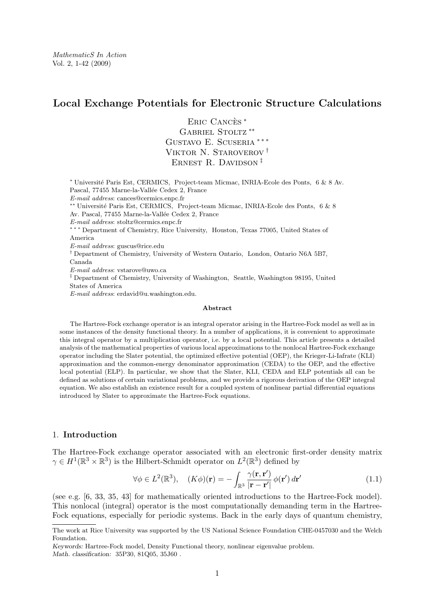# **Local Exchange Potentials for Electronic Structure Calculations**

Eric Cancès <sup>∗</sup> GABRIEL STOLTZ<sup>\*\*</sup> GUSTAVO E. SCUSERIA \*\*\* Viktor N. Staroverov † ERNEST R. DAVIDSON<sup> $<sup>‡</sup>$ </sup></sup>

<sup>∗</sup> Université Paris Est, CERMICS, Project-team Micmac, INRIA-Ecole des Ponts, 6 & 8 Av. Pascal, 77455 Marne-la-Vallée Cedex 2, France *E-mail address*: [cances@cermics.enpc.fr](mailto:cances@cermics.enpc.fr) ∗∗ Université Paris Est, CERMICS, Project-team Micmac, INRIA-Ecole des Ponts, 6 & 8 Av. Pascal, 77455 Marne-la-Vallée Cedex 2, France *E-mail address*: [stoltz@cermics.enpc.fr](mailto:stoltz@cermics.enpc.fr) ∗ ∗ ∗ Department of Chemistry, Rice University, Houston, Texas 77005, United States of America *E-mail address*: [guscus@rice.edu](mailto:guscus@rice.edu) † Department of Chemistry, University of Western Ontario, London, Ontario N6A 5B7, Canada *E-mail address*: [vstarove@uwo.ca](mailto:vstarove@uwo.ca) ‡ Department of Chemistry, University of Washington, Seattle, Washington 98195, United States of America *E-mail address*: [erdavid@u.washington.edu.](mailto:erdavid@u.washington.edu)

#### **Abstract**

The Hartree-Fock exchange operator is an integral operator arising in the Hartree-Fock model as well as in some instances of the density functional theory. In a number of applications, it is convenient to approximate this integral operator by a multiplication operator, i.e. by a local potential. This article presents a detailed analysis of the mathematical properties of various local approximations to the nonlocal Hartree-Fock exchange operator including the Slater potential, the optimized effective potential (OEP), the Krieger-Li-Iafrate (KLI) approximation and the common-energy denominator approximation (CEDA) to the OEP, and the effective local potential (ELP). In particular, we show that the Slater, KLI, CEDA and ELP potentials all can be defined as solutions of certain variational problems, and we provide a rigorous derivation of the OEP integral equation. We also establish an existence result for a coupled system of nonlinear partial differential equations introduced by Slater to approximate the Hartree-Fock equations.

# 1. **Introduction**

The Hartree-Fock exchange operator associated with an electronic first-order density matrix  $\gamma \in H^1(\mathbb{R}^3 \times \mathbb{R}^3)$  is the Hilbert-Schmidt operator on  $L^2(\mathbb{R}^3)$  defined by

$$
\forall \phi \in L^{2}(\mathbb{R}^{3}), \quad (K\phi)(\mathbf{r}) = -\int_{\mathbb{R}^{3}} \frac{\gamma(\mathbf{r}, \mathbf{r}')}{|\mathbf{r} - \mathbf{r}'|} \phi(\mathbf{r}') d\mathbf{r}' \qquad (1.1)
$$

(see e.g. [\[6,](#page-40-0) [33,](#page-41-0) [35,](#page-41-0) [43\]](#page-41-0) for mathematically oriented introductions to the Hartree-Fock model). This nonlocal (integral) operator is the most computationally demanding term in the Hartree-Fock equations, especially for periodic systems. Back in the early days of quantum chemistry,

The work at Rice University was supported by the US National Science Foundation CHE-0457030 and the Welch Foundation.

*Keywords:* Hartree-Fock model, Density Functional theory, nonlinear eigenvalue problem. *Math. classification:* 35P30, 81Q05, 35J60 .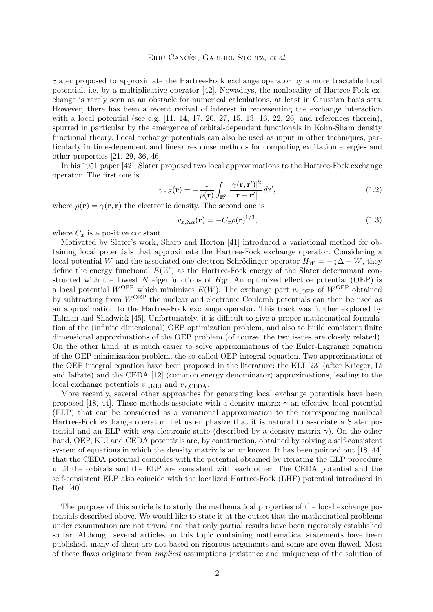#### Eric Cancès, Gabriel Stoltz, *et al.*

<span id="page-2-0"></span>Slater proposed to approximate the Hartree-Fock exchange operator by a more tractable local potential, i.e. by a multiplicative operator [\[42\]](#page-41-0). Nowadays, the nonlocality of Hartree-Fock exchange is rarely seen as an obstacle for numerical calculations, at least in Gaussian basis sets. However, there has been a recent revival of interest in representing the exchange interaction with a local potential (see e.g.  $[11, 14, 17, 20, 27, 15, 13, 16, 22, 26]$  $[11, 14, 17, 20, 27, 15, 13, 16, 22, 26]$  $[11, 14, 17, 20, 27, 15, 13, 16, 22, 26]$  $[11, 14, 17, 20, 27, 15, 13, 16, 22, 26]$  $[11, 14, 17, 20, 27, 15, 13, 16, 22, 26]$  $[11, 14, 17, 20, 27, 15, 13, 16, 22, 26]$  $[11, 14, 17, 20, 27, 15, 13, 16, 22, 26]$  $[11, 14, 17, 20, 27, 15, 13, 16, 22, 26]$  $[11, 14, 17, 20, 27, 15, 13, 16, 22, 26]$  $[11, 14, 17, 20, 27, 15, 13, 16, 22, 26]$  $[11, 14, 17, 20, 27, 15, 13, 16, 22, 26]$  $[11, 14, 17, 20, 27, 15, 13, 16, 22, 26]$  $[11, 14, 17, 20, 27, 15, 13, 16, 22, 26]$  $[11, 14, 17, 20, 27, 15, 13, 16, 22, 26]$  $[11, 14, 17, 20, 27, 15, 13, 16, 22, 26]$  $[11, 14, 17, 20, 27, 15, 13, 16, 22, 26]$  $[11, 14, 17, 20, 27, 15, 13, 16, 22, 26]$  $[11, 14, 17, 20, 27, 15, 13, 16, 22, 26]$  $[11, 14, 17, 20, 27, 15, 13, 16, 22, 26]$  and references therein), spurred in particular by the emergence of orbital-dependent functionals in Kohn-Sham density functional theory. Local exchange potentials can also be used as input in other techniques, particularly in time-dependent and linear response methods for computing excitation energies and other properties [\[21,](#page-41-0) [29,](#page-41-0) [36,](#page-41-0) [46\]](#page-42-0).

In his 1951 paper [\[42\]](#page-41-0), Slater proposed two local approximations to the Hartree-Fock exchange operator. The first one is

$$
v_{x,S}(\mathbf{r}) = -\frac{1}{\rho(\mathbf{r})} \int_{\mathbb{R}^3} \frac{|\gamma(\mathbf{r}, \mathbf{r}')|^2}{|\mathbf{r} - \mathbf{r}'|} d\mathbf{r}',\tag{1.2}
$$

where  $\rho(\mathbf{r}) = \gamma(\mathbf{r}, \mathbf{r})$  the electronic density. The second one is

$$
v_{x,X\alpha}(\mathbf{r}) = -C_x \rho(\mathbf{r})^{1/3},\tag{1.3}
$$

where  $C_x$  is a positive constant.

Motivated by Slater's work, Sharp and Horton [\[41\]](#page-41-0) introduced a variational method for obtaining local potentials that approximate the Hartree-Fock exchange operator. Considering a local potential W and the associated one-electron Schrödinger operator  $H_W = -\frac{1}{2}\Delta + W$ , they define the energy functional  $E(W)$  as the Hartree-Fock energy of the Slater determinant constructed with the lowest N eigenfunctions of  $H_W$ . An optimized effective potential (OEP) is a local potential  $W^{OEP}$  which minimizes  $E(W)$ . The exchange part  $v_{x,OEP}$  of  $W^{OEP}$  obtained by subtracting from  $W^{OEP}$  the nuclear and electronic Coulomb potentials can then be used as an approximation to the Hartree-Fock exchange operator. This track was further explored by Talman and Shadwick [\[45\]](#page-42-0). Unfortunately, it is difficult to give a proper mathematical formulation of the (infinite dimensional) OEP optimization problem, and also to build consistent finite dimensional approximations of the OEP problem (of course, the two issues are closely related). On the other hand, it is much easier to solve approximations of the Euler-Lagrange equation of the OEP minimization problem, the so-called OEP integral equation. Two approximations of the OEP integral equation have been proposed in the literature: the KLI [\[23\]](#page-41-0) (after Krieger, Li and Iafrate) and the CEDA [\[12\]](#page-40-0) (common energy denominator) approximations, leading to the local exchange potentials  $v_{x,\text{KLI}}$  and  $v_{x,\text{CEDA}}$ .

More recently, several other approaches for generating local exchange potentials have been proposed [\[18,](#page-40-0) [44\]](#page-41-0). These methods associate with a density matrix  $\gamma$  an effective local potential (ELP) that can be considered as a variational approximation to the corresponding nonlocal Hartree-Fock exchange operator. Let us emphasize that it is natural to associate a Slater potential and an ELP with *any* electronic state (described by a density matrix  $\gamma$ ). On the other hand, OEP, KLI and CEDA potentials are, by construction, obtained by solving a self-consistent system of equations in which the density matrix is an unknown. It has been pointed out [\[18,](#page-40-0) [44\]](#page-41-0) that the CEDA potential coincides with the potential obtained by iterating the ELP procedure until the orbitals and the ELP are consistent with each other. The CEDA potential and the self-consistent ELP also coincide with the localized Hartree-Fock (LHF) potential introduced in Ref. [\[40\]](#page-41-0)

The purpose of this article is to study the mathematical properties of the local exchange potentials described above. We would like to state it at the outset that the mathematical problems under examination are not trivial and that only partial results have been rigorously established so far. Although several articles on this topic containing mathematical statements have been published, many of them are not based on rigorous arguments and some are even flawed. Most of these flaws originate from *implicit* assumptions (existence and uniqueness of the solution of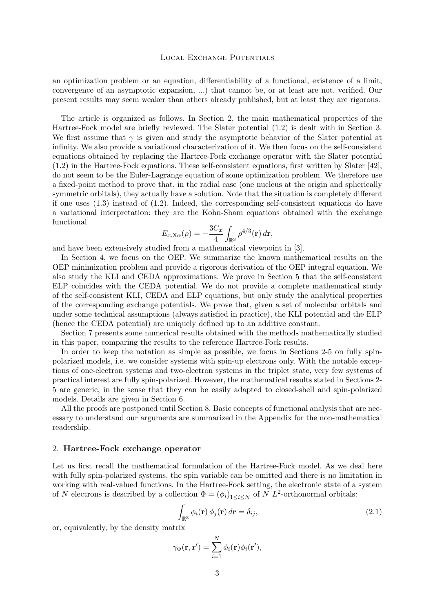<span id="page-3-0"></span>an optimization problem or an equation, differentiability of a functional, existence of a limit, convergence of an asymptotic expansion, ...) that cannot be, or at least are not, verified. Our present results may seem weaker than others already published, but at least they are rigorous.

The article is organized as follows. In Section 2, the main mathematical properties of the Hartree-Fock model are briefly reviewed. The Slater potential [\(1.2\)](#page-2-0) is dealt with in Section [3.](#page-7-0) We first assume that  $\gamma$  is given and study the asymptotic behavior of the Slater potential at infinity. We also provide a variational characterization of it. We then focus on the self-consistent equations obtained by replacing the Hartree-Fock exchange operator with the Slater potential [\(1.2\)](#page-2-0) in the Hartree-Fock equations. These self-consistent equations, first written by Slater [\[42\]](#page-41-0), do not seem to be the Euler-Lagrange equation of some optimization problem. We therefore use a fixed-point method to prove that, in the radial case (one nucleus at the origin and spherically symmetric orbitals), they actually have a solution. Note that the situation is completely different if one uses  $(1.3)$  instead of  $(1.2)$ . Indeed, the corresponding self-consistent equations do have a variational interpretation: they are the Kohn-Sham equations obtained with the exchange functional

$$
E_{x,X\alpha}(\rho) = -\frac{3C_x}{4} \int_{\mathbb{R}^3} \rho^{4/3}(\mathbf{r}) d\mathbf{r},
$$

and have been extensively studied from a mathematical viewpoint in [\[3\]](#page-40-0).

In Section [4,](#page-9-0) we focus on the OEP. We summarize the known mathematical results on the OEP minimization problem and provide a rigorous derivation of the OEP integral equation. We also study the KLI and CEDA approximations. We prove in Section [5](#page-17-0) that the self-consistent ELP coincides with the CEDA potential. We do not provide a complete mathematical study of the self-consistent KLI, CEDA and ELP equations, but only study the analytical properties of the corresponding exchange potentials. We prove that, given a set of molecular orbitals and under some technical assumptions (always satisfied in practice), the KLI potential and the ELP (hence the CEDA potential) are uniquely defined up to an additive constant.

Section [7](#page-20-0) presents some numerical results obtained with the methods mathematically studied in this paper, comparing the results to the reference Hartree-Fock results.

In order to keep the notation as simple as possible, we focus in Sections 2[-5](#page-17-0) on fully spinpolarized models, i.e. we consider systems with spin-up electrons only. With the notable exceptions of one-electron systems and two-electron systems in the triplet state, very few systems of practical interest are fully spin-polarized. However, the mathematical results stated in Sections 2- [5](#page-17-0) are generic, in the sense that they can be easily adapted to closed-shell and spin-polarized models. Details are given in Section [6.](#page-18-0)

All the proofs are postponed until Section [8.](#page-22-0) Basic concepts of functional analysis that are necessary to understand our arguments are summarized in the Appendix for the non-mathematical readership.

# 2. **Hartree-Fock exchange operator**

Let us first recall the mathematical formulation of the Hartree-Fock model. As we deal here with fully spin-polarized systems, the spin variable can be omitted and there is no limitation in working with real-valued functions. In the Hartree-Fock setting, the electronic state of a system of N electrons is described by a collection  $\Phi = (\phi_i)_{1 \leq i \leq N}$  of N  $L^2$ -orthonormal orbitals:

$$
\int_{\mathbb{R}^3} \phi_i(\mathbf{r}) \phi_j(\mathbf{r}) d\mathbf{r} = \delta_{ij},\tag{2.1}
$$

or, equivalently, by the density matrix

$$
\gamma_{\Phi}(\mathbf{r}, \mathbf{r}') = \sum_{i=1}^{N} \phi_i(\mathbf{r}) \phi_i(\mathbf{r}'),
$$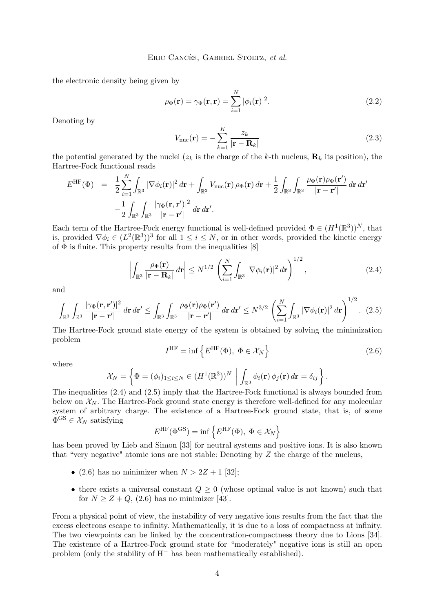<span id="page-4-0"></span>the electronic density being given by

$$
\rho_{\Phi}(\mathbf{r}) = \gamma_{\Phi}(\mathbf{r}, \mathbf{r}) = \sum_{i=1}^{N} |\phi_i(\mathbf{r})|^2.
$$
\n(2.2)

Denoting by

$$
V_{\text{nuc}}(\mathbf{r}) = -\sum_{k=1}^{K} \frac{z_k}{|\mathbf{r} - \mathbf{R}_k|}
$$
(2.3)

the potential generated by the nuclei  $(z_k)$  is the charge of the k-th nucleus,  $\mathbf{R}_k$  its position), the Hartree-Fock functional reads

$$
E^{\rm HF}(\Phi) = \frac{1}{2} \sum_{i=1}^{N} \int_{\mathbb{R}^3} |\nabla \phi_i(\mathbf{r})|^2 d\mathbf{r} + \int_{\mathbb{R}^3} V_{\rm nuc}(\mathbf{r}) \rho_{\Phi}(\mathbf{r}) d\mathbf{r} + \frac{1}{2} \int_{\mathbb{R}^3} \int_{\mathbb{R}^3} \frac{\rho_{\Phi}(\mathbf{r}) \rho_{\Phi}(\mathbf{r}')}{|\mathbf{r} - \mathbf{r}'|} d\mathbf{r} d\mathbf{r}'
$$

$$
- \frac{1}{2} \int_{\mathbb{R}^3} \int_{\mathbb{R}^3} \frac{|\gamma_{\Phi}(\mathbf{r}, \mathbf{r}')|^2}{|\mathbf{r} - \mathbf{r}'|} d\mathbf{r} d\mathbf{r}'.
$$

Each term of the Hartree-Fock energy functional is well-defined provided  $\Phi \in (H^1(\mathbb{R}^3))^N$ , that is, provided  $\nabla \phi_i \in (L^2(\mathbb{R}^3))^3$  for all  $1 \leq i \leq N$ , or in other words, provided the kinetic energy of  $\Phi$  is finite. This property results from the inequalities [\[8\]](#page-40-0)

$$
\left| \int_{\mathbb{R}^3} \frac{\rho_{\Phi}(\mathbf{r})}{|\mathbf{r} - \mathbf{R}_k|} d\mathbf{r} \right| \leq N^{1/2} \left( \sum_{i=1}^N \int_{\mathbb{R}^3} |\nabla \phi_i(\mathbf{r})|^2 d\mathbf{r} \right)^{1/2}, \tag{2.4}
$$

and

$$
\int_{\mathbb{R}^3} \int_{\mathbb{R}^3} \frac{|\gamma_\Phi(\mathbf{r}, \mathbf{r}')|^2}{|\mathbf{r} - \mathbf{r}'|} d\mathbf{r} d\mathbf{r}' \le \int_{\mathbb{R}^3} \int_{\mathbb{R}^3} \frac{\rho_\Phi(\mathbf{r}) \rho_\Phi(\mathbf{r}')}{|\mathbf{r} - \mathbf{r}'|} d\mathbf{r} d\mathbf{r}' \le N^{3/2} \left( \sum_{i=1}^N \int_{\mathbb{R}^3} |\nabla \phi_i(\mathbf{r})|^2 d\mathbf{r} \right)^{1/2}.
$$
 (2.5)

The Hartree-Fock ground state energy of the system is obtained by solving the minimization problem

$$
I^{\text{HF}} = \inf \left\{ E^{\text{HF}}(\Phi), \ \Phi \in \mathcal{X}_N \right\} \tag{2.6}
$$

where

$$
\mathcal{X}_N = \left\{ \Phi = (\phi_i)_{1 \leq i \leq N} \in (H^1(\mathbb{R}^3))^{N} \middle| \int_{\mathbb{R}^3} \phi_i(\mathbf{r}) \phi_j(\mathbf{r}) d\mathbf{r} = \delta_{ij} \right\}.
$$

The inequalities (2.4) and (2.5) imply that the Hartree-Fock functional is always bounded from below on  $\mathcal{X}_N$ . The Hartree-Fock ground state energy is therefore well-defined for any molecular system of arbitrary charge. The existence of a Hartree-Fock ground state, that is, of some  $\Phi$ <sup>GS</sup>  $\in \mathcal{X}_N$  satisfying

$$
E^{\rm HF}(\Phi^{\rm GS}) = \inf \left\{ E^{\rm HF}(\Phi), \ \Phi \in \mathcal{X}_N \right\}
$$

has been proved by Lieb and Simon [\[33\]](#page-41-0) for neutral systems and positive ions. It is also known that "very negative" atomic ions are not stable: Denoting by Z the charge of the nucleus,

- (2.6) has no minimizer when  $N > 2Z + 1$  [\[32\]](#page-41-0);
- there exists a universal constant  $Q \geq 0$  (whose optimal value is not known) such that for  $N \geq Z + Q$ , (2.6) has no minimizer [\[43\]](#page-41-0).

From a physical point of view, the instability of very negative ions results from the fact that the excess electrons escape to infinity. Mathematically, it is due to a loss of compactness at infinity. The two viewpoints can be linked by the concentration-compactness theory due to Lions [\[34\]](#page-41-0). The existence of a Hartree-Fock ground state for "moderately" negative ions is still an open problem (only the stability of H<sup>−</sup> has been mathematically established).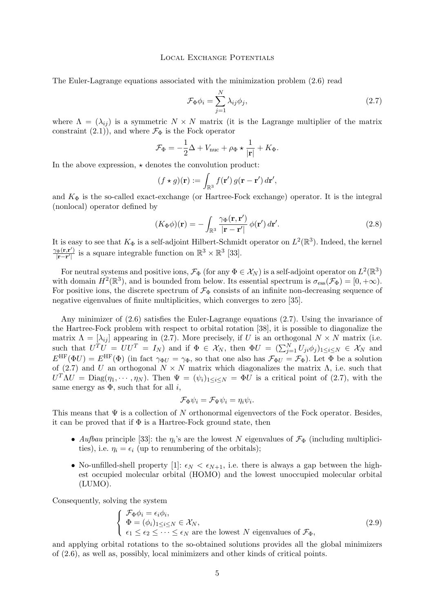<span id="page-5-0"></span>The Euler-Lagrange equations associated with the minimization problem [\(2.6\)](#page-4-0) read

$$
\mathcal{F}_{\Phi}\phi_i = \sum_{j=1}^{N} \lambda_{ij} \phi_j, \qquad (2.7)
$$

where  $\Lambda = (\lambda_{ij})$  is a symmetric  $N \times N$  matrix (it is the Lagrange multiplier of the matrix constraint [\(2.1\)](#page-3-0)), and where  $\mathcal{F}_{\Phi}$  is the Fock operator

$$
\mathcal{F}_{\Phi} = -\frac{1}{2}\Delta + V_{\text{nuc}} + \rho_{\Phi} \star \frac{1}{|\mathbf{r}|} + K_{\Phi}.
$$

In the above expression,  $\star$  denotes the convolution product:

$$
(f \star g)(\mathbf{r}) := \int_{\mathbb{R}^3} f(\mathbf{r}') g(\mathbf{r} - \mathbf{r}') d\mathbf{r}',
$$

and  $K_{\Phi}$  is the so-called exact-exchange (or Hartree-Fock exchange) operator. It is the integral (nonlocal) operator defined by

$$
(K_{\Phi}\phi)(\mathbf{r}) = -\int_{\mathbb{R}^3} \frac{\gamma_{\Phi}(\mathbf{r}, \mathbf{r}')}{|\mathbf{r} - \mathbf{r}'|} \phi(\mathbf{r}') d\mathbf{r}'. \qquad (2.8)
$$

It is easy to see that  $K_{\Phi}$  is a self-adjoint Hilbert-Schmidt operator on  $L^2(\mathbb{R}^3)$ . Indeed, the kernel  $\gamma_{\Phi}(\mathbf{r,r}^{\prime})$  $\frac{\partial \Phi(\mathbf{r}, \mathbf{r}')}{|\mathbf{r} - \mathbf{r}'|}$  is a square integrable function on  $\mathbb{R}^3 \times \mathbb{R}^3$  [\[33\]](#page-41-0).

For neutral systems and positive ions,  $\mathcal{F}_{\Phi}$  (for any  $\Phi \in \mathcal{X}_N$ ) is a self-adjoint operator on  $L^2(\mathbb{R}^3)$ with domain  $H^2(\mathbb{R}^3)$ , and is bounded from below. Its essential spectrum is  $\sigma_{\text{ess}}(\mathcal{F}_{\Phi}) = [0, +\infty)$ . For positive ions, the discrete spectrum of  $\mathcal{F}_{\Phi}$  consists of an infinite non-decreasing sequence of negative eigenvalues of finite multiplicities, which converges to zero [\[35\]](#page-41-0).

Any minimizer of [\(2.6\)](#page-4-0) satisfies the Euler-Lagrange equations (2.7). Using the invariance of the Hartree-Fock problem with respect to orbital rotation [\[38\]](#page-41-0), it is possible to diagonalize the matrix  $\Lambda = [\lambda_{ij}]$  appearing in (2.7). More precisely, if U is an orthogonal  $N \times N$  matrix (i.e. such that  $U^T U = U U^T = I_N$  and if  $\Phi \in \mathcal{X}_N$ , then  $\Phi U = (\sum_{j=1}^N U_{ji} \phi_j)_{1 \le i \le N} \in \mathcal{X}_N$  and  $E^{\text{HF}}(\Phi U) = E^{\text{HF}}(\Phi)$  (in fact  $\gamma_{\Phi U} = \gamma_{\Phi}$ , so that one also has  $\mathcal{F}_{\Phi U} = \mathcal{F}_{\Phi}$ ). Let  $\Phi$  be a solution of (2.7) and U an orthogonal  $N \times N$  matrix which diagonalizes the matrix  $\Lambda$ , i.e. such that  $U^T \Lambda U = \text{Diag}(\eta_1, \dots, \eta_N)$ . Then  $\Psi = (\psi_i)_{1 \leq i \leq N} = \Phi U$  is a critical point of (2.7), with the same energy as  $\Phi$ , such that for all *i*,

$$
\mathcal{F}_{\Phi}\psi_i = \mathcal{F}_{\Psi}\psi_i = \eta_i\psi_i.
$$

This means that  $\Psi$  is a collection of N orthonormal eigenvectors of the Fock operator. Besides, it can be proved that if  $\Phi$  is a Hartree-Fock ground state, then

- *Aufbau* principle [\[33\]](#page-41-0): the  $\eta_i$ 's are the lowest N eigenvalues of  $\mathcal{F}_{\Phi}$  (including multiplicities), i.e.  $\eta_i = \epsilon_i$  (up to renumbering of the orbitals);
- No-unfilled-shell property [\[1\]](#page-40-0):  $\epsilon_N < \epsilon_{N+1}$ , i.e. there is always a gap between the highest occupied molecular orbital (HOMO) and the lowest unoccupied molecular orbital (LUMO).

Consequently, solving the system

$$
\begin{cases}\n\mathcal{F}_{\Phi}\phi_i = \epsilon_i \phi_i, \\
\Phi = (\phi_i)_{1 \le i \le N} \in \mathcal{X}_N, \\
\epsilon_1 \le \epsilon_2 \le \cdots \le \epsilon_N \text{ are the lowest } N \text{ eigenvalues of } \mathcal{F}_{\Phi},\n\end{cases}
$$
\n(2.9)

and applying orbital rotations to the so-obtained solutions provides all the global minimizers of [\(2.6\)](#page-4-0), as well as, possibly, local minimizers and other kinds of critical points.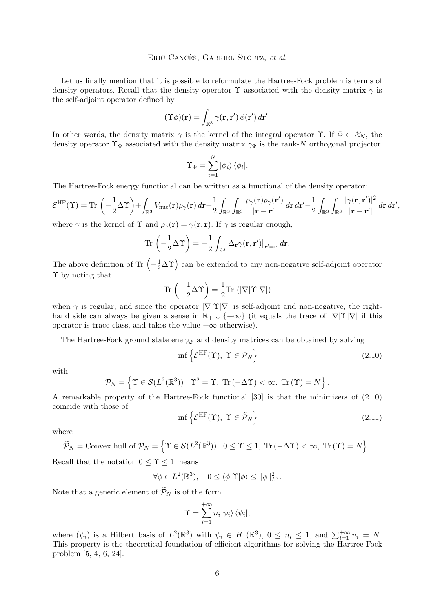## Eric Cancès, Gabriel Stoltz, *et al.*

Let us finally mention that it is possible to reformulate the Hartree-Fock problem is terms of density operators. Recall that the density operator  $\Upsilon$  associated with the density matrix  $\gamma$  is the self-adjoint operator defined by

$$
(\Upsilon \phi)(\mathbf{r}) = \int_{\mathbb{R}^3} \gamma(\mathbf{r}, \mathbf{r}') \, \phi(\mathbf{r}') \, d\mathbf{r}'.
$$

In other words, the density matrix  $\gamma$  is the kernel of the integral operator  $\Upsilon$ . If  $\Phi \in \mathcal{X}_N$ , the density operator  $\Upsilon_{\Phi}$  associated with the density matrix  $\gamma_{\Phi}$  is the rank-N orthogonal projector

$$
\Upsilon_{\Phi} = \sum_{i=1}^{N} |\phi_i\rangle \, \langle \phi_i|.
$$

The Hartree-Fock energy functional can be written as a functional of the density operator:

$$
\mathcal{E}^{\rm HF}(\Upsilon) = \text{Tr}\left(-\frac{1}{2}\Delta\Upsilon\right) + \int_{\mathbb{R}^3} V_{\text{nuc}}(\mathbf{r}) \rho_{\gamma}(\mathbf{r}) d\mathbf{r} + \frac{1}{2} \int_{\mathbb{R}^3} \int_{\mathbb{R}^3} \frac{\rho_{\gamma}(\mathbf{r}) \rho_{\gamma}(\mathbf{r}^{\prime})}{|\mathbf{r} - \mathbf{r}^{\prime}|} d\mathbf{r} d\mathbf{r}^{\prime} - \frac{1}{2} \int_{\mathbb{R}^3} \int_{\mathbb{R}^3} \frac{|\gamma(\mathbf{r}, \mathbf{r}^{\prime})|^2}{|\mathbf{r} - \mathbf{r}^{\prime}|} d\mathbf{r} d\mathbf{r}^{\prime},
$$

where  $\gamma$  is the kernel of  $\Upsilon$  and  $\rho_{\gamma}(\mathbf{r}) = \gamma(\mathbf{r}, \mathbf{r})$ . If  $\gamma$  is regular enough,

$$
\operatorname{Tr}\left(-\frac{1}{2}\Delta\Upsilon\right) = -\frac{1}{2}\int_{\mathbb{R}^3} \Delta_{\mathbf{r}} \gamma(\mathbf{r}, \mathbf{r}')|_{\mathbf{r}'=\mathbf{r}} d\mathbf{r}.
$$

The above definition of Tr  $\left(-\frac{1}{2}\Delta\Upsilon\right)$  can be extended to any non-negative self-adjoint operator Υ by noting that

$$
\mathrm{Tr}\,\left(-\frac{1}{2}\Delta\Upsilon\right)=\frac{1}{2}\mathrm{Tr}\,\left(|\nabla|\Upsilon|\nabla|\right)
$$

when  $\gamma$  is regular, and since the operator  $|\nabla|\Upsilon|\nabla|$  is self-adjoint and non-negative, the righthand side can always be given a sense in  $\mathbb{R}_+ \cup \{+\infty\}$  (it equals the trace of  $|\nabla|\Upsilon|\nabla|$  if this operator is trace-class, and takes the value  $+\infty$  otherwise).

The Hartree-Fock ground state energy and density matrices can be obtained by solving

$$
\inf \left\{ \mathcal{E}^{\mathrm{HF}}(\Upsilon), \ \Upsilon \in \mathcal{P}_N \right\} \tag{2.10}
$$

with

$$
\mathcal{P}_N = \left\{ \Upsilon \in \mathcal{S}(L^2(\mathbb{R}^3)) \mid \Upsilon^2 = \Upsilon, \text{ Tr } (-\Delta \Upsilon) < \infty, \text{ Tr } (\Upsilon) = N \right\}.
$$

A remarkable property of the Hartree-Fock functional [\[30\]](#page-41-0) is that the minimizers of (2.10) coincide with those of

$$
\inf \left\{ \mathcal{E}^{\mathrm{HF}}(\Upsilon), \ \Upsilon \in \widetilde{\mathcal{P}}_N \right\} \tag{2.11}
$$

where

$$
\widetilde{\mathcal{P}}_N = \text{Convex hull of } \mathcal{P}_N = \left\{ \Upsilon \in \mathcal{S}(L^2(\mathbb{R}^3)) \mid 0 \le \Upsilon \le 1, \text{ Tr } (-\Delta \Upsilon) < \infty, \text{ Tr } (\Upsilon) = N \right\}.
$$

Recall that the notation  $0 \leq \Upsilon \leq 1$  means

$$
\forall \phi \in L^2(\mathbb{R}^3), \quad 0 \le \langle \phi | \Upsilon | \phi \rangle \le ||\phi||^2_{L^2}.
$$

Note that a generic element of  $\widetilde{\mathcal{P}}_N$  is of the form

$$
\Upsilon = \sum_{i=1}^{+\infty} n_i |\psi_i\rangle \, \langle \psi_i |,
$$

where  $(\psi_i)$  is a Hilbert basis of  $L^2(\mathbb{R}^3)$  with  $\psi_i \in H^1(\mathbb{R}^3)$ ,  $0 \leq n_i \leq 1$ , and  $\sum_{i=1}^{+\infty} n_i = N$ . This property is the theoretical foundation of efficient algorithms for solving the Hartree-Fock problem [\[5,](#page-40-0) [4,](#page-40-0) [6,](#page-40-0) [24\]](#page-41-0).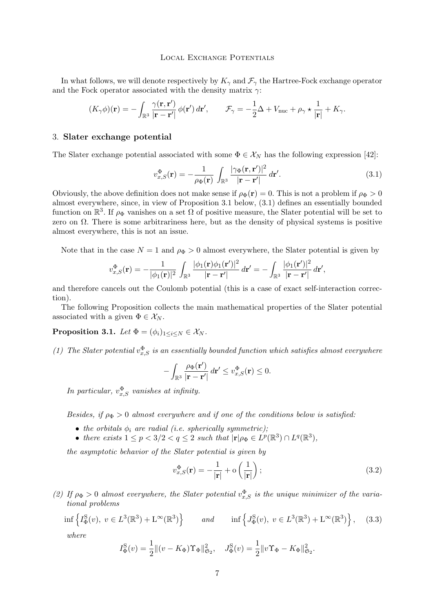<span id="page-7-0"></span>In what follows, we will denote respectively by  $K_{\gamma}$  and  $\mathcal{F}_{\gamma}$  the Hartree-Fock exchange operator and the Fock operator associated with the density matrix  $\gamma$ :

$$
(K_{\gamma}\phi)(\mathbf{r}) = -\int_{\mathbb{R}^3} \frac{\gamma(\mathbf{r}, \mathbf{r}')}{|\mathbf{r} - \mathbf{r}'|} \phi(\mathbf{r}') d\mathbf{r}', \qquad \mathcal{F}_{\gamma} = -\frac{1}{2}\Delta + V_{\text{nuc}} + \rho_{\gamma} \star \frac{1}{|\mathbf{r}|} + K_{\gamma}.
$$

# 3. **Slater exchange potential**

The Slater exchange potential associated with some  $\Phi \in \mathcal{X}_N$  has the following expression [\[42\]](#page-41-0):

$$
v_{x,S}^{\Phi}(\mathbf{r}) = -\frac{1}{\rho_{\Phi}(\mathbf{r})} \int_{\mathbb{R}^3} \frac{|\gamma_{\Phi}(\mathbf{r}, \mathbf{r}')|^2}{|\mathbf{r} - \mathbf{r}'|} d\mathbf{r}'. \tag{3.1}
$$

Obviously, the above definition does not make sense if  $\rho_{\Phi}(\mathbf{r}) = 0$ . This is not a problem if  $\rho_{\Phi} > 0$ almost everywhere, since, in view of Proposition 3.1 below, (3.1) defines an essentially bounded function on  $\mathbb{R}^3$ . If  $\rho_{\Phi}$  vanishes on a set  $\Omega$  of positive measure, the Slater potential will be set to zero on  $\Omega$ . There is some arbitrariness here, but as the density of physical systems is positive almost everywhere, this is not an issue.

Note that in the case  $N = 1$  and  $\rho_{\Phi} > 0$  almost everywhere, the Slater potential is given by

$$
v_{x,S}^{\Phi}(\mathbf{r})=-\frac{1}{|\phi_1(\mathbf{r})|^2}\,\int_{\mathbb{R}^3}\frac{|\phi_1(\mathbf{r})\phi_1(\mathbf{r}')|^2}{|\mathbf{r}-\mathbf{r}'|}\,d\mathbf{r}'=-\int_{\mathbb{R}^3}\frac{|\phi_1(\mathbf{r}')|^2}{|\mathbf{r}-\mathbf{r}'|}\,d\mathbf{r}',
$$

and therefore cancels out the Coulomb potential (this is a case of exact self-interaction correction).

The following Proposition collects the main mathematical properties of the Slater potential associated with a given  $\Phi \in \mathcal{X}_N$ .

**Proposition 3.1.** *Let*  $\Phi = (\phi_i)_{1 \leq i \leq N} \in \mathcal{X}_N$ *.* 

(1) The Slater potential  $v_{x,S}^{\Phi}$  is an essentially bounded function which satisfies almost everywhere

$$
-\int_{\mathbb{R}^3} \frac{\rho_\Phi(\mathbf{r}')}{|\mathbf{r}-\mathbf{r}'|} d\mathbf{r}' \le v_{x,S}^{\Phi}(\mathbf{r}) \le 0.
$$

*In particular,*  $v_{x,S}^{\Phi}$  *vanishes at infinity.* 

*Besides, if*  $\rho_{\Phi} > 0$  *almost everywhere and if one of the conditions below is satisfied:* 

- *the orbitals*  $\phi_i$  *are radial (i.e. spherically symmetric)*;
- *there exists*  $1 \leq p < 3/2 < q \leq 2$  *such that*  $|\mathbf{r}| \rho_{\Phi} \in L^p(\mathbb{R}^3) \cap L^q(\mathbb{R}^3)$ ,

*the asymptotic behavior of the Slater potential is given by*

$$
v_{x,S}^{\Phi}(\mathbf{r}) = -\frac{1}{|\mathbf{r}|} + \mathbf{o}\left(\frac{1}{|\mathbf{r}|}\right);
$$
\n(3.2)

(2) If  $\rho_{\Phi} > 0$  almost everywhere, the Slater potential  $v_{x,S}^{\Phi}$  is the unique minimizer of the varia*tional problems*

$$
\inf \left\{ I^{\mathcal{S}}_{\Phi}(v), \ v \in L^{3}(\mathbb{R}^{3}) + L^{\infty}(\mathbb{R}^{3}) \right\} \qquad \text{and} \qquad \inf \left\{ J^{\mathcal{S}}_{\Phi}(v), \ v \in L^{3}(\mathbb{R}^{3}) + L^{\infty}(\mathbb{R}^{3}) \right\}, \tag{3.3}
$$

*where*

$$
I_{\Phi}^{S}(v) = \frac{1}{2} || (v - K_{\Phi}) \Upsilon_{\Phi} ||_{\mathfrak{S}_2}^{2}, \quad J_{\Phi}^{S}(v) = \frac{1}{2} || v \Upsilon_{\Phi} - K_{\Phi} ||_{\mathfrak{S}_2}^{2}.
$$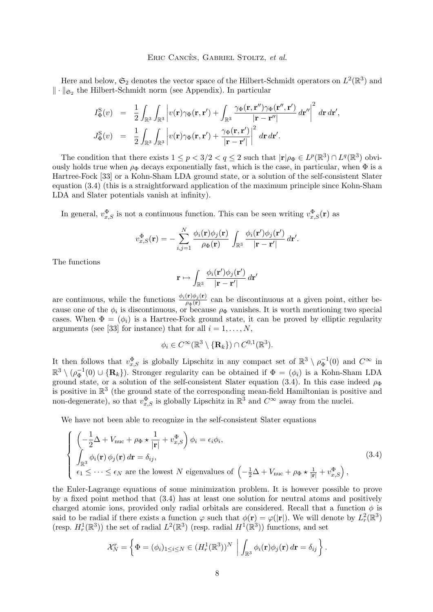## Eric Cancès, Gabriel Stoltz, *et al.*

<span id="page-8-0"></span>Here and below,  $\mathfrak{S}_2$  denotes the vector space of the Hilbert-Schmidt operators on  $L^2(\mathbb{R}^3)$  and  $\|\cdot\|_{\mathfrak{S}_2}$  the Hilbert-Schmidt norm (see Appendix). In particular

$$
I_{\Phi}^{\mathrm{S}}(v) = \frac{1}{2} \int_{\mathbb{R}^3} \int_{\mathbb{R}^3} \left| v(\mathbf{r}) \gamma_{\Phi}(\mathbf{r}, \mathbf{r}') + \int_{\mathbb{R}^3} \frac{\gamma_{\Phi}(\mathbf{r}, \mathbf{r}'') \gamma_{\Phi}(\mathbf{r}'', \mathbf{r}')}{|\mathbf{r} - \mathbf{r}''|} d\mathbf{r}'' \right|^2 d\mathbf{r} d\mathbf{r}',
$$
  

$$
J_{\Phi}^{\mathrm{S}}(v) = \frac{1}{2} \int_{\mathbb{R}^3} \int_{\mathbb{R}^3} \left| v(\mathbf{r}) \gamma_{\Phi}(\mathbf{r}, \mathbf{r}') + \frac{\gamma_{\Phi}(\mathbf{r}, \mathbf{r}')}{|\mathbf{r} - \mathbf{r}'|} \right|^2 d\mathbf{r} d\mathbf{r}'.
$$

The condition that there exists  $1 \le p < 3/2 < q \le 2$  such that  $|\mathbf{r}| \rho_{\Phi} \in L^p(\mathbb{R}^3) \cap L^q(\mathbb{R}^3)$  obviously holds true when  $\rho_{\Phi}$  decays exponentially fast, which is the case, in particular, when  $\Phi$  is a Hartree-Fock [\[33\]](#page-41-0) or a Kohn-Sham LDA ground state, or a solution of the self-consistent Slater equation (3.4) (this is a straightforward application of the maximum principle since Kohn-Sham LDA and Slater potentials vanish at infinity).

In general,  $v_{x,S}^{\Phi}$  is not a continuous function. This can be seen writing  $v_{x,S}^{\Phi}(\mathbf{r})$  as

$$
v_{x,S}^{\Phi}(\mathbf{r}) = -\sum_{i,j=1}^{N} \frac{\phi_i(\mathbf{r})\phi_j(\mathbf{r})}{\rho_{\Phi}(\mathbf{r})} \int_{\mathbb{R}^3} \frac{\phi_i(\mathbf{r}')\phi_j(\mathbf{r}')}{|\mathbf{r} - \mathbf{r}'|} d\mathbf{r}'.
$$

The functions

$$
\mathbf{r} \mapsto \int_{\mathbb{R}^3} \frac{\phi_i(\mathbf{r}')\phi_j(\mathbf{r}')}{|\mathbf{r} - \mathbf{r}'|} d\mathbf{r}'
$$

are continuous, while the functions  $\frac{\phi_i(\mathbf{r})\phi_j(\mathbf{r})}{\rho_{\Phi}(\mathbf{r})}$  can be discontinuous at a given point, either because one of the  $\phi_i$  is discontinuous, or because  $\rho_{\Phi}$  vanishes. It is worth mentioning two special cases. When  $\Phi = (\phi_i)$  is a Hartree-Fock ground state, it can be proved by elliptic regularity arguments (see [\[33\]](#page-41-0) for instance) that for all  $i = 1, \ldots, N$ ,

$$
\phi_i \in C^{\infty}(\mathbb{R}^3 \setminus \{\mathbf{R}_k\}) \cap C^{0,1}(\mathbb{R}^3).
$$

It then follows that  $v_{x,S}^{\Phi}$  is globally Lipschitz in any compact set of  $\mathbb{R}^3 \setminus \rho_{\Phi}^{-1}(0)$  and  $C^{\infty}$  in  $\mathbb{R}^3 \setminus (\rho_{\Phi}^{-1}(0) \cup {\bf R}_k)$ . Stronger regularity can be obtained if  $\Phi = (\phi_i)$  is a Kohn-Sham LDA ground state, or a solution of the self-consistent Slater equation (3.4). In this case indeed  $\rho_{\Phi}$ is positive in  $\mathbb{R}^3$  (the ground state of the corresponding mean-field Hamiltonian is positive and non-degenerate), so that  $v_{x,S}^{\Phi}$  is globally Lipschitz in  $\mathbb{R}^3$  and  $C^{\infty}$  away from the nuclei.

We have not been able to recognize in the self-consistent Slater equations

$$
\begin{cases}\n\left(-\frac{1}{2}\Delta + V_{\text{nuc}} + \rho_{\Phi} \star \frac{1}{|\mathbf{r}|} + v_{x,S}^{\Phi}\right) \phi_i = \epsilon_i \phi_i, \\
\int_{\mathbb{R}^3} \phi_i(\mathbf{r}) \phi_j(\mathbf{r}) d\mathbf{r} = \delta_{ij}, \\
\epsilon_1 \leq \cdots \leq \epsilon_N \text{ are the lowest } N \text{ eigenvalues of } \left(-\frac{1}{2}\Delta + V_{\text{nuc}} + \rho_{\Phi} \star \frac{1}{|\mathbf{r}|} + v_{x,S}^{\Phi}\right),\n\end{cases}
$$
\n(3.4)

the Euler-Lagrange equations of some minimization problem. It is however possible to prove by a fixed point method that (3.4) has at least one solution for neutral atoms and positively charged atomic ions, provided only radial orbitals are considered. Recall that a function  $\phi$  is said to be radial if there exists a function  $\varphi$  such that  $\phi(\mathbf{r}) = \varphi(|\mathbf{r}|)$ . We will denote by  $L^2_r(\mathbb{R}^3)$ (resp.  $H_r^1(\mathbb{R}^3)$ ) the set of radial  $L^2(\mathbb{R}^3)$  (resp. radial  $H^1(\mathbb{R}^3)$ ) functions, and set

$$
\mathcal{X}_N^r = \left\{ \Phi = (\phi_i)_{1 \leq i \leq N} \in (H_r^1(\mathbb{R}^3))^{N} \middle| \int_{\mathbb{R}^3} \phi_i(\mathbf{r}) \phi_j(\mathbf{r}) d\mathbf{r} = \delta_{ij} \right\}.
$$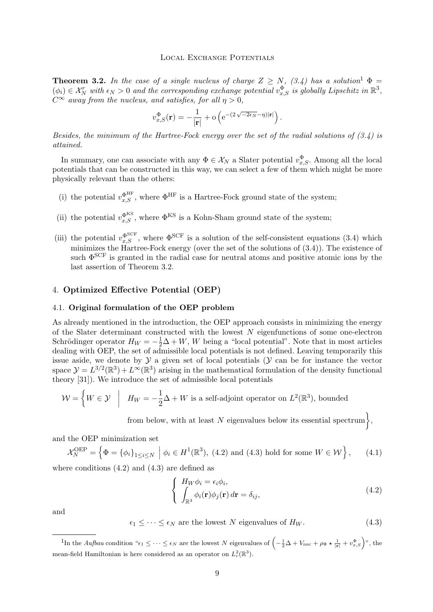<span id="page-9-0"></span>**Theorem 3.2.** In the case of a single nucleus of charge  $Z \geq N$ , [\(3.4\)](#page-8-0) has a solution<sup>1</sup>  $\Phi =$  $(\phi_i) \in \mathcal{X}_N^r$  with  $\epsilon_N > 0$  and the corresponding exchange potential  $v_{x,S}^{\Phi}$  is globally Lipschitz in  $\mathbb{R}^3$ ,  $C^{\infty}$  *away from the nucleus, and satisfies, for all*  $\eta > 0$ *,* 

$$
v_{x,S}^{\Phi}(\mathbf{r}) = -\frac{1}{|\mathbf{r}|} + o\left(e^{-(2\sqrt{-2\epsilon_N}-\eta)|\mathbf{r}|}\right).
$$

*Besides, the minimum of the Hartree-Fock energy over the set of the radial solutions of [\(3.4\)](#page-8-0) is attained.*

In summary, one can associate with any  $\Phi \in \mathcal{X}_N$  a Slater potential  $v_{x,S}^{\Phi}$ . Among all the local potentials that can be constructed in this way, we can select a few of them which might be more physically relevant than the others:

- (i) the potential  $v_{x,S}^{\Phi^{\text{HF}}}$ , where  $\Phi^{\text{HF}}$  is a Hartree-Fock ground state of the system;
- (ii) the potential  $v_{x,S}^{\Phi^{KS}}$ , where  $\Phi^{KS}$  is a Kohn-Sham ground state of the system;
- (iii) the potential  $v_{x,S}^{\Phi^{\text{SCF}}}$ , where  $\Phi^{\text{SCF}}$  is a solution of the self-consistent equations [\(3.4\)](#page-8-0) which minimizes the Hartree-Fock energy (over the set of the solutions of [\(3.4\)](#page-8-0)). The existence of such  $\Phi^{\mathrm{SCF}}$  is granted in the radial case for neutral atoms and positive atomic ions by the last assertion of Theorem [3.2.](#page-8-0)

# 4. **Optimized Effective Potential (OEP)**

# 4.1. **Original formulation of the OEP problem**

As already mentioned in the introduction, the OEP approach consists in minimizing the energy of the Slater determinant constructed with the lowest  $N$  eigenfunctions of some one-electron Schrödinger operator  $H_W = -\frac{1}{2}\Delta + W$ , W being a "local potential". Note that in most articles dealing with OEP, the set of admissible local potentials is not defined. Leaving temporarily this issue aside, we denote by  $\mathcal Y$  a given set of local potentials  $(\mathcal Y)$  can be for instance the vector space  $\mathcal{Y} = L^{3/2}(\mathbb{R}^3) + L^{\infty}(\mathbb{R}^3)$  arising in the mathematical formulation of the density functional theory [\[31\]](#page-41-0)). We introduce the set of admissible local potentials

$$
\mathcal{W} = \left\{ W \in \mathcal{Y} \mid H_W = -\frac{1}{2}\Delta + W \text{ is a self-adjoint operator on } L^2(\mathbb{R}^3), \text{ bounded }
$$

from below, with at least N eigenvalues below its essential spectrum $\},$ 

and the OEP minimization set

$$
\mathcal{X}_N^{\text{OEP}} = \left\{ \Phi = \{ \phi_i \}_{1 \le i \le N} \; \middle| \; \phi_i \in H^1(\mathbb{R}^3), \ (4.2) \text{ and } (4.3) \text{ hold for some } W \in \mathcal{W} \right\}, \tag{4.1}
$$

where conditions  $(4.2)$  and  $(4.3)$  are defined as

$$
\begin{cases}\nH_W \phi_i = \epsilon_i \phi_i, \\
\int_{\mathbb{R}^3} \phi_i(\mathbf{r}) \phi_j(\mathbf{r}) d\mathbf{r} = \delta_{ij},\n\end{cases} \tag{4.2}
$$

and

 $\epsilon_1 \leq \cdots \leq \epsilon_N$  are the lowest N eigenvalues of  $H_W$ . (4.3)

<sup>1</sup>In the *Aufbau* condition " $\epsilon_1 \leq \cdots \leq \epsilon_N$  are the lowest N eigenvalues of  $\left(-\frac{1}{2}\Delta + V_{\text{nuc}} + \rho_{\Phi} \star \frac{1}{|\mathbf{r}|} + v_{x,S}^{\Phi}\right)$ ", the mean-field Hamiltonian is here considered as an operator on  $L^2_r(\mathbb{R}^3)$ .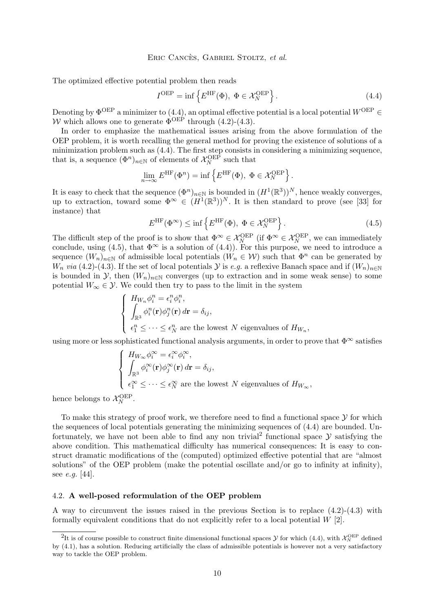<span id="page-10-0"></span>The optimized effective potential problem then reads

$$
I^{\text{OEP}} = \inf \left\{ E^{\text{HF}}(\Phi), \ \Phi \in \mathcal{X}_N^{\text{OEP}} \right\}. \tag{4.4}
$$

Denoting by  $\Phi^{\text{OEP}}$  a minimizer to (4.4), an optimal effective potential is a local potential  $W^{\text{OEP}}$   $\in$ W which allows one to generate  $\Phi^{\text{OEP}}$  through [\(4.2\)](#page-9-0)-[\(4.3\)](#page-9-0).

In order to emphasize the mathematical issues arising from the above formulation of the OEP problem, it is worth recalling the general method for proving the existence of solutions of a minimization problem such as (4.4). The first step consists in considering a minimizing sequence, that is, a sequence  $(\Phi^n)_{n \in \mathbb{N}}$  of elements of  $\mathcal{X}_N^{\text{OEP}}$  such that

$$
\lim_{n \to \infty} E^{\text{HF}}(\Phi^n) = \inf \left\{ E^{\text{HF}}(\Phi), \ \Phi \in \mathcal{X}_N^{\text{OEP}} \right\}.
$$

It is easy to check that the sequence  $(\Phi^n)_{n\in\mathbb{N}}$  is bounded in  $(H^1(\mathbb{R}^3))^N$ , hence weakly converges, up to extraction, toward some  $\Phi^{\infty} \in (H^1(\mathbb{R}^3))^{N}$ . It is then standard to prove (see [\[33\]](#page-41-0) for instance) that

$$
E^{\rm HF}(\Phi^{\infty}) \le \inf \left\{ E^{\rm HF}(\Phi), \ \Phi \in \mathcal{X}_N^{\text{OEP}} \right\}.
$$
 (4.5)

The difficult step of the proof is to show that  $\Phi^{\infty} \in \mathcal{X}_N^{\text{OEP}}$  (if  $\Phi^{\infty} \in \mathcal{X}_N^{\text{OEP}}$ , we can immediately conclude, using (4.5), that  $\Phi^{\infty}$  is a solution of (4.4)). For this purpose, we need to introduce a sequence  $(W_n)_{n\in\mathbb{N}}$  of admissible local potentials  $(W_n \in \mathcal{W})$  such that  $\Phi^n$  can be generated by  $W_n$  *via* [\(4.2\)](#page-9-0)-[\(4.3\)](#page-9-0). If the set of local potentials Y is *e.g.* a reflexive Banach space and if  $(W_n)_{n\in\mathbb{N}}$ is bounded in  $\mathcal{Y}$ , then  $(W_n)_{n\in\mathbb{N}}$  converges (up to extraction and in some weak sense) to some potential  $W_{\infty} \in \mathcal{Y}$ . We could then try to pass to the limit in the system

$$
\begin{cases}\nH_{W_n} \phi_i^n = \epsilon_i^n \phi_i^n, \\
\int_{\mathbb{R}^3} \phi_i^n(\mathbf{r}) \phi_j^n(\mathbf{r}) d\mathbf{r} = \delta_{ij}, \\
\epsilon_1^n \leq \cdots \leq \epsilon_N^n \text{ are the lowest } N \text{ eigenvalues of } H_{W_n},\n\end{cases}
$$

using more or less sophisticated functional analysis arguments, in order to prove that  $\Phi^{\infty}$  satisfies

$$
\begin{cases}\nH_{W_{\infty}}\phi_i^{\infty} = \epsilon_i^{\infty}\phi_i^{\infty}, \\
\int_{\mathbb{R}^3} \phi_i^{\infty}(\mathbf{r})\phi_j^{\infty}(\mathbf{r}) d\mathbf{r} = \delta_{ij}, \\
\epsilon_1^{\infty} \leq \cdots \leq \epsilon_N^{\infty} \text{ are the lowest } N \text{ eigenvalues of } H_{W_{\infty}},\n\end{cases}
$$

hence belongs to  $\mathcal{X}_N^{\text{OEP}}$ .

To make this strategy of proof work, we therefore need to find a functional space  $\mathcal Y$  for which the sequences of local potentials generating the minimizing sequences of (4.4) are bounded. Unfortunately, we have not been able to find any non trivial<sup>2</sup> functional space  $\mathcal Y$  satisfying the above condition. This mathematical difficulty has numerical consequences: It is easy to construct dramatic modifications of the (computed) optimized effective potential that are "almost solutions" of the OEP problem (make the potential oscillate and/or go to infinity at infinity), see *e.g.* [\[44\]](#page-41-0).

## 4.2. **A well-posed reformulation of the OEP problem**

A way to circumvent the issues raised in the previous Section is to replace [\(4.2\)](#page-9-0)-[\(4.3\)](#page-9-0) with formally equivalent conditions that do not explicitly refer to a local potential  $W$  [\[2\]](#page-40-0).

<sup>&</sup>lt;sup>2</sup>It is of course possible to construct finite dimensional functional spaces  $\mathcal Y$  for which (4.4), with  $\mathcal X_N^{OEP}$  defined by [\(4.1\)](#page-9-0), has a solution. Reducing artificially the class of admissible potentials is however not a very satisfactory way to tackle the OEP problem.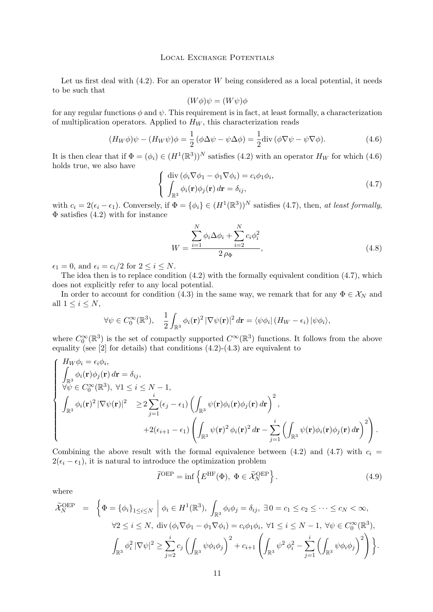<span id="page-11-0"></span>Let us first deal with  $(4.2)$ . For an operator W being considered as a local potential, it needs to be such that

$$
(W\phi)\psi = (W\psi)\phi
$$

for any regular functions  $\phi$  and  $\psi$ . This requirement is in fact, at least formally, a characterization of multiplication operators. Applied to  $H_W$ , this characterization reads

$$
(H_W \phi)\psi - (H_W \psi)\phi = \frac{1}{2} (\phi \Delta \psi - \psi \Delta \phi) = \frac{1}{2} \text{div} (\phi \nabla \psi - \psi \nabla \phi).
$$
 (4.6)

It is then clear that if  $\Phi = (\phi_i) \in (H^1(\mathbb{R}^3))^N$  satisfies [\(4.2\)](#page-9-0) with an operator  $H_W$  for which (4.6) holds true, we also have

$$
\begin{cases} \operatorname{div} \left( \phi_i \nabla \phi_1 - \phi_1 \nabla \phi_i \right) = c_i \phi_1 \phi_i, \\ \int_{\mathbb{R}^3} \phi_i(\mathbf{r}) \phi_j(\mathbf{r}) d\mathbf{r} = \delta_{ij}, \end{cases} \tag{4.7}
$$

with  $c_i = 2(\epsilon_i - \epsilon_1)$ . Conversely, if  $\Phi = {\phi_i} \in (H^1(\mathbb{R}^3))^N$  satisfies (4.7), then, *at least formally*,  $\Phi$  satisfies [\(4.2\)](#page-9-0) with for instance

$$
W = \frac{\sum_{i=1}^{N} \phi_i \Delta \phi_i + \sum_{i=2}^{N} c_i \phi_i^2}{2 \rho \Phi},
$$
\n(4.8)

 $\epsilon_1 = 0$ , and  $\epsilon_i = c_i/2$  for  $2 \leq i \leq N$ .

The idea then is to replace condition  $(4.2)$  with the formally equivalent condition  $(4.7)$ , which does not explicitly refer to any local potential.

In order to account for condition [\(4.3\)](#page-9-0) in the same way, we remark that for any  $\Phi \in \mathcal{X}_N$  and all  $1 \leq i \leq N$ ,

$$
\forall \psi \in C_0^{\infty}(\mathbb{R}^3), \quad \frac{1}{2} \int_{\mathbb{R}^3} \phi_i(\mathbf{r})^2 |\nabla \psi(\mathbf{r})|^2 d\mathbf{r} = \langle \psi \phi_i | (H_W - \epsilon_i) | \psi \phi_i \rangle,
$$

where  $C_0^{\infty}(\mathbb{R}^3)$  is the set of compactly supported  $C^{\infty}(\mathbb{R}^3)$  functions. It follows from the above equality (see  $[2]$  for details) that conditions  $(4.2)-(4.3)$  $(4.2)-(4.3)$  $(4.2)-(4.3)$  are equivalent to

$$
\begin{cases}\nH_W \phi_i = \epsilon_i \phi_i, \\
\int_{\mathbb{R}^3} \phi_i(\mathbf{r}) \phi_j(\mathbf{r}) d\mathbf{r} = \delta_{ij}, \\
\forall \psi \in C_0^{\infty}(\mathbb{R}^3), \forall 1 \leq i \leq N-1, \\
\int_{\mathbb{R}^3} \phi_i(\mathbf{r})^2 |\nabla \psi(\mathbf{r})|^2 &\geq 2 \sum_{j=1}^i (\epsilon_j - \epsilon_1) \left( \int_{\mathbb{R}^3} \psi(\mathbf{r}) \phi_i(\mathbf{r}) \phi_j(\mathbf{r}) d\mathbf{r} \right)^2, \\
&+ 2(\epsilon_{i+1} - \epsilon_1) \left( \int_{\mathbb{R}^3} \psi(\mathbf{r})^2 \phi_i(\mathbf{r})^2 d\mathbf{r} - \sum_{j=1}^i \left( \int_{\mathbb{R}^3} \psi(\mathbf{r}) \phi_i(\mathbf{r}) \phi_j(\mathbf{r}) d\mathbf{r} \right)^2 \right).\n\end{cases}
$$

Combining the above result with the formal equivalence between [\(4.2\)](#page-9-0) and (4.7) with  $c_i =$  $2(\epsilon_i - \epsilon_1)$ , it is natural to introduce the optimization problem

$$
\tilde{I}^{\text{OEP}} = \inf \left\{ E^{\text{HF}}(\Phi), \ \Phi \in \tilde{\mathcal{X}}_N^{\text{OEP}} \right\}. \tag{4.9}
$$

where

$$
\widetilde{\mathcal{X}}_{N}^{\text{OEP}} = \left\{ \Phi = \left\{ \phi_{i} \right\}_{1 \leq i \leq N} \middle| \phi_{i} \in H^{1}(\mathbb{R}^{3}), \int_{\mathbb{R}^{3}} \phi_{i} \phi_{j} = \delta_{ij}, \exists 0 = c_{1} \leq c_{2} \leq \cdots \leq c_{N} < \infty, \\ \forall 2 \leq i \leq N, \text{ div } (\phi_{i} \nabla \phi_{1} - \phi_{1} \nabla \phi_{i}) = c_{i} \phi_{1} \phi_{i}, \forall 1 \leq i \leq N - 1, \forall \psi \in C_{0}^{\infty}(\mathbb{R}^{3}), \\ \int_{\mathbb{R}^{3}} \phi_{i}^{2} \left| \nabla \psi \right|^{2} \geq \sum_{j=2}^{i} c_{j} \left( \int_{\mathbb{R}^{3}} \psi \phi_{i} \phi_{j} \right)^{2} + c_{i+1} \left( \int_{\mathbb{R}^{3}} \psi^{2} \phi_{i}^{2} - \sum_{j=1}^{i} \left( \int_{\mathbb{R}^{3}} \psi \phi_{i} \phi_{j} \right)^{2} \right) \right\}.
$$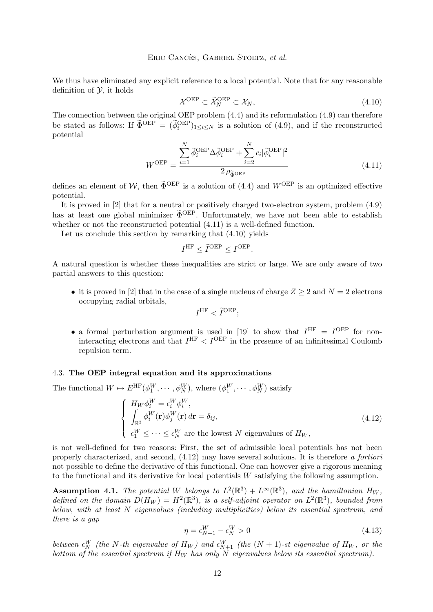## Eric Cancès, Gabriel Stoltz, *et al.*

<span id="page-12-0"></span>We thus have eliminated any explicit reference to a local potential. Note that for any reasonable definition of  $\mathcal{Y}$ , it holds

$$
\mathcal{X}^{\text{OEP}} \subset \widetilde{\mathcal{X}}_N^{\text{OEP}} \subset \mathcal{X}_N,\tag{4.10}
$$

The connection between the original OEP problem [\(4.4\)](#page-10-0) and its reformulation [\(4.9\)](#page-11-0) can therefore be stated as follows: If  $\tilde{\Phi}^{\text{OEP}} = (\tilde{\phi}_i^{\text{OEP}})_{1 \leq i \leq N}$  is a solution of [\(4.9\)](#page-11-0), and if the reconstructed potential

$$
W^{OEP} = \frac{\sum_{i=1}^{N} \tilde{\phi}_i^{OEP} \Delta \tilde{\phi}_i^{OEP} + \sum_{i=2}^{N} c_i |\tilde{\phi}_i^{OEP}|^2}{2 \rho_{\tilde{\Phi}^{OEP}}}
$$
(4.11)

defines an element of W, then  $\tilde{\Phi}^{OEP}$  is a solution of [\(4.4\)](#page-10-0) and  $W^{OEP}$  is an optimized effective potential.

It is proved in [\[2\]](#page-40-0) that for a neutral or positively charged two-electron system, problem [\(4.9\)](#page-11-0) has at least one global minimizer  $\tilde{\Phi}^{OEP}$ . Unfortunately, we have not been able to establish whether or not the reconstructed potential (4.11) is a well-defined function.

Let us conclude this section by remarking that (4.10) yields

$$
I^{\text{HF}} \leq \tilde{I}^{\text{OEP}} \leq I^{\text{OEP}}.
$$

A natural question is whether these inequalities are strict or large. We are only aware of two partial answers to this question:

• it is proved in [\[2\]](#page-40-0) that in the case of a single nucleus of charge  $Z \geq 2$  and  $N = 2$  electrons occupying radial orbitals,

$$
I^{\rm HF} < \widetilde{I}^{\rm OEP};
$$

• a formal perturbation argument is used in [\[19\]](#page-40-0) to show that  $I^{\text{HF}} = I^{\text{OEP}}$  for noninteracting electrons and that  $I^{\text{HF}} < I^{\text{OEP}}$  in the presence of an infinitesimal Coulomb repulsion term.

# 4.3. **The OEP integral equation and its approximations**

The functional  $W \mapsto E^{\text{HF}}(\phi_1^W, \cdots, \phi_N^W)$ , where  $(\phi_1^W, \cdots, \phi_N^W)$  satisfy

$$
\begin{cases}\nH_W \phi_i^W = \epsilon_i^W \phi_i^W, \\
\int_{\mathbb{R}^3} \phi_i^W(\mathbf{r}) \phi_j^W(\mathbf{r}) d\mathbf{r} = \delta_{ij}, \\
\epsilon_1^W \leq \cdots \leq \epsilon_N^W \text{ are the lowest } N \text{ eigenvalues of } H_W,\n\end{cases}
$$
\n(4.12)

is not well-defined for two reasons: First, the set of admissible local potentials has not been properly characterized, and second, (4.12) may have several solutions. It is therefore *a fortiori* not possible to define the derivative of this functional. One can however give a rigorous meaning to the functional and its derivative for local potentials W satisfying the following assumption.

**Assumption 4.1.** The potential W belongs to  $L^2(\mathbb{R}^3) + L^{\infty}(\mathbb{R}^3)$ , and the hamiltonian  $H_W$ , defined on the domain  $D(H_W) = H^2(\mathbb{R}^3)$ , is a self-adjoint operator on  $L^2(\mathbb{R}^3)$ , bounded from *below, with at least* N *eigenvalues (including multiplicities) below its essential spectrum, and there is a gap*

$$
\eta = \epsilon_{N+1}^W - \epsilon_N^W > 0 \tag{4.13}
$$

between  $\epsilon_N^W$  (the N-th eigenvalue of  $H_W$ ) and  $\epsilon_{N+1}^W$  (the  $(N+1)$ -st eigenvalue of  $H_W$ , or the *bottom of the essential spectrum if*  $H_W$  *has only* N *eigenvalues below its essential spectrum*).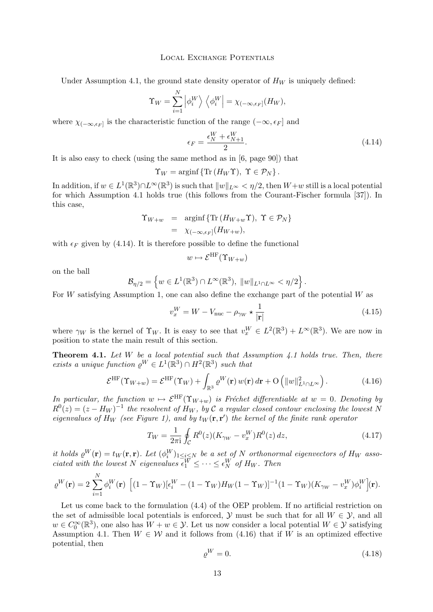<span id="page-13-0"></span>Under Assumption [4.1,](#page-12-0) the ground state density operator of  $H_W$  is uniquely defined:

$$
\Upsilon_W = \sum_{i=1}^N \left| \phi_i^W \right\rangle \left\langle \phi_i^W \right| = \chi_{(-\infty, \epsilon_F]}(H_W),
$$

where  $\chi_{(-\infty, \epsilon_F]}$  is the characteristic function of the range  $(-\infty, \epsilon_F]$  and

$$
\epsilon_F = \frac{\epsilon_N^W + \epsilon_{N+1}^W}{2}.\tag{4.14}
$$

It is also easy to check (using the same method as in [\[6,](#page-40-0) page 90]) that

$$
\Upsilon_W = \arginf \{ \text{Tr} (H_W \Upsilon), \ \Upsilon \in \mathcal{P}_N \}.
$$

In addition, if  $w \in L^1(\mathbb{R}^3) \cap L^\infty(\mathbb{R}^3)$  is such that  $||w||_{L^\infty} < \eta/2$ , then  $W+w$  still is a local potential for which Assumption [4.1](#page-12-0) holds true (this follows from the Courant-Fischer formula [\[37\]](#page-41-0)). In this case,

$$
\begin{aligned} \Upsilon_{W+w} &= \operatorname{arginf} \{ \operatorname{Tr} \left( H_{W+w} \Upsilon \right), \ \Upsilon \in \mathcal{P}_N \} \\ &= \chi_{\left( -\infty, \epsilon_F \right]} \left( H_{W+w} \right), \end{aligned}
$$

with  $\epsilon_F$  given by (4.14). It is therefore possible to define the functional

$$
w \mapsto \mathcal{E}^{\mathrm{HF}}(\Upsilon_{W+w})
$$

on the ball

$$
\mathcal{B}_{\eta/2} = \left\{ w \in L^1(\mathbb{R}^3) \cap L^\infty(\mathbb{R}^3), \ \|w\|_{L^1 \cap L^\infty} < \eta/2 \right\}.
$$

For W satisfying Assumption 1, one can also define the exchange part of the potential W as

$$
v_x^W = W - V_{\text{nuc}} - \rho_{\gamma_W} \star \frac{1}{|\mathbf{r}|} \tag{4.15}
$$

where  $\gamma_W$  is the kernel of  $\Upsilon_W$ . It is easy to see that  $v_x^W \in L^2(\mathbb{R}^3) + L^\infty(\mathbb{R}^3)$ . We are now in position to state the main result of this section.

**Theorem 4.1.** *Let* W *be a local potential such that Assumption [4.1](#page-12-0) holds true. Then, there exists a unique function*  $\varrho^W \in L^1(\mathbb{R}^3) \cap H^2(\mathbb{R}^3)$  *such that* 

$$
\mathcal{E}^{\rm HF}(\Upsilon_{W+w}) = \mathcal{E}^{\rm HF}(\Upsilon_W) + \int_{\mathbb{R}^3} \varrho^W(\mathbf{r}) w(\mathbf{r}) d\mathbf{r} + \mathcal{O}\left(\|w\|_{L^1 \cap L^\infty}^2\right). \tag{4.16}
$$

*In particular, the function*  $w \mapsto \mathcal{E}^{\text{HF}}(\Upsilon_{W+w})$  *is Fréchet differentiable at*  $w = 0$ *. Denoting by*  $R^0(z) = (z - H_W)^{-1}$  the resolvent of  $H_W$ , by C a regular closed contour enclosing the lowest N *eigenvalues of*  $H_W$  (see Figure 1), and by  $t_W(\mathbf{r}, \mathbf{r}')$  the kernel of the finite rank operator

$$
T_W = \frac{1}{2\pi i} \oint_C R^0(z) (K_{\gamma W} - v_x^W) R^0(z) dz,
$$
\n(4.17)

*it holds*  $\varrho^W(\mathbf{r}) = t_W(\mathbf{r}, \mathbf{r})$ . Let  $(\varphi_i^W)_{1 \leq i \leq N}$  be a set of N orthonormal eigenvectors of  $H_W$  asso*ciated with the lowest* N *eigenvalues*  $\overline{\epsilon}_1^W \leq \cdots \leq \epsilon_N^W$  of  $H_W$ . Then

$$
\varrho^{W}(\mathbf{r}) = 2 \sum_{i=1}^{N} \phi_{i}^{W}(\mathbf{r}) \left[ (1 - \Upsilon_{W})[\epsilon_{i}^{W} - (1 - \Upsilon_{W})H_{W}(1 - \Upsilon_{W})]^{-1} (1 - \Upsilon_{W})(K_{\gamma_{W}} - v_{x}^{W})\phi_{i}^{W}](\mathbf{r}).
$$

Let us come back to the formulation  $(4.4)$  of the OEP problem. If no artificial restriction on the set of admissible local potentials is enforced,  $\mathcal{Y}$  must be such that for all  $W \in \mathcal{Y}$ , and all  $w \in C_0^{\infty}(\mathbb{R}^3)$ , one also has  $W + w \in \mathcal{Y}$ . Let us now consider a local potential  $W \in \mathcal{Y}$  satisfying Assumption [4.1.](#page-12-0) Then  $W \in \mathcal{W}$  and it follows from (4.16) that if W is an optimized effective potential, then

$$
\varrho^W = 0. \tag{4.18}
$$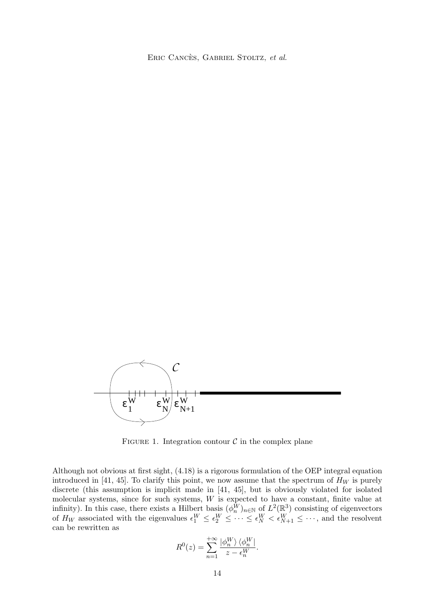Eric Cancès, Gabriel Stoltz, *et al.*



FIGURE 1. Integration contour  $\mathcal C$  in the complex plane

Although not obvious at first sight, [\(4.18\)](#page-13-0) is a rigorous formulation of the OEP integral equation introduced in [\[41,](#page-41-0) [45\]](#page-42-0). To clarify this point, we now assume that the spectrum of  $H_W$  is purely discrete (this assumption is implicit made in [\[41,](#page-41-0) [45\]](#page-42-0), but is obviously violated for isolated molecular systems, since for such systems, W is expected to have a constant, finite value at infinity). In this case, there exists a Hilbert basis  $(\phi_n^{\tilde{W}})_{n \in \mathbb{N}}$  of  $L^2(\mathbb{R}^3)$  consisting of eigenvectors of  $H_W$  associated with the eigenvalues  $\epsilon_1^W \leq \epsilon_2^W \leq \cdots \leq \epsilon_N^W < \epsilon_{N+1}^W \leq \cdots$ , and the resolvent can be rewritten as

$$
R^{0}(z) = \sum_{n=1}^{+\infty} \frac{|\phi_{n}^{W}\rangle \langle \phi_{n}^{W}|}{z - \epsilon_{n}^{W}}.
$$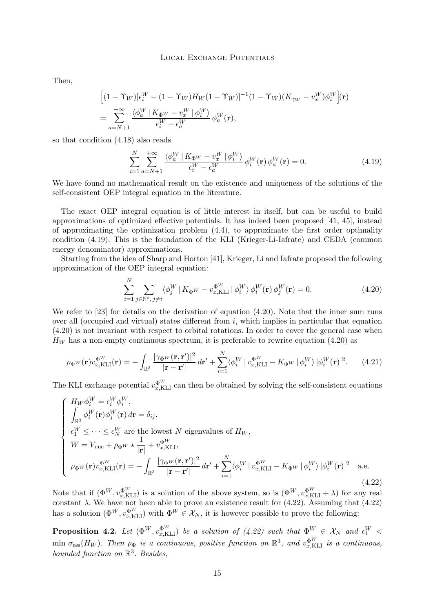<span id="page-15-0"></span>Then,

$$
\begin{split} &\Big[(1-\Upsilon_W)[\epsilon_i^W-(1-\Upsilon_W)H_W(1-\Upsilon_W)]^{-1}(1-\Upsilon_W)(K_{\gamma_W}-v_x^W)\phi_i^W\Big](\mathbf{r})\\ &=\sum_{a=N+1}^{+\infty}\frac{\langle\phi_a^W\,|\,K_{\Phi^W}-v_x^W\,|\,\phi_i^W\rangle}{\epsilon_i^W-\epsilon_a^W}\,\phi_a^W(\mathbf{r}), \end{split}
$$

so that condition [\(4.18\)](#page-13-0) also reads

$$
\sum_{i=1}^{N} \sum_{a=N+1}^{+\infty} \frac{\langle \phi_a^W | K_{\Phi^W} - v_x^W | \phi_i^W \rangle}{\epsilon_i^W - \epsilon_a^W} \phi_i^W(\mathbf{r}) \phi_a^W(\mathbf{r}) = 0.
$$
 (4.19)

We have found no mathematical result on the existence and uniqueness of the solutions of the self-consistent OEP integral equation in the literature.

The exact OEP integral equation is of little interest in itself, but can be useful to build approximations of optimized effective potentials. It has indeed been proposed [\[41,](#page-41-0) [45\]](#page-42-0), instead of approximating the optimization problem  $(4.4)$ , to approximate the first order optimality condition (4.19). This is the foundation of the KLI (Krieger-Li-Iafrate) and CEDA (common energy denominator) approximations.

Starting from the idea of Sharp and Horton [\[41\]](#page-41-0), Krieger, Li and Iafrate proposed the following approximation of the OEP integral equation:

$$
\sum_{i=1}^{N} \sum_{j \in \mathbb{N}^*, j \neq i} \langle \phi_j^W | K_{\Phi^W} - v_{x,\text{KLI}}^{\Phi^W} | \phi_i^W \rangle \phi_i^W(\mathbf{r}) \phi_j^W(\mathbf{r}) = 0. \tag{4.20}
$$

We refer to [\[23\]](#page-41-0) for details on the derivation of equation (4.20). Note that the inner sum runs over all (occupied and virtual) states different from  $i$ , which implies in particular that equation (4.20) is not invariant with respect to orbital rotations. In order to cover the general case when  $H_W$  has a non-empty continuous spectrum, it is preferable to rewrite equation (4.20) as

$$
\rho_{\Phi^W}(\mathbf{r}) v_{x,\text{KLI}}^{\Phi^W}(\mathbf{r}) = -\int_{\mathbb{R}^3} \frac{|\gamma_{\Phi^W}(\mathbf{r}, \mathbf{r}')|^2}{|\mathbf{r} - \mathbf{r}'|} \, d\mathbf{r}' + \sum_{i=1}^N \langle \phi_i^W \, | \, v_{x,\text{KLI}}^{\Phi^W} - K_{\Phi^W} \, | \, \phi_i^W \rangle \, |\phi_i^W(\mathbf{r})|^2. \tag{4.21}
$$

The KLI exchange potential  $v_{x,\text{KL}}^{\Phi^W}$  can then be obtained by solving the self-consistent equations

$$
\begin{cases}\nH_W \phi_i^W = \epsilon_i^W \phi_i^W, \\
\int_{\mathbb{R}^3} \phi_i^W(\mathbf{r}) \phi_j^W(\mathbf{r}) d\mathbf{r} = \delta_{ij}, \\
\epsilon_1^W \leq \cdots \leq \epsilon_N^W \text{ are the lowest } N \text{ eigenvalues of } H_W, \\
W = V_{\text{nuc}} + \rho_{\Phi^W} \star \frac{1}{|\mathbf{r}|} + v_{x,\text{KLI}}^{\Phi^W}, \\
\rho_{\Phi^W}(\mathbf{r}) v_{x,\text{KLI}}^{\Phi^W}(\mathbf{r}) = -\int_{\mathbb{R}^3} \frac{|\gamma_{\Phi^W}(\mathbf{r}, \mathbf{r}')|^2}{|\mathbf{r} - \mathbf{r}'|} d\mathbf{r}' + \sum_{i=1}^N \langle \phi_i^W | v_{x,\text{KLI}}^{\Phi^W} - K_{\Phi^W} | \phi_i^W \rangle |\phi_i^W(\mathbf{r})|^2 \quad \text{a.e.} \n\end{cases} (4.22)
$$

Note that if  $(\Phi^{W}, v_{x,\text{KL}}^{\Phi^{W}})$  is a solution of the above system, so is  $(\Phi^{W}, v_{x,\text{KL}}^{\Phi^{W}} + \lambda)$  for any real constant  $\lambda$ . We have not been able to prove an existence result for (4.22). Assuming that (4.22) has a solution  $(\Phi^W, v_{x,\text{KLI}}^{\Phi^W})$  with  $\Phi^W \in \mathcal{X}_N$ , it is however possible to prove the following:

**Proposition 4.2.** Let  $(\Phi^{W}, v_{x,\text{KLI}}^{\Phi^{W}})$  be a solution of (4.22) such that  $\Phi^{W} \in \mathcal{X}_{N}$  and  $\epsilon_{1}^{W}$  <  $\min \sigma_{\text{ess}}(H_W)$ . Then  $\rho_{\Phi}$  is a continuous, positive function on  $\mathbb{R}^3$ , and  $v_{x,\text{KL}}^{\Phi^W}$  is a continuous, *bounded function on* R 3 *. Besides,*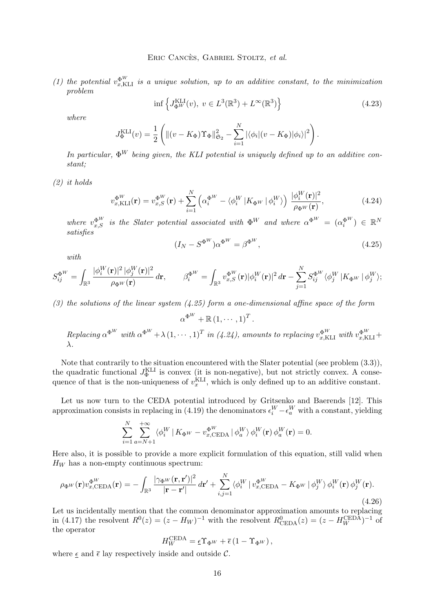<span id="page-16-0"></span>(1) the potential  $v_{x,\text{KL}}^{\Phi^W}$  is a unique solution, up to an additive constant, to the minimization *problem*

$$
\inf \left\{ J_{\Phi^W}^{\text{KLI}}(v), \ v \in L^3(\mathbb{R}^3) + L^\infty(\mathbb{R}^3) \right\} \tag{4.23}
$$

*where*

$$
J_{\Phi}^{\text{KLI}}(v) = \frac{1}{2} \left( \left\| (v - K_{\Phi}) \Upsilon_{\Phi} \right\|_{\mathfrak{S}_2}^2 - \sum_{i=1}^N \left| \langle \phi_i | (v - K_{\Phi}) | \phi_i \rangle \right|^2 \right).
$$

*In particular,*  $\Phi^W$  *being given, the KLI potential is uniquely defined up to an additive constant;*

*(2) it holds*

$$
v_{x,KLI}^{\Phi^W}(\mathbf{r}) = v_{x,S}^{\Phi^W}(\mathbf{r}) + \sum_{i=1}^N \left( \alpha_i^{\Phi^W} - \langle \phi_i^W | K_{\Phi^W} | \phi_i^W \rangle \right) \frac{|\phi_i^W(\mathbf{r})|^2}{\rho_{\Phi^W}(\mathbf{r})},\tag{4.24}
$$

where  $v_{x,S}^{\Phi^W}$  is the Slater potential associated with  $\Phi^W$  and where  $\alpha^{\Phi^W} = (\alpha_i^{\Phi^W}) \in \mathbb{R}^N$ *satisfies*

$$
(I_N - S^{\Phi^W})\alpha^{\Phi^W} = \beta^{\Phi^W},\tag{4.25}
$$

*with*

$$
S_{ij}^{\Phi^W} = \int_{\mathbb{R}^3} \frac{|\phi_i^W(\mathbf{r})|^2 |\phi_j^W(\mathbf{r})|^2}{\rho_{\Phi^W}(\mathbf{r})} d\mathbf{r}, \qquad \beta_i^{\Phi^W} = \int_{\mathbb{R}^3} v_{x,S}^{\Phi^W}(\mathbf{r}) |\phi_i^W(\mathbf{r})|^2 d\mathbf{r} - \sum_{j=1}^N S_{ij}^{\Phi^W} \langle \phi_j^W | K_{\Phi^W} | \phi_j^W \rangle;
$$

*(3) the solutions of the linear system (4.25) form a one-dimensional affine space of the form*

$$
\alpha^{\Phi^{W}} + \mathbb{R} (1, \dots, 1)^{T}.
$$
  
Replacing  $\alpha^{\Phi^{W}}$  with  $\alpha^{\Phi^{W}} + \lambda (1, \dots, 1)^{T}$  in (4.24), amounts to replacing  $v_{x,KLI}^{\Phi^{W}}$  with  $v_{x,KLI}^{\Phi^{W}} + \lambda$ .

Note that contrarily to the situation encountered with the Slater potential (see problem [\(3.3\)](#page-7-0)), the quadratic functional  $J_{\Phi}^{KLI}$  is convex (it is non-negative), but not strictly convex. A consequence of that is the non-uniqueness of  $v_x^{\text{KLI}}$ , which is only defined up to an additive constant.

Let us now turn to the CEDA potential introduced by Gritsenko and Baerends [\[12\]](#page-40-0). This approximation consists in replacing in [\(4.19\)](#page-15-0) the denominators  $\epsilon_i^W - \epsilon_a^W$  with a constant, yielding

$$
\sum_{i=1}^{N} \sum_{a=N+1}^{+\infty} \langle \phi_i^W | K_{\Phi^W} - v_{x,\text{CEDA}}^{\Phi^W} | \phi_a^W \rangle \phi_i^W(\mathbf{r}) \phi_a^W(\mathbf{r}) = 0.
$$

Here also, it is possible to provide a more explicit formulation of this equation, still valid when  $H_W$  has a non-empty continuous spectrum:

$$
\rho_{\Phi^W}(\mathbf{r}) v_{x,\text{CEDA}}^{\Phi^W}(\mathbf{r}) = -\int_{\mathbb{R}^3} \frac{|\gamma_{\Phi^W}(\mathbf{r}, \mathbf{r}')|^2}{|\mathbf{r} - \mathbf{r}'|} d\mathbf{r}' + \sum_{i,j=1}^N \langle \phi_i^W | v_{x,\text{CEDA}}^{\Phi^W} - K_{\Phi^W} | \phi_j^W \rangle \phi_i^W(\mathbf{r}) \phi_j^W(\mathbf{r}).
$$
\n(4.26)

Let us incidentally mention that the common denominator approximation amounts to replacing in [\(4.17\)](#page-13-0) the resolvent  $R^0(z) = (z - H_W)^{-1}$  with the resolvent  $R^0_{\text{CEDA}}(z) = (z - H_W^{\text{CEDA}})^{-1}$  of the operator

$$
H_W^{\text{CEDA}} = \underline{\epsilon} \Upsilon_{\Phi^W} + \overline{\epsilon} (1 - \Upsilon_{\Phi^W}),
$$

where  $\epsilon$  and  $\bar{\epsilon}$  lay respectively inside and outside C.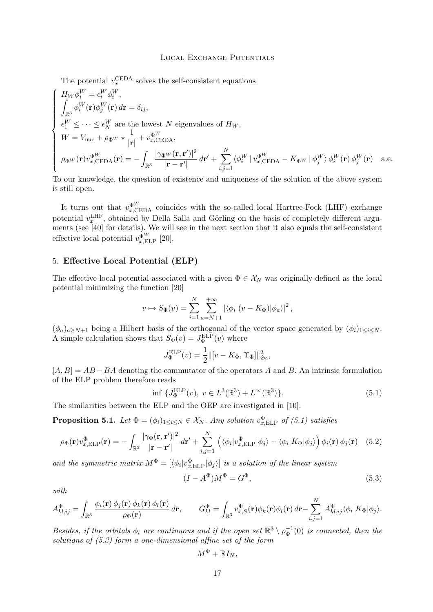<span id="page-17-0"></span>The potential  $v_x^{\text{CEDA}}$  solves the self-consistent equations

$$
\begin{cases}\nH_W \phi_i^W = \epsilon_i^W \phi_i^W, \\
\int_{\mathbb{R}^3} \phi_i^W(\mathbf{r}) \phi_j^W(\mathbf{r}) d\mathbf{r} = \delta_{ij}, \\
\epsilon_1^W \leq \cdots \leq \epsilon_N^W \text{ are the lowest } N \text{ eigenvalues of } H_W, \\
W = V_{\text{nuc}} + \rho_{\Phi^W} \star \frac{1}{|\mathbf{r}|} + v_{x,\text{CEDA}}^{\Phi^W}, \\
\rho_{\Phi^W}(\mathbf{r}) v_{x,\text{CEDA}}^{\Phi^W}(\mathbf{r}) = -\int_{\mathbb{R}^3} \frac{|\gamma_{\Phi^W}(\mathbf{r}, \mathbf{r}')|^2}{|\mathbf{r} - \mathbf{r}'|} d\mathbf{r}' + \sum_{i,j=1}^N \langle \phi_i^W | v_{x,\text{CEDA}}^{\Phi^W} - K_{\Phi^W} | \phi_j^W \rangle \phi_i^W(\mathbf{r}) \phi_j^W(\mathbf{r}) \quad \text{a.e.}\n\end{cases}
$$

To our knowledge, the question of existence and uniqueness of the solution of the above system is still open.

It turns out that  $v_{x,\text{CEDA}}^{\Phi^W}$  coincides with the so-called local Hartree-Fock (LHF) exchange potential  $v_x^{\text{LHF}}$ , obtained by Della Salla and Görling on the basis of completely different arguments (see [\[40\]](#page-41-0) for details). We will see in the next section that it also equals the self-consistent effective local potential  $v_{x,\text{ELP}}^{\Phi^W}$  [\[20\]](#page-41-0).

# 5. **Effective Local Potential (ELP)**

The effective local potential associated with a given  $\Phi \in \mathcal{X}_N$  was originally defined as the local potential minimizing the function [\[20\]](#page-41-0)

$$
v \mapsto S_{\Phi}(v) = \sum_{i=1}^{N} \sum_{a=N+1}^{+\infty} |\langle \phi_i | (v - K_{\Phi}) | \phi_a \rangle|^2,
$$

 $(\phi_a)_{a\geq N+1}$  being a Hilbert basis of the orthogonal of the vector space generated by  $(\phi_i)_{1\leq i\leq N}$ . A simple calculation shows that  $S_{\Phi}(v) = J_{\Phi}^{\text{ELP}}(v)$  where

$$
J_{\Phi}^{\text{ELP}}(v) = \frac{1}{2} ||[v - K_{\Phi}, \Upsilon_{\Phi}]||_{\mathfrak{S}_2}^2,
$$

 $[A, B] = AB - BA$  denoting the commutator of the operators A and B. An intrinsic formulation of the ELP problem therefore reads

$$
\inf \{ J_{\Phi}^{\text{ELP}}(v), \ v \in L^{3}(\mathbb{R}^{3}) + L^{\infty}(\mathbb{R}^{3}) \}. \tag{5.1}
$$

The similarities between the ELP and the OEP are investigated in [\[10\]](#page-40-0).

**Proposition 5.1.** *Let*  $\Phi = (\phi_i)_{1 \leq i \leq N} \in \mathcal{X}_N$ *. Any solution*  $v_{x,\text{ELP}}^{\Phi}$  *of* (5.1) satisfies

$$
\rho_{\Phi}(\mathbf{r})v_{x,\text{ELP}}^{\Phi}(\mathbf{r}) = -\int_{\mathbb{R}^3} \frac{|\gamma_{\Phi}(\mathbf{r}, \mathbf{r}')|^2}{|\mathbf{r} - \mathbf{r}'|} d\mathbf{r}' + \sum_{i,j=1}^N \left( \langle \phi_i | v_{x,\text{ELP}}^{\Phi} | \phi_j \rangle - \langle \phi_i | K_{\Phi} | \phi_j \rangle \right) \phi_i(\mathbf{r}) \phi_j(\mathbf{r}) \tag{5.2}
$$

and the symmetric matrix  $M^{\Phi} = [\langle \phi_i | v_{x,\text{ELP}}^{\Phi} | \phi_j \rangle]$  *is a solution of the linear system* 

$$
(I - A^{\Phi})M^{\Phi} = G^{\Phi},\tag{5.3}
$$

*with*

$$
A_{kl,ij}^{\Phi} = \int_{\mathbb{R}^3} \frac{\phi_i(\mathbf{r})\,\phi_j(\mathbf{r})\,\phi_k(\mathbf{r})\,\phi_l(\mathbf{r})}{\rho_{\Phi}(\mathbf{r})}\,d\mathbf{r}, \qquad G_{kl}^{\Phi} = \int_{\mathbb{R}^3} v_{x,S}^{\Phi}(\mathbf{r})\phi_k(\mathbf{r})\phi_l(\mathbf{r})\,d\mathbf{r} - \sum_{i,j=1}^N A_{kl,ij}^{\Phi}\langle\phi_i|K_{\Phi}|\phi_j\rangle.
$$

*Besides, if the orbitals*  $\phi_i$  *are continuous and if the open set*  $\mathbb{R}^3 \setminus \rho_{\Phi}^{-1}(0)$  *is connected, then the solutions of (5.3) form a one-dimensional affine set of the form*

$$
M^{\Phi}+\mathbb{R}I_N,
$$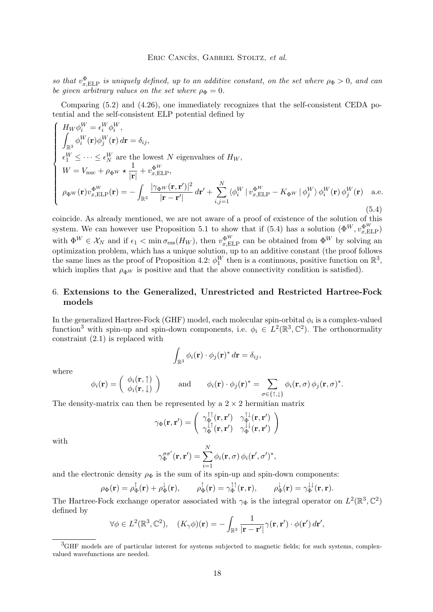<span id="page-18-0"></span>*so that*  $v_{x,\text{ELP}}^{\Phi}$  *is uniquely defined, up to an additive constant, on the set where*  $\rho_{\Phi} > 0$ *, and can be given arbitrary values on the set where*  $\rho_{\Phi} = 0$ .

Comparing [\(5.2\)](#page-17-0) and [\(4.26\)](#page-16-0), one immediately recognizes that the self-consistent CEDA potential and the self-consistent ELP potential defined by

$$
\begin{cases}\nH_W \phi_i^W = \epsilon_i^W \phi_i^W, \\
\int_{\mathbb{R}^3} \phi_i^W(\mathbf{r}) \phi_j^W(\mathbf{r}) d\mathbf{r} = \delta_{ij}, \\
\epsilon_1^W \leq \cdots \leq \epsilon_N^W \text{ are the lowest } N \text{ eigenvalues of } H_W, \\
W = V_{\text{nuc}} + \rho_{\Phi^W} \star \frac{1}{|\mathbf{r}|} + v_{x,\text{ELP}}^{\Phi^W}, \\
\rho_{\Phi^W}(\mathbf{r}) v_{x,\text{ELP}}^{\Phi^W}(\mathbf{r}) = -\int_{\mathbb{R}^3} \frac{|\gamma_{\Phi^W}(\mathbf{r}, \mathbf{r}')|^2}{|\mathbf{r} - \mathbf{r}'|} d\mathbf{r}' + \sum_{i,j=1}^N \langle \phi_i^W | v_{x,\text{ELP}}^{\Phi^W} - K_{\Phi^W} | \phi_j^W \rangle \phi_i^W(\mathbf{r}) \phi_j^W(\mathbf{r}) \quad \text{a.e.} \\
\end{cases}
$$
\n(5.4)

coincide. As already mentioned, we are not aware of a proof of existence of the solution of this system. We can however use Proposition [5.1](#page-17-0) to show that if (5.4) has a solution  $(\Phi^{W}, v_{x,\text{ELP}}^{\Phi^{W}})$ with  $\Phi^W \in \mathcal{X}_N$  and if  $\epsilon_1 < \min \sigma_{\text{ess}}(H_W)$ , then  $v_{x,\text{ELP}}^{\Phi^W}$  can be obtained from  $\Phi^W$  by solving an optimization problem, which has a unique solution, up to an additive constant (the proof follows the same lines as the proof of Proposition [4.2:](#page-15-0)  $\phi_1^W$  then is a continuous, positive function on  $\mathbb{R}^3$ , which implies that  $\rho_{\Phi W}$  is positive and that the above connectivity condition is satisfied).

# 6. **Extensions to the Generalized, Unrestricted and Restricted Hartree-Fock models**

In the generalized Hartree-Fock (GHF) model, each molecular spin-orbital  $\phi_i$  is a complex-valued function<sup>3</sup> with spin-up and spin-down components, i.e.  $\phi_i \in L^2(\mathbb{R}^3, \mathbb{C}^2)$ . The orthonormality constraint [\(2.1\)](#page-3-0) is replaced with

$$
\int_{\mathbb{R}^3} \phi_i(\mathbf{r}) \cdot \phi_j(\mathbf{r})^* d\mathbf{r} = \delta_{ij},
$$

where

$$
\phi_i(\mathbf{r}) = \begin{pmatrix} \phi_i(\mathbf{r}, \uparrow) \\ \phi_i(\mathbf{r}, \downarrow) \end{pmatrix} \quad \text{and} \quad \phi_i(\mathbf{r}) \cdot \phi_j(\mathbf{r})^* = \sum_{\sigma \in \{\uparrow, \downarrow\}} \phi_i(\mathbf{r}, \sigma) \phi_j(\mathbf{r}, \sigma)^*.
$$

The density-matrix can then be represented by a  $2 \times 2$  hermitian matrix

$$
\gamma_{\Phi}(\mathbf{r}, \mathbf{r}') = \begin{pmatrix} \gamma_{\Phi}^{\uparrow \uparrow}(\mathbf{r}, \mathbf{r}') & \gamma_{\Phi}^{\uparrow \downarrow}(\mathbf{r}, \mathbf{r}') \\ \gamma_{\Phi}^{\downarrow \uparrow}(\mathbf{r}, \mathbf{r}') & \gamma_{\Phi}^{\downarrow \downarrow}(\mathbf{r}, \mathbf{r}') \end{pmatrix}
$$

with

$$
\gamma_{\Phi}^{\sigma\sigma'}(\mathbf{r},\mathbf{r}') = \sum_{i=1}^{N} \phi_i(\mathbf{r},\sigma) \phi_i(\mathbf{r}',\sigma')^*,
$$

and the electronic density  $\rho_{\Phi}$  is the sum of its spin-up and spin-down components:

$$
\rho_{\Phi}(\mathbf{r}) = \rho_{\Phi}^{\uparrow}(\mathbf{r}) + \rho_{\Phi}^{\downarrow}(\mathbf{r}), \qquad \rho_{\Phi}^{\uparrow}(\mathbf{r}) = \gamma_{\Phi}^{\uparrow\uparrow}(\mathbf{r}, \mathbf{r}), \qquad \rho_{\Phi}^{\downarrow}(\mathbf{r}) = \gamma_{\Phi}^{\downarrow\downarrow}(\mathbf{r}, \mathbf{r}).
$$

The Hartree-Fock exchange operator associated with  $\gamma_{\Phi}$  is the integral operator on  $L^2(\mathbb{R}^3, \mathbb{C}^2)$ defined by

$$
\forall \phi \in L^2(\mathbb{R}^3, \mathbb{C}^2), \quad (K_\gamma \phi)(\mathbf{r}) = -\int_{\mathbb{R}^3} \frac{1}{|\mathbf{r} - \mathbf{r}'|} \gamma(\mathbf{r}, \mathbf{r}') \cdot \phi(\mathbf{r}') d\mathbf{r}',
$$

 ${}^{3}$ GHF models are of particular interest for systems subjected to magnetic fields; for such systems, complexvalued wavefunctions are needed.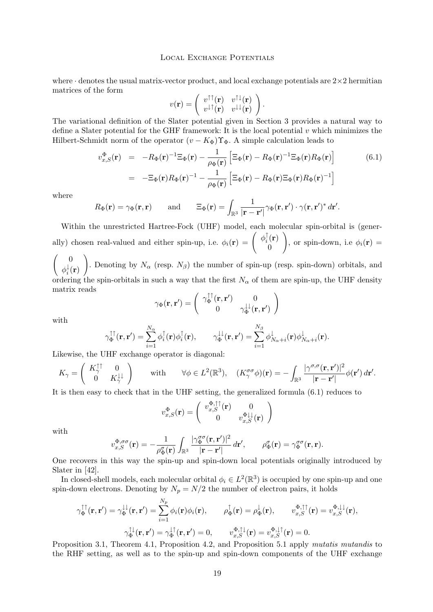where  $\cdot$  denotes the usual matrix-vector product, and local exchange potentials are  $2\times 2$  hermitian matrices of the form

$$
v(\mathbf{r}) = \begin{pmatrix} v^{\uparrow\uparrow}(\mathbf{r}) & v^{\uparrow\downarrow}(\mathbf{r}) \\ v^{\downarrow\uparrow}(\mathbf{r}) & v^{\downarrow\downarrow}(\mathbf{r}) \end{pmatrix}.
$$

The variational definition of the Slater potential given in Section [3](#page-7-0) provides a natural way to define a Slater potential for the GHF framework: It is the local potential  $v$  which minimizes the Hilbert-Schmidt norm of the operator  $(v - K_{\Phi})\Upsilon_{\Phi}$ . A simple calculation leads to

$$
v_{x,S}^{\Phi}(\mathbf{r}) = -R_{\Phi}(\mathbf{r})^{-1} \Xi_{\Phi}(\mathbf{r}) - \frac{1}{\rho_{\Phi}(\mathbf{r})} \left[ \Xi_{\Phi}(\mathbf{r}) - R_{\Phi}(\mathbf{r})^{-1} \Xi_{\Phi}(\mathbf{r}) R_{\Phi}(\mathbf{r}) \right]
$$
(6.1)  
= 
$$
-\Xi_{\Phi}(\mathbf{r}) R_{\Phi}(\mathbf{r})^{-1} - \frac{1}{\rho_{\Phi}(\mathbf{r})} \left[ \Xi_{\Phi}(\mathbf{r}) - R_{\Phi}(\mathbf{r}) \Xi_{\Phi}(\mathbf{r}) R_{\Phi}(\mathbf{r})^{-1} \right]
$$

.

where

$$
R_{\Phi}(\mathbf{r}) = \gamma_{\Phi}(\mathbf{r}, \mathbf{r})
$$
 and  $\Xi_{\Phi}(\mathbf{r}) = \int_{\mathbb{R}^3} \frac{1}{|\mathbf{r} - \mathbf{r}'|} \gamma_{\Phi}(\mathbf{r}, \mathbf{r}') \cdot \gamma(\mathbf{r}, \mathbf{r}')^* d\mathbf{r}'$ 

Within the unrestricted Hartree-Fock (UHF) model, each molecular spin-orbital is (generally) chosen real-valued and either spin-up, i.e.  $\phi_i(\mathbf{r}) = \begin{pmatrix} \phi_i^{\dagger} \\ \end{pmatrix}$  $\frac{1}{i}(\mathbf{r})$ 0  $\setminus$ , or spin-down, i.e  $\phi_i(\mathbf{r}) =$  $\begin{pmatrix} 0 \\ 0 \end{pmatrix}$  $\setminus$ 

 $\phi_i^{\downarrow}$  $\frac{1}{i}(\mathbf{r})$ . Denoting by  $N_{\alpha}$  (resp.  $N_{\beta}$ ) the number of spin-up (resp. spin-down) orbitals, and ordering the spin-orbitals in such a way that the first  $N_{\alpha}$  of them are spin-up, the UHF density matrix reads

$$
\gamma_{\Phi}(\mathbf{r}, \mathbf{r}') = \begin{pmatrix} \gamma_{\Phi}^{\uparrow\uparrow}(\mathbf{r}, \mathbf{r}') & 0 \\ 0 & \gamma_{\Phi}^{\downarrow\downarrow}(\mathbf{r}, \mathbf{r}') \end{pmatrix}
$$

with

$$
\gamma_{\Phi}^{\uparrow\uparrow}(\mathbf{r},\mathbf{r}')=\sum_{i=1}^{N_{\alpha}}\phi_{i}^{\uparrow}(\mathbf{r})\phi_{i}^{\uparrow}(\mathbf{r}),\qquad\gamma_{\Phi}^{\downarrow\downarrow}(\mathbf{r},\mathbf{r}')=\sum_{i=1}^{N_{\beta}}\phi_{N_{\alpha}+i}^{\downarrow}(\mathbf{r})\phi_{N_{\alpha}+i}^{\downarrow}(\mathbf{r}).
$$

Likewise, the UHF exchange operator is diagonal:

$$
K_{\gamma} = \begin{pmatrix} K_{\gamma}^{\uparrow \uparrow} & 0 \\ 0 & K_{\gamma}^{\downarrow \downarrow} \end{pmatrix} \quad \text{with} \quad \forall \phi \in L^{2}(\mathbb{R}^{3}), \quad (K_{\gamma}^{\sigma\sigma}\phi)(\mathbf{r}) = -\int_{\mathbb{R}^{3}} \frac{|\gamma^{\sigma,\sigma}(\mathbf{r},\mathbf{r}')|^{2}}{|\mathbf{r}-\mathbf{r}'|} \phi(\mathbf{r}') d\mathbf{r}'.
$$

It is then easy to check that in the UHF setting, the generalized formula (6.1) reduces to

$$
v_{x,S}^{\Phi}(\mathbf{r}) = \begin{pmatrix} v_{x,S}^{\Phi,\uparrow\uparrow}(\mathbf{r}) & 0\\ 0 & v_{x,S}^{\Phi\downarrow\downarrow}(\mathbf{r}) \end{pmatrix}
$$

with

$$
v_{x,S}^{\Phi,\sigma\sigma}(\mathbf{r}) = -\frac{1}{\rho_{\Phi}^{\sigma}(\mathbf{r})} \int_{\mathbb{R}^3} \frac{|\gamma_{\Phi}^{\sigma\sigma}(\mathbf{r}, \mathbf{r}')|^2}{|\mathbf{r} - \mathbf{r}'|} d\mathbf{r}', \qquad \rho_{\Phi}^{\sigma}(\mathbf{r}) = \gamma_{\Phi}^{\sigma\sigma}(\mathbf{r}, \mathbf{r}).
$$

One recovers in this way the spin-up and spin-down local potentials originally introduced by Slater in [\[42\]](#page-41-0).

In closed-shell models, each molecular orbital  $\phi_i \in L^2(\mathbb{R}^3)$  is occupied by one spin-up and one spin-down electrons. Denoting by  $N_p = N/2$  the number of electron pairs, it holds

$$
\gamma_{\Phi}^{\uparrow\uparrow}(\mathbf{r}, \mathbf{r}') = \gamma_{\Phi}^{\downarrow\downarrow}(\mathbf{r}, \mathbf{r}') = \sum_{i=1}^{N_p} \phi_i(\mathbf{r}) \phi_i(\mathbf{r}), \qquad \rho_{\Phi}^{\uparrow}(\mathbf{r}) = \rho_{\Phi}^{\downarrow}(\mathbf{r}), \qquad v_{x, S}^{\Phi, \uparrow\uparrow}(\mathbf{r}) = v_{x, S}^{\Phi, \downarrow\downarrow}(\mathbf{r}),
$$

$$
\gamma_{\Phi}^{\uparrow\downarrow}(\mathbf{r}, \mathbf{r}') = \gamma_{\Phi}^{\downarrow\uparrow}(\mathbf{r}, \mathbf{r}') = 0, \qquad v_{x, S}^{\Phi, \uparrow\downarrow}(\mathbf{r}) = v_{x, S}^{\Phi, \downarrow\uparrow}(\mathbf{r}) = 0.
$$

Proposition [3.1,](#page-7-0) Theorem [4.1,](#page-13-0) Proposition [4.2,](#page-15-0) and Proposition [5.1](#page-17-0) apply *mutatis mutandis* to the RHF setting, as well as to the spin-up and spin-down components of the UHF exchange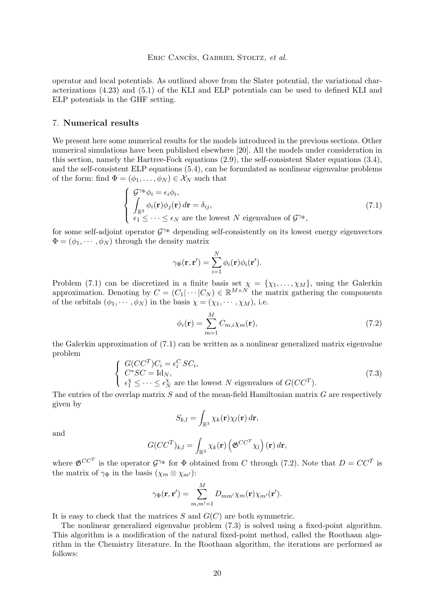<span id="page-20-0"></span>operator and local potentials. As outlined above from the Slater potential, the variational characterizations [\(4.23\)](#page-16-0) and [\(5.1\)](#page-17-0) of the KLI and ELP potentials can be used to defined KLI and ELP potentials in the GHF setting.

# 7. **Numerical results**

We present here some numerical results for the models introduced in the previous sections. Other numerical simulations have been published elsewhere [\[20\]](#page-41-0). All the models under consideration in this section, namely the Hartree-Fock equations [\(2.9\)](#page-5-0), the self-consistent Slater equations [\(3.4\)](#page-8-0), and the self-consistent ELP equations [\(5.4\)](#page-18-0), can be formulated as nonlinear eigenvalue problems of the form: find  $\Phi = (\phi_1, \ldots, \phi_N) \in \mathcal{X}_N$  such that

$$
\begin{cases}\n\mathcal{G}^{\gamma_{\Phi}}\phi_{i} = \epsilon_{i}\phi_{i}, \\
\int_{\mathbb{R}^{3}} \phi_{i}(\mathbf{r})\phi_{j}(\mathbf{r}) d\mathbf{r} = \delta_{ij}, \\
\epsilon_{1} \leq \cdots \leq \epsilon_{N} \text{ are the lowest } N \text{ eigenvalues of } \mathcal{G}^{\gamma_{\Phi}},\n\end{cases}
$$
\n(7.1)

for some self-adjoint operator  $\mathcal{G}^{\gamma_{\Phi}}$  depending self-consistently on its lowest energy eigenvectors  $\Phi = (\phi_1, \dots, \phi_N)$  through the density matrix

$$
\gamma_{\Phi}(\mathbf{r}, \mathbf{r}') = \sum_{i=1}^{N} \phi_i(\mathbf{r}) \phi_i(\mathbf{r}').
$$

Problem (7.1) can be discretized in a finite basis set  $\chi = {\chi_1, \ldots, \chi_M}$ , using the Galerkin approximation. Denoting by  $C = (C_1 | \cdots | C_N) \in \mathbb{R}^{M \times N}$  the matrix gathering the components of the orbitals  $(\phi_1, \dots, \phi_N)$  in the basis  $\chi = (\chi_1, \dots, \chi_M)$ , i.e.

$$
\phi_i(\mathbf{r}) = \sum_{m=1}^{M} C_{m,i} \chi_m(\mathbf{r}),\tag{7.2}
$$

the Galerkin approximation of (7.1) can be written as a nonlinear generalized matrix eigenvalue problem

$$
\begin{cases}\nG(CC^T)C_i = \epsilon_i^C SC_i, \\
C^* SC = \text{Id}_N, \\
\epsilon_1^X \leq \cdots \leq \epsilon_N^X \text{ are the lowest } N \text{ eigenvalues of } G(CC^T).\n\end{cases}
$$
\n(7.3)

The entries of the overlap matrix  $S$  and of the mean-field Hamiltonian matrix  $G$  are respectively given by

$$
S_{k,l} = \int_{\mathbb{R}^3} \chi_k(\mathbf{r}) \chi_l(\mathbf{r}) d\mathbf{r},
$$

and

$$
G(CC^{T})_{k,l} = \int_{\mathbb{R}^{3}} \chi_{k}(\mathbf{r}) \left( \mathfrak{G}^{CC^{T}} \chi_{l} \right) (\mathbf{r}) d\mathbf{r},
$$

where  $\mathfrak{G}^{CC^T}$  is the operator  $\mathcal{G}^{\gamma_{\Phi}}$  for  $\Phi$  obtained from C through (7.2). Note that  $D = CC^T$  is the matrix of  $\gamma_{\Phi}$  in the basis  $(\chi_m \otimes \chi_{m'})$ :

$$
\gamma_{\Phi}(\mathbf{r}, \mathbf{r}') = \sum_{m,m'=1}^{M} D_{mm'} \chi_m(\mathbf{r}) \chi_{m'}(\mathbf{r}').
$$

It is easy to check that the matrices  $S$  and  $G(C)$  are both symmetric.

The nonlinear generalized eigenvalue problem (7.3) is solved using a fixed-point algorithm. This algorithm is a modification of the natural fixed-point method, called the Roothaan algorithm in the Chemistry literature. In the Roothaan algorithm, the iterations are performed as follows: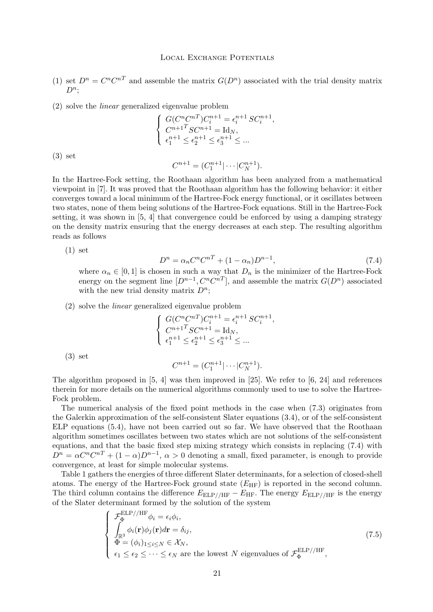- <span id="page-21-0"></span>(1) set  $D^n = C^n C^{nT}$  and assemble the matrix  $G(D^n)$  associated with the trial density matrix  $D^n;$
- (2) solve the *linear* generalized eigenvalue problem

$$
\begin{cases} G(C^n C^{nT}) C_i^{n+1} = \epsilon_i^{n+1} S C_i^{n+1}, \\ C^{n+1} S C^{n+1} = \text{Id}_N, \\ \epsilon_1^{n+1} \le \epsilon_2^{n+1} \le \epsilon_3^{n+1} \le \dots \end{cases}
$$

(3) set

$$
C^{n+1} = (C_1^{n+1} | \cdots | C_N^{n+1}).
$$

In the Hartree-Fock setting, the Roothaan algorithm has been analyzed from a mathematical viewpoint in [\[7\]](#page-40-0). It was proved that the Roothaan algorithm has the following behavior: it either converges toward a local minimum of the Hartree-Fock energy functional, or it oscillates between two states, none of them being solutions of the Hartree-Fock equations. Still in the Hartree-Fock setting, it was shown in [\[5,](#page-40-0) [4\]](#page-40-0) that convergence could be enforced by using a damping strategy on the density matrix ensuring that the energy decreases at each step. The resulting algorithm reads as follows

(1) set

$$
D^{n} = \alpha_{n}C^{n}C^{n} + (1 - \alpha_{n})D^{n-1}, \qquad (7.4)
$$

where  $\alpha_n \in [0,1]$  is chosen in such a way that  $D_n$  is the minimizer of the Hartree-Fock energy on the segment line  $[D^{n-1}, C^n C^{nT}]$ , and assemble the matrix  $G(D^n)$  associated with the new trial density matrix  $D^n$ ;

(2) solve the *linear* generalized eigenvalue problem

$$
\begin{cases} G(C^n C^{nT}) C_i^{n+1} = \epsilon_i^{n+1} S C_i^{n+1}, \\ C^{n+1} S C^{n+1} = \mathrm{Id}_N, \\ \epsilon_1^{n+1} \le \epsilon_2^{n+1} \le \epsilon_3^{n+1} \le \dots \end{cases}
$$

(3) set

$$
C^{n+1} = (C_1^{n+1} | \cdots | C_N^{n+1}).
$$

The algorithm proposed in  $[5, 4]$  $[5, 4]$  $[5, 4]$  was then improved in  $[25]$ . We refer to  $[6, 24]$  $[6, 24]$  $[6, 24]$  and references therein for more details on the numerical algorithms commonly used to use to solve the Hartree-Fock problem.

The numerical analysis of the fixed point methods in the case when [\(7.3\)](#page-20-0) originates from the Galerkin approximation of the self-consistent Slater equations [\(3.4\)](#page-8-0), or of the self-consistent ELP equations [\(5.4\)](#page-18-0), have not been carried out so far. We have observed that the Roothaan algorithm sometimes oscillates between two states which are not solutions of the self-consistent equations, and that the basic fixed step mixing strategy which consists in replacing (7.4) with  $D^{n} = \alpha C^{n} C^{n} + (1 - \alpha) D^{n-1}, \alpha > 0$  denoting a small, fixed parameter, is enough to provide convergence, at least for simple molecular systems.

Table [1](#page-22-0) gathers the energies of three different Slater determinants, for a selection of closed-shell atoms. The energy of the Hartree-Fock ground state  $(E_{HF})$  is reported in the second column. The third column contains the difference  $E_{\rm ELP//HF} - E_{\rm HF}$ . The energy  $E_{\rm ELP//HF}$  is the energy of the Slater determinant formed by the solution of the system

$$
\begin{cases}\n\mathcal{F}_{\Phi}^{\text{ELP}/\text{HF}}\phi_i = \epsilon_i \phi_i, \\
\int_{\mathbb{R}^3} \phi_i(\mathbf{r}) \phi_j(\mathbf{r}) d\mathbf{r} = \delta_{ij}, \\
\Phi = (\phi_i)_{1 \leq i \leq N} \in \mathcal{X}_N, \\
\epsilon_1 \leq \epsilon_2 \leq \cdots \leq \epsilon_N \text{ are the lowest } N \text{ eigenvalues of } \mathcal{F}_{\Phi}^{\text{ELP}/\text{/HF}},\n\end{cases}
$$
\n(7.5)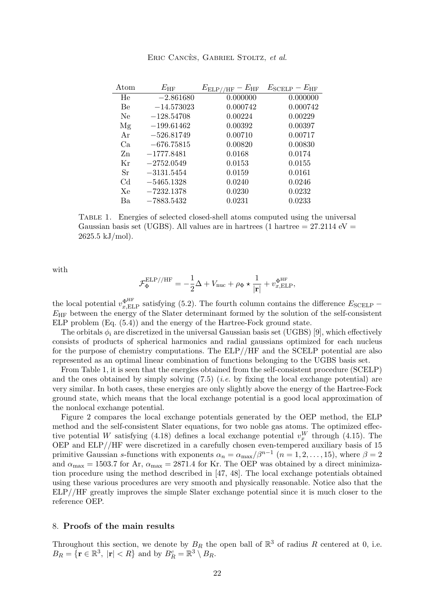<span id="page-22-0"></span>

| Atom           | $E_{\rm HF}$ | $E_{\rm ELP//HF}-E_{\rm HF}$ | $E_{\rm SCELP}-E_{\rm HF}$ |
|----------------|--------------|------------------------------|----------------------------|
| He             | $-2.861680$  | 0.000000                     | 0.000000                   |
| Be             | $-14.573023$ | 0.000742                     | 0.000742                   |
| Ne             | $-128.54708$ | 0.00224                      | 0.00229                    |
| Mg             | $-199.61462$ | 0.00392                      | 0.00397                    |
| Ar             | $-526.81749$ | 0.00710                      | 0.00717                    |
| Ca             | $-676.75815$ | 0.00820                      | 0.00830                    |
| Zn             | $-1777.8481$ | 0.0168                       | 0.0174                     |
| Кr             | $-2752.0549$ | 0.0153                       | 0.0155                     |
| Sr             | $-3131.5454$ | 0.0159                       | 0.0161                     |
| C <sub>d</sub> | $-5465.1328$ | 0.0240                       | 0.0246                     |
| Xe             | $-7232.1378$ | 0.0230                       | 0.0232                     |
| Ba             | $-7883.5432$ | 0.0231                       | 0.0233                     |

Eric Cancès, Gabriel Stoltz, *et al.*

Table 1. Energies of selected closed-shell atoms computed using the universal Gaussian basis set (UGBS). All values are in hartrees (1 hartree  $= 27.2114 \text{ eV} =$  $2625.5$  kJ/mol).

with

$$
\mathcal{F}_{\Phi}^{\mathrm{ELP//HF}} = -\frac{1}{2}\Delta + V_{\mathrm{nuc}} + \rho_{\Phi}\star\frac{1}{|\mathbf{r}|} + v_{x,\mathrm{ELP}}^{\Phi^{\mathrm{HF}}},
$$

the local potential  $v_{x,\text{ELP}}^{\text{dHF}}$  satisfying [\(5.2\)](#page-17-0). The fourth column contains the difference  $E_{\text{SCELP}}$  –  $E_{\rm HF}$  between the energy of the Slater determinant formed by the solution of the self-consistent ELP problem (Eq. [\(5.4\)](#page-18-0)) and the energy of the Hartree-Fock ground state.

The orbitals  $\phi_i$  are discretized in the universal Gaussian basis set (UGBS) [\[9\]](#page-40-0), which effectively consists of products of spherical harmonics and radial gaussians optimized for each nucleus for the purpose of chemistry computations. The ELP//HF and the SCELP potential are also represented as an optimal linear combination of functions belonging to the UGBS basis set.

From Table 1, it is seen that the energies obtained from the self-consistent procedure (SCELP) and the ones obtained by simply solving [\(7.5\)](#page-21-0) (*i.e.* by fixing the local exchange potential) are very similar. In both cases, these energies are only slightly above the energy of the Hartree-Fock ground state, which means that the local exchange potential is a good local approximation of the nonlocal exchange potential.

Figure [2](#page-23-0) compares the local exchange potentials generated by the OEP method, the ELP method and the self-consistent Slater equations, for two noble gas atoms. The optimized effec-tive potential W satisfying [\(4.18\)](#page-13-0) defines a local exchange potential  $v_x^W$  through [\(4.15\)](#page-13-0). The OEP and ELP//HF were discretized in a carefully chosen even-tempered auxiliary basis of 15 primitive Gaussian s-functions with exponents  $\alpha_n = \alpha_{\text{max}}/\beta^{n-1}$   $(n = 1, 2, ..., 15)$ , where  $\beta = 2$ and  $\alpha_{\text{max}} = 1503.7$  for Ar,  $\alpha_{\text{max}} = 2871.4$  for Kr. The OEP was obtained by a direct minimization procedure using the method described in [\[47,](#page-42-0) [48\]](#page-42-0). The local exchange potentials obtained using these various procedures are very smooth and physically reasonable. Notice also that the ELP//HF greatly improves the simple Slater exchange potential since it is much closer to the reference OEP.

## 8. **Proofs of the main results**

Throughout this section, we denote by  $B_R$  the open ball of  $\mathbb{R}^3$  of radius R centered at 0, i.e.  $B_R = \{ \mathbf{r} \in \mathbb{R}^3, \ |\mathbf{r}| < R \}$  and by  $B_R^c = \mathbb{R}^3 \setminus B_R$ .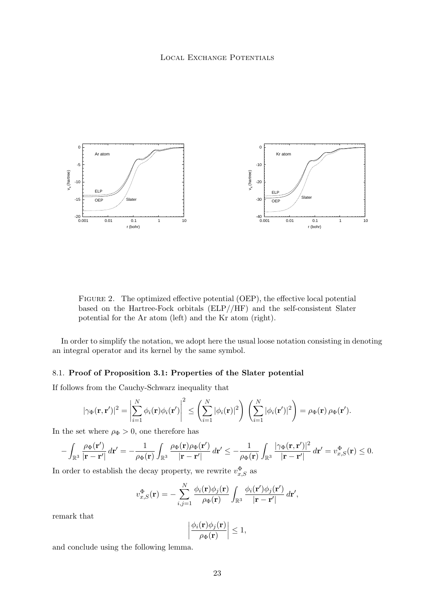<span id="page-23-0"></span>

FIGURE 2. The optimized effective potential (OEP), the effective local potential based on the Hartree-Fock orbitals (ELP//HF) and the self-consistent Slater potential for the Ar atom (left) and the Kr atom (right).

In order to simplify the notation, we adopt here the usual loose notation consisting in denoting an integral operator and its kernel by the same symbol.

# 8.1. **Proof of Proposition [3.1:](#page-7-0) Properties of the Slater potential**

If follows from the Cauchy-Schwarz inequality that

$$
|\gamma_{\Phi}(\mathbf{r},\mathbf{r}')|^2 = \left|\sum_{i=1}^N \phi_i(\mathbf{r})\phi_i(\mathbf{r}')\right|^2 \le \left(\sum_{i=1}^N |\phi_i(\mathbf{r})|^2\right) \left(\sum_{i=1}^N |\phi_i(\mathbf{r}')|^2\right) = \rho_{\Phi}(\mathbf{r}) \rho_{\Phi}(\mathbf{r}').
$$

In the set where  $\rho_{\Phi} > 0$ , one therefore has

$$
-\int_{\mathbb{R}^3}\frac{\rho_\Phi(\mathbf{r}')}{|\mathbf{r}-\mathbf{r}'|}\,d\mathbf{r}'=-\frac{1}{\rho_\Phi(\mathbf{r})}\int_{\mathbb{R}^3}\frac{\rho_\Phi(\mathbf{r})\rho_\Phi(\mathbf{r}')}{|\mathbf{r}-\mathbf{r}'|}\,d\mathbf{r}'\leq -\frac{1}{\rho_\Phi(\mathbf{r})}\int_{\mathbb{R}^3}\frac{|\gamma_\Phi(\mathbf{r},\mathbf{r}')|^2}{|\mathbf{r}-\mathbf{r}'|}\,d\mathbf{r}'=v_{x,S}^\Phi(\mathbf{r})\leq 0.
$$

In order to establish the decay property, we rewrite  $v_{x, S}^{\Phi}$  as

$$
v_{x,S}^{\Phi}(\mathbf{r}) = -\sum_{i,j=1}^{N} \frac{\phi_i(\mathbf{r})\phi_j(\mathbf{r})}{\rho_{\Phi}(\mathbf{r})} \int_{\mathbb{R}^3} \frac{\phi_i(\mathbf{r}')\phi_j(\mathbf{r}')}{|\mathbf{r} - \mathbf{r}'|} d\mathbf{r}',
$$

remark that

$$
\left|\frac{\phi_i(\mathbf{r})\phi_j(\mathbf{r})}{\rho_{\Phi}(\mathbf{r})}\right| \le 1,
$$

and conclude using the following lemma.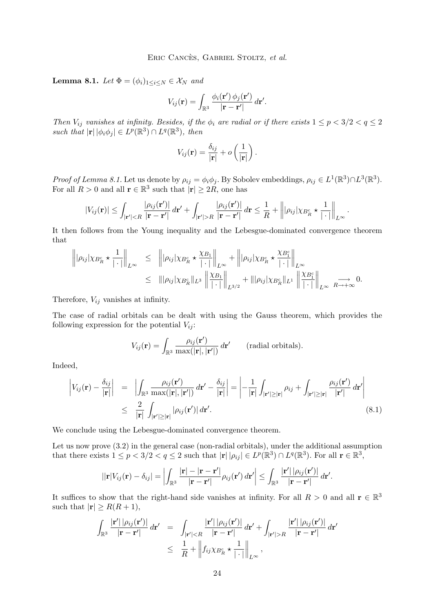<span id="page-24-0"></span>**Lemma 8.1.** *Let*  $\Phi = (\phi_i)_{1 \leq i \leq N} \in \mathcal{X}_N$  *and* 

$$
V_{ij}(\mathbf{r}) = \int_{\mathbb{R}^3} \frac{\phi_i(\mathbf{r}') \phi_j(\mathbf{r}')}{|\mathbf{r} - \mathbf{r}'|} d\mathbf{r}'.
$$

*Then*  $V_{ij}$  *vanishes at infinity. Besides, if the*  $\phi_i$  *are radial or if there exists*  $1 \leq p < 3/2 < q \leq 2$ such that  $|\mathbf{r}| |\phi_i \phi_j| \in L^p(\mathbb{R}^3) \cap L^q(\mathbb{R}^3)$ , then

$$
V_{ij}(\mathbf{r}) = \frac{\delta_{ij}}{|\mathbf{r}|} + o\left(\frac{1}{|\mathbf{r}|}\right).
$$

*Proof of Lemma [8.1.](#page-23-0)* Let us denote by  $\rho_{ij} = \phi_i \phi_j$ . By Sobolev embeddings,  $\rho_{ij} \in L^1(\mathbb{R}^3) \cap L^3(\mathbb{R}^3)$ . For all  $R > 0$  and all  $\mathbf{r} \in \mathbb{R}^3$  such that  $|\mathbf{r}| \geq 2R$ , one has

$$
|V_{ij}(\mathbf{r})| \leq \int_{|\mathbf{r}'| < R} \frac{|\rho_{ij}(\mathbf{r}')|}{|\mathbf{r} - \mathbf{r}'|} d\mathbf{r}' + \int_{|\mathbf{r}'| > R} \frac{|\rho_{ij}(\mathbf{r}')|}{|\mathbf{r} - \mathbf{r}'|} d\mathbf{r} \leq \frac{1}{R} + \left\| |\rho_{ij}| \chi_{B_R^c} \star \frac{1}{|\cdot|} \right\|_{L^\infty}.
$$

It then follows from the Young inequality and the Lebesgue-dominated convergence theorem that

$$
\left\| |\rho_{ij}| \chi_{B_R^c} \star \frac{1}{|\cdot|} \right\|_{L^\infty} \leq \left\| |\rho_{ij}| \chi_{B_R^c} \star \frac{\chi_{B_1}}{|\cdot|} \right\|_{L^\infty} + \left\| |\rho_{ij}| \chi_{B_R^c} \star \frac{\chi_{B_1^c}}{|\cdot|} \right\|_{L^\infty}
$$
  

$$
\leq |||\rho_{ij}| \chi_{B_R^c} ||_{L^3} \left\| \frac{\chi_{B_1}}{|\cdot|} \right\|_{L^{3/2}} + |||\rho_{ij}| \chi_{B_R^c} ||_{L^1} \left\| \frac{\chi_{B_1^c}}{|\cdot|} \right\|_{L^\infty} \xrightarrow{R \to +\infty} 0.
$$

Therefore,  $V_{ij}$  vanishes at infinity.

The case of radial orbitals can be dealt with using the Gauss theorem, which provides the following expression for the potential  $V_{ij}$ :

$$
V_{ij}(\mathbf{r}) = \int_{\mathbb{R}^3} \frac{\rho_{ij}(\mathbf{r}')}{\max(|\mathbf{r}|, |\mathbf{r}'|)} d\mathbf{r}'
$$
 (radial orbitals).

Indeed,

$$
\begin{split}\n\left|V_{ij}(\mathbf{r}) - \frac{\delta_{ij}}{|\mathbf{r}|}\right| &= \left|\int_{\mathbb{R}^3} \frac{\rho_{ij}(\mathbf{r}')}{\max(|\mathbf{r}|, |\mathbf{r}'|)} \, d\mathbf{r}' - \frac{\delta_{ij}}{|\mathbf{r}|}\right| = \left| -\frac{1}{|\mathbf{r}|} \int_{|\mathbf{r}'| \ge |\mathbf{r}|} \rho_{ij} + \int_{|\mathbf{r}'| \ge |\mathbf{r}|} \frac{\rho_{ij}(\mathbf{r}')}{|\mathbf{r}'|} \, d\mathbf{r}'\right| \\
&\le \frac{2}{|\mathbf{r}|} \int_{|\mathbf{r}'| \ge |\mathbf{r}|} |\rho_{ij}(\mathbf{r}')| \, d\mathbf{r}'.\n\end{split} \tag{8.1}
$$

We conclude using the Lebesgue-dominated convergence theorem.

Let us now prove [\(3.2\)](#page-7-0) in the general case (non-radial orbitals), under the additional assumption that there exists  $1 \le p < 3/2 < q \le 2$  such that  $|\mathbf{r}| |\rho_{ij}| \in L^p(\mathbb{R}^3) \cap L^q(\mathbb{R}^3)$ . For all  $\mathbf{r} \in \mathbb{R}^3$ ,

$$
||\mathbf{r}|V_{ij}(\mathbf{r}) - \delta_{ij}| = \left| \int_{\mathbb{R}^3} \frac{|\mathbf{r}| - |\mathbf{r} - \mathbf{r}'|}{|\mathbf{r} - \mathbf{r}'|} \rho_{ij}(\mathbf{r}') d\mathbf{r}' \right| \leq \int_{\mathbb{R}^3} \frac{|\mathbf{r}'| |\rho_{ij}(\mathbf{r}')|}{|\mathbf{r} - \mathbf{r}'|} d\mathbf{r}'.
$$

It suffices to show that the right-hand side vanishes at infinity. For all  $R > 0$  and all  $r \in \mathbb{R}^3$ such that  $|\mathbf{r}| \geq R(R+1)$ ,

$$
\int_{\mathbb{R}^3} \frac{|\mathbf{r}'| |\rho_{ij}(\mathbf{r}')|}{|\mathbf{r} - \mathbf{r}'|} d\mathbf{r}' = \int_{|\mathbf{r}'| < R} \frac{|\mathbf{r}'| |\rho_{ij}(\mathbf{r}')|}{|\mathbf{r} - \mathbf{r}'|} d\mathbf{r}' + \int_{|\mathbf{r}'| > R} \frac{|\mathbf{r}'| |\rho_{ij}(\mathbf{r}')|}{|\mathbf{r} - \mathbf{r}'|} d\mathbf{r}'
$$
\n
$$
\leq \frac{1}{R} + \left\| f_{ij} \chi_{B_R^c} \star \frac{1}{|\cdot|} \right\|_{L^{\infty}},
$$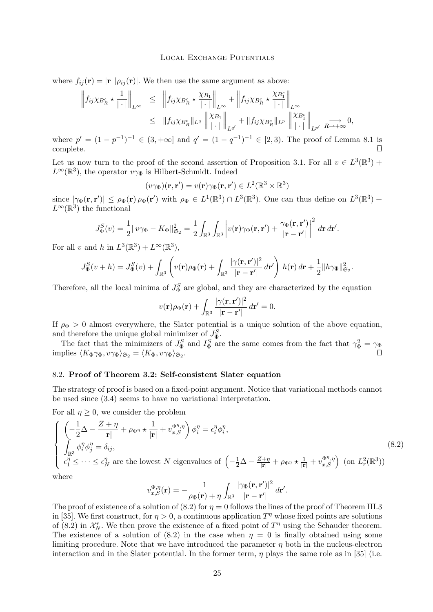<span id="page-25-0"></span>where  $f_{ij}(\mathbf{r}) = |\mathbf{r}| |\rho_{ij}(\mathbf{r})|$ . We then use the same argument as above:

$$
\left\|f_{ij}\chi_{B_R^c} \star \frac{1}{|\cdot|} \right\|_{L^\infty} \leq \left\|f_{ij}\chi_{B_R^c} \star \frac{\chi_{B_1}}{|\cdot|} \right\|_{L^\infty} + \left\|f_{ij}\chi_{B_R^c} \star \frac{\chi_{B_1^c}}{|\cdot|} \right\|_{L^\infty}
$$
  

$$
\leq \|f_{ij}\chi_{B_R^c} \|_{L^q} \left\|\frac{\chi_{B_1}}{|\cdot|} \right\|_{L^{q'}} + \|f_{ij}\chi_{B_R^c} \|_{L^p} \left\|\frac{\chi_{B_1^c}}{|\cdot|} \right\|_{L^{p'}} \xrightarrow{R \to +\infty} 0,
$$

where  $p' = (1 - p^{-1})^{-1} \in (3, +\infty]$  and  $q' = (1 - q^{-1})^{-1} \in [2, 3)$ . The proof of Lemma [8.1](#page-23-0) is  $\Box$ complete.  $\Box$ 

Let us now turn to the proof of the second assertion of Proposition [3.1.](#page-7-0) For all  $v \in L^3(\mathbb{R}^3)$  +  $L^{\infty}(\mathbb{R}^{3})$ , the operator  $v\gamma_{\Phi}$  is Hilbert-Schmidt. Indeed

$$
(v\gamma_{\Phi})(\mathbf{r},\mathbf{r}')=v(\mathbf{r})\gamma_{\Phi}(\mathbf{r},\mathbf{r}')\in L^{2}(\mathbb{R}^{3}\times\mathbb{R}^{3})
$$

since  $|\gamma_{\Phi}(\mathbf{r}, \mathbf{r}')| \leq \rho_{\Phi}(\mathbf{r}) \rho_{\Phi}(\mathbf{r}')$  with  $\rho_{\Phi} \in L^1(\mathbb{R}^3) \cap L^3(\mathbb{R}^3)$ . One can thus define on  $L^3(\mathbb{R}^3)$  +  $L^{\infty}(\mathbb{R}^3)$  the functional

$$
J^S_{\Phi}(v) = \frac{1}{2} ||v\gamma_{\Phi} - K_{\Phi}||^2_{\mathfrak{S}_2} = \frac{1}{2} \int_{\mathbb{R}^3} \int_{\mathbb{R}^3} \left| v(\mathbf{r})\gamma_{\Phi}(\mathbf{r}, \mathbf{r}') + \frac{\gamma_{\Phi}(\mathbf{r}, \mathbf{r}')}{|\mathbf{r} - \mathbf{r}'|} \right|^2 d\mathbf{r} d\mathbf{r}'.
$$

For all v and h in  $L^3(\mathbb{R}^3) + L^\infty(\mathbb{R}^3)$ ,

$$
J^S_{\Phi}(v+h) = J^S_{\Phi}(v) + \int_{\mathbb{R}^3} \left( v(\mathbf{r}) \rho_{\Phi}(\mathbf{r}) + \int_{\mathbb{R}^3} \frac{|\gamma(\mathbf{r}, \mathbf{r}')|^2}{|\mathbf{r} - \mathbf{r}'|} d\mathbf{r}' \right) h(\mathbf{r}) d\mathbf{r} + \frac{1}{2} \|h\gamma_{\Phi}\|_{\mathfrak{S}_2}^2.
$$

Therefore, all the local minima of  $J_{\Phi}^S$  are global, and they are characterized by the equation

$$
v(\mathbf{r})\rho_{\Phi}(\mathbf{r}) + \int_{\mathbb{R}^3} \frac{|\gamma(\mathbf{r}, \mathbf{r}')|^2}{|\mathbf{r} - \mathbf{r}'|} d\mathbf{r}' = 0.
$$

If  $\rho_{\Phi} > 0$  almost everywhere, the Slater potential is a unique solution of the above equation, and therefore the unique global minimizer of  $J_{\Phi}^{S}$ .

The fact that the minimizers of  $J_{\Phi}^S$  and  $I_{\Phi}^S$  are the same comes from the fact that  $\gamma_{\Phi}^2 = \gamma_{\Phi}$ implies  $\langle K_{\Phi} \gamma_{\Phi}, v \gamma_{\Phi} \rangle_{\mathfrak{S}_2} = \langle K_{\Phi}, v \gamma_{\Phi} \rangle_{\mathfrak{S}_2}.$ . Utilization of the contract of the contract of the contract of the contract of the contract of the contract of

## 8.2. **Proof of Theorem [3.2:](#page-8-0) Self-consistent Slater equation**

The strategy of proof is based on a fixed-point argument. Notice that variational methods cannot be used since [\(3.4\)](#page-8-0) seems to have no variational interpretation.

For all  $\eta \geq 0$ , we consider the problem

$$
\begin{cases}\n\left(-\frac{1}{2}\Delta - \frac{Z+\eta}{|\mathbf{r}|} + \rho_{\Phi^{\eta}} \star \frac{1}{|\mathbf{r}|} + v_{x,S}^{\Phi^{\eta},\eta}\right)\phi_i^{\eta} = \epsilon_i^{\eta}\phi_i^{\eta}, \\
\int_{\mathbb{R}^3} \phi_i^{\eta}\phi_j^{\eta} = \delta_{ij}, \\
\epsilon_1^{\eta} \leq \cdots \leq \epsilon_N^{\eta} \text{ are the lowest } N \text{ eigenvalues of } \left(-\frac{1}{2}\Delta - \frac{Z+\eta}{|\mathbf{r}|} + \rho_{\Phi^{\eta}} \star \frac{1}{|\mathbf{r}|} + v_{x,S}^{\Phi^{\eta},\eta}\right) \text{ (on } L^2_r(\mathbb{R}^3))\n\end{cases}
$$
\n(8.2)

where

$$
v_{x,S}^{\Phi,\eta}(\mathbf{r}) = -\frac{1}{\rho_{\Phi}(\mathbf{r}) + \eta} \int_{\mathbb{R}^3} \frac{|\gamma_{\Phi}(\mathbf{r}, \mathbf{r}')|^2}{|\mathbf{r} - \mathbf{r}'|} d\mathbf{r}'.
$$

The proof of existence of a solution of  $(8.2)$  for  $\eta = 0$  follows the lines of the proof of Theorem III.3 in [\[35\]](#page-41-0). We first construct, for  $\eta > 0$ , a continuous application  $T^{\eta}$  whose fixed points are solutions of (8.2) in  $\mathcal{X}_N^r$ . We then prove the existence of a fixed point of  $T^{\eta}$  using the Schauder theorem. The existence of a solution of (8.2) in the case when  $\eta = 0$  is finally obtained using some limiting procedure. Note that we have introduced the parameter  $\eta$  both in the nucleus-electron interaction and in the Slater potential. In the former term,  $\eta$  plays the same role as in [\[35\]](#page-41-0) (i.e.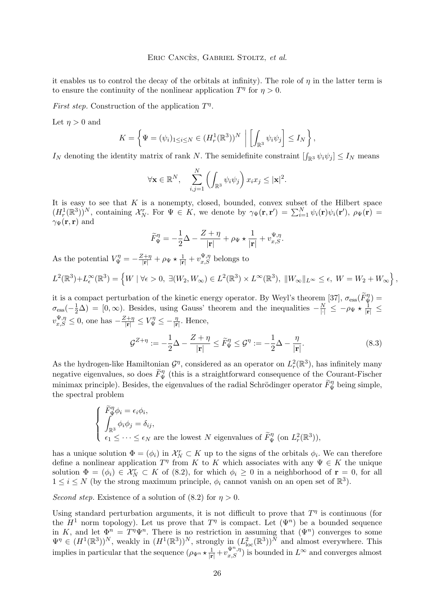## Eric Cancès, Gabriel Stoltz, *et al.*

<span id="page-26-0"></span>it enables us to control the decay of the orbitals at infinity). The role of  $\eta$  in the latter term is to ensure the continuity of the nonlinear application  $T^{\eta}$  for  $\eta > 0$ .

*First step.* Construction of the application  $T^{\eta}$ .

Let  $\eta > 0$  and

$$
K = \left\{ \Psi = (\psi_i)_{1 \leq i \leq N} \in (H^1_r(\mathbb{R}^3))^{N} \middle| \left[ \int_{\mathbb{R}^3} \psi_i \psi_j \right] \leq I_N \right\},\
$$

 $I_N$  denoting the identity matrix of rank N. The semidefinite constraint  $\left[\int_{\mathbb{R}^3} \psi_i \psi_j\right] \leq I_N$  means

$$
\forall \mathbf{x} \in \mathbb{R}^N, \quad \sum_{i,j=1}^N \left( \int_{\mathbb{R}^3} \psi_i \psi_j \right) x_i x_j \leq |\mathbf{x}|^2.
$$

It is easy to see that  $K$  is a nonempty, closed, bounded, convex subset of the Hilbert space  $(H_r^1(\mathbb{R}^3))^N$ , containing  $\mathcal{X}_N^r$ . For  $\Psi \in K$ , we denote by  $\gamma_{\Psi}(\mathbf{r},\mathbf{r}') = \sum_{i=1}^N \psi_i(\mathbf{r})\psi_i(\mathbf{r}')$ ,  $\rho_{\Psi}(\mathbf{r}) =$  $\gamma_{\Psi}({\bf r},{\bf r})$  and

$$
\widetilde{F}_{\Psi}^{\eta} = -\frac{1}{2}\Delta - \frac{Z + \eta}{|\mathbf{r}|} + \rho_{\Psi} \star \frac{1}{|\mathbf{r}|} + v_{x,S}^{\Psi, \eta}.
$$

As the potential  $V_{\Psi}^{\eta} = -\frac{Z+\eta}{|\mathbf{r}|} + \rho_{\Psi} \star \frac{1}{|\mathbf{r}|} + v_{x,S}^{\Psi,\eta}$  belongs to

$$
L^{2}(\mathbb{R}^{3})+L_{\epsilon}^{\infty}(\mathbb{R}^{3})=\left\{W\mid\forall\epsilon>0,\ \exists(W_{2},W_{\infty})\in L^{2}(\mathbb{R}^{3})\times L^{\infty}(\mathbb{R}^{3}),\ \|W_{\infty}\|_{L^{\infty}}\leq\epsilon,\ W=W_{2}+W_{\infty}\right\},
$$

it is a compact perturbation of the kinetic energy operator. By Weyl's theorem [\[37\]](#page-41-0),  $\sigma_{\rm ess}(\tilde{F}_{\Psi}^{\eta}) =$  $\sigma_{\rm ess}(-\frac{1}{2}\Delta) = [0,\infty)$ . Besides, using Gauss' theorem and the inequalities  $-\frac{N}{|\cdot|} \leq -\rho_{\Psi} \star \frac{1}{|\mathbf{r}|} \leq$  $v_{x,S}^{\Psi,\eta} \leq 0$ , one has  $-\frac{Z+\eta}{|\mathbf{r}|} \leq V_{\Psi}^{\eta} \leq -\frac{\eta}{|\mathbf{r}|}$ . Hence,

$$
\mathcal{G}^{Z+\eta} := -\frac{1}{2}\Delta - \frac{Z+\eta}{|\mathbf{r}|} \le \widetilde{F}_{\Psi}^{\eta} \le \mathcal{G}^{\eta} := -\frac{1}{2}\Delta - \frac{\eta}{|\mathbf{r}|}.
$$
\n(8.3)

As the hydrogen-like Hamiltonian  $\mathcal{G}^{\eta}$ , considered as an operator on  $L_r^2(\mathbb{R}^3)$ , has infinitely many negative eigenvalues, so does  $\tilde{F}_{\Psi}^{\eta}$  (this is a straightforward consequence of the Courant-Fischer minimax principle). Besides, the eigenvalues of the radial Schrödinger operator  $\tilde{F}_{\Psi}^{\eta}$  being simple, the spectral problem

$$
\begin{cases}\n\widetilde{F}_{\Psi}^{\eta}\phi_i = \epsilon_i \phi_i, \\
\int_{\mathbb{R}^3} \phi_i \phi_j = \delta_{ij}, \\
\epsilon_1 \leq \cdots \leq \epsilon_N \text{ are the lowest } N \text{ eigenvalues of } \widetilde{F}_{\Psi}^{\eta} \text{ (on } L^2_r(\mathbb{R}^3)),\n\end{cases}
$$

has a unique solution  $\Phi = (\phi_i)$  in  $\mathcal{X}_N^r \subset K$  up to the signs of the orbitals  $\phi_i$ . We can therefore define a nonlinear application  $T^{\eta}$  from K to K which associates with any  $\Psi \in K$  the unique solution  $\Phi = (\phi_i) \in \mathcal{X}_N^r \subset K$  of [\(8.2\)](#page-25-0), for which  $\phi_i \geq 0$  in a neighborhood of  $\mathbf{r} = 0$ , for all  $1 \leq i \leq N$  (by the strong maximum principle,  $\phi_i$  cannot vanish on an open set of  $\mathbb{R}^3$ ).

*Second step.* Existence of a solution of  $(8.2)$  for  $\eta > 0$ .

Using standard perturbation arguments, it is not difficult to prove that  $T^{\eta}$  is continuous (for the  $H^1$  norm topology). Let us prove that  $T^{\eta}$  is compact. Let  $(\Psi^n)$  be a bounded sequence in K, and let  $\Phi^n = T^n \Psi^n$ . There is no restriction in assuming that  $(\Psi^n)$  converges to some  $\Psi^{\eta} \in (H^1(\mathbb{R}^3))^{N}$ , weakly in  $(H^1(\mathbb{R}^3))^{N}$ , strongly in  $(L_{\text{loc}}^2(\mathbb{R}^3))^{N}$  and almost everywhere. This implies in particular that the sequence  $(\rho_{\Psi^n} \star \frac{1}{|\mathbf{r}|} + v_{x,S}^{\Psi^n,\eta})$  is bounded in  $L^{\infty}$  and converges almost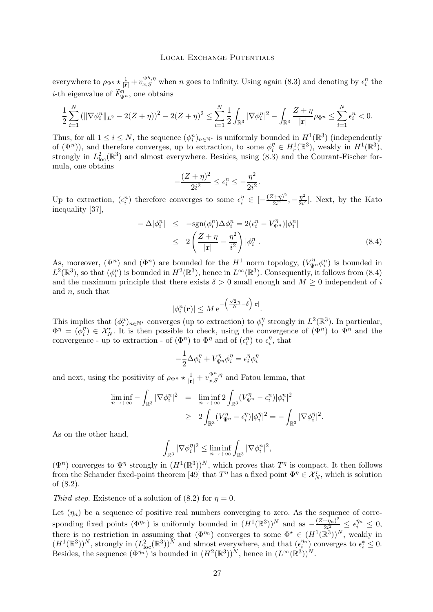everywhere to  $\rho_{\Psi^{\eta}} \star \frac{1}{|\mathbf{r}|} + v_{x,S}^{\Psi^{\eta},\eta}$  when n goes to infinity. Using again [\(8.3\)](#page-26-0) and denoting by  $\epsilon_i^n$  the *i*-th eigenvalue of  $\widetilde{F}_{\Psi^n}^{\eta}$ , one obtains

$$
\frac{1}{2}\sum_{i=1}^N\left(\|\nabla\phi_i^n\|_{L^2}-2(Z+\eta)^2-2(Z+\eta)^2\leq \sum_{i=1}^N\frac{1}{2}\int_{\mathbb{R}^3}|\nabla\phi_i^n|^2-\int_{\mathbb{R}^3}\frac{Z+\eta}{|\mathbf{r}|}\rho_{\Phi^n}\leq \sum_{i=1}^N\epsilon_i^n<0.
$$

Thus, for all  $1 \leq i \leq N$ , the sequence  $(\phi_i^n)_{n \in \mathbb{N}^*}$  is uniformly bounded in  $H^1(\mathbb{R}^3)$  (independently of  $(\Psi^n)$ ), and therefore converges, up to extraction, to some  $\phi_i^{\eta} \in H_r^1(\mathbb{R}^3)$ , weakly in  $H^1(\mathbb{R}^3)$ , strongly in  $L^2_{loc}(\mathbb{R}^3)$  and almost everywhere. Besides, using [\(8.3\)](#page-26-0) and the Courant-Fischer formula, one obtains

$$
-\frac{(Z+\eta)^2}{2i^2}\leq \epsilon_i^n\leq -\frac{\eta^2}{2i^2}.
$$

Up to extraction,  $(\epsilon_i^n)$  therefore converges to some  $\epsilon_i^{\eta} \in \left[-\frac{(Z+\eta)^2}{2i^2}\right]$  $\frac{(7+i\eta)^2}{2i^2}, -\frac{\eta^2}{2i^2}$  $\frac{\eta^2}{2i^2}$ . Next, by the Kato inequality [\[37\]](#page-41-0),

$$
-\Delta|\phi_i^n| \leq -\text{sgn}(\phi_i^n)\Delta\phi_i^n = 2(\epsilon_i^n - V_{\Psi^n}^{\eta})|\phi_i^n|
$$
  

$$
\leq 2\left(\frac{Z+\eta}{|\mathbf{r}|} - \frac{\eta^2}{i^2}\right)|\phi_i^n|.
$$
 (8.4)

As, moreover,  $(\Psi^n)$  and  $(\Phi^n)$  are bounded for the  $H^1$  norm topology,  $(V_{\Psi^n}^{\eta} \phi_i^n)$  is bounded in  $L^2(\mathbb{R}^3)$ , so that  $(\phi_i^n)$  is bounded in  $H^2(\mathbb{R}^3)$ , hence in  $L^\infty(\mathbb{R}^3)$ . Consequently, it follows from (8.4) and the maximum principle that there exists  $\delta > 0$  small enough and  $M \geq 0$  independent of i and  $n$ , such that

$$
|\phi_i^n(\mathbf{r})| \leq M e^{-\left(\frac{\sqrt{2}\,\eta}{N} - \delta\right)|\mathbf{r}|}.
$$

This implies that  $(\phi_i^n)_{n \in \mathbb{N}^*}$  converges (up to extraction) to  $\phi_i^n$  $i<sup>η</sup>$  strongly in  $L<sup>2</sup>(\mathbb{R}<sup>3</sup>)$ . In particular,  $\Phi^{\eta} = \dot{(\phi^{\eta}_i)}$  $i^{\eta}$   $\in \mathcal{X}_N^r$ . It is then possible to check, using the convergence of  $(\Psi^n)$  to  $\Psi^n$  and the convergence - up to extraction - of  $(\Phi^n)$  to  $\Phi^n$  and of  $(\epsilon_i^n)$  to  $\epsilon_i^n$  $i^{\eta}$ , that

$$
-\frac{1}{2}\Delta\phi_i^{\eta} + V_{\Psi^{\eta}}^{\eta} \phi_i^{\eta} = \epsilon_i^{\eta} \phi_i^{\eta}
$$

and next, using the positivity of  $\rho_{\Psi^n} \star \frac{1}{|\mathbf{r}|} + v_{x,S}^{\Psi^n,\eta}$  and Fatou lemma, that

$$
\liminf_{n \to +\infty} -\int_{\mathbb{R}^3} |\nabla \phi_i^n|^2 = \liminf_{n \to +\infty} 2 \int_{\mathbb{R}^3} (V_{\Psi^n}^{\eta} - \epsilon_i^n) |\phi_i^n|^2
$$
  
\n
$$
\geq 2 \int_{\mathbb{R}^3} (V_{\Psi^n}^{\eta} - \epsilon_i^n) |\phi_i^n|^2 = - \int_{\mathbb{R}^3} |\nabla \phi_i^n|^2.
$$

As on the other hand,

$$
\int_{\mathbb{R}^3} |\nabla \phi_i^{\eta}|^2 \le \liminf_{n \to +\infty} \int_{\mathbb{R}^3} |\nabla \phi_i^n|^2,
$$

 $(\Psi^n)$  converges to  $\Psi^n$  strongly in  $(H^1(\mathbb{R}^3))^N$ , which proves that  $T^n$  is compact. It then follows from the Schauder fixed-point theorem [\[49\]](#page-42-0) that  $T^{\eta}$  has a fixed point  $\Phi^{\eta} \in \mathcal{X}_N^r$ , which is solution of [\(8.2\)](#page-25-0).

*Third step.* Existence of a solution of  $(8.2)$  for  $\eta = 0$ .

Let  $(\eta_n)$  be a sequence of positive real numbers converging to zero. As the sequence of corresponding fixed points  $(\Phi^{\eta_n})$  is uniformly bounded in  $(H^1(\mathbb{R}^3))^N$  and as  $-\frac{(Z+\eta_n)^2}{2\sigma^2}$  $\frac{(\eta_n)^2}{2i^2} \leq \epsilon_1^{\eta_n} \leq 0,$ there is no restriction in assuming that  $(\Phi^{\eta_n})$  converges to some  $\Phi^* \in (H^1(\mathbb{R}^3))^N$ , weakly in  $(H^1(\mathbb{R}^3))^N$ , strongly in  $(L^2_{loc}(\mathbb{R}^3))^N$  and almost everywhere, and that  $(\epsilon_i^{\eta_n})$  converges to  $\epsilon_i^* \leq 0$ . Besides, the sequence  $(\Phi^{\eta_n})$  is bounded in  $(H^2(\mathbb{R}^3))^N$ , hence in  $(L^{\infty}(\mathbb{R}^3))^N$ .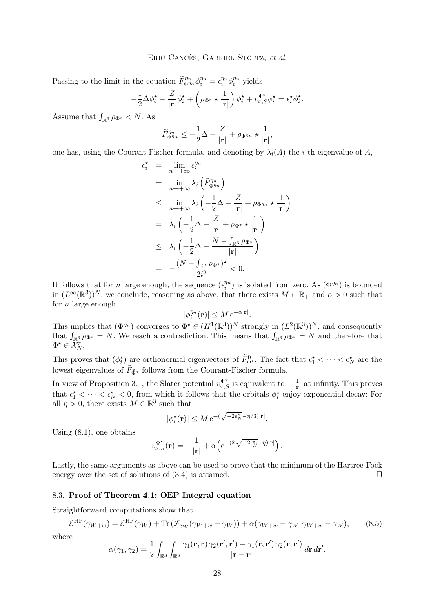<span id="page-28-0"></span>Passing to the limit in the equation  $\tilde{F}_{\Phi^{n_n}}^{\eta_n} \phi_i^{\eta_n} = \epsilon_i^{\eta_n} \phi_i^{\eta_n}$  yields

$$
-\frac{1}{2}\Delta\phi_i^{\star} - \frac{Z}{|\mathbf{r}|}\phi_i^{\star} + \left(\rho_{\Phi^{\star}} \star \frac{1}{|\mathbf{r}|}\right)\phi_i^{\star} + v_{x,S}^{\Phi^{\star}}\phi_i^{\star} = \epsilon_i^{\star}\phi_i^{\star}.
$$

Assume that  $\int_{\mathbb{R}^3} \rho_{\Phi^{\star}} < N$ . As

$$
\widetilde{F}_{\Phi^{\eta_n}}^{\eta_n} \leq -\frac{1}{2}\Delta - \frac{Z}{|\mathbf{r}|} + \rho_{\Phi^{\eta_n}} \star \frac{1}{|\mathbf{r}|},
$$

one has, using the Courant-Fischer formula, and denoting by  $\lambda_i(A)$  the *i*-th eigenvalue of A,

$$
\epsilon_i^{\star} = \lim_{n \to +\infty} \epsilon_i^{\eta_n}
$$
\n
$$
= \lim_{n \to +\infty} \lambda_i \left( \tilde{F}_{\Phi^{\eta_n}}^{\eta_n} \right)
$$
\n
$$
\leq \lim_{n \to +\infty} \lambda_i \left( -\frac{1}{2}\Delta - \frac{Z}{|\mathbf{r}|} + \rho_{\Phi^{\eta_n}} \star \frac{1}{|\mathbf{r}|} \right)
$$
\n
$$
= \lambda_i \left( -\frac{1}{2}\Delta - \frac{Z}{|\mathbf{r}|} + \rho_{\Phi^{\star}} \star \frac{1}{|\mathbf{r}|} \right)
$$
\n
$$
\leq \lambda_i \left( -\frac{1}{2}\Delta - \frac{N - \int_{\mathbb{R}^3} \rho_{\Phi^{\star}}}{|\mathbf{r}|} \right)
$$
\n
$$
= -\frac{(N - \int_{\mathbb{R}^3} \rho_{\Phi^{\star}})^2}{2i^2} < 0.
$$

It follows that for *n* large enough, the sequence  $(\epsilon_i^{\eta_n})$  is isolated from zero. As  $(\Phi^{\eta_n})$  is bounded in  $(L^{\infty}(\mathbb{R}^3))^N$ , we conclude, reasoning as above, that there exists  $M \in \mathbb{R}_+$  and  $\alpha > 0$  such that for  $n$  large enough

$$
|\phi_i^{\eta_n}(\mathbf{r})| \le M e^{-\alpha |\mathbf{r}|}.
$$

This implies that  $(\Phi^{\eta_n})$  converges to  $\Phi^* \in (H^1(\mathbb{R}^3))^N$  strongly in  $(L^2(\mathbb{R}^3))^N$ , and consequently that  $\int_{\mathbb{R}^3} \rho_{\Phi^*} = N$ . We reach a contradiction. This means that  $\int_{\mathbb{R}^3} \rho_{\Phi^*} = N$  and therefore that  $\Phi^{\star} \in \mathcal{X}_N^r.$ 

This proves that  $(\phi_i^*)$  are orthonormal eigenvectors of  $\tilde{F}_{\Phi^*}^0$ . The fact that  $\epsilon_1^* < \cdots < \epsilon_N^*$  are the lowest eigenvalues of  $\widetilde{F}_{\Phi^*}^0$  follows from the Courant-Fischer formula.

In view of Proposition [3.1,](#page-7-0) the Slater potential  $v_{x,S}^{\Phi^{\star}}$  is equivalent to  $-\frac{1}{|\mathbf{r}|}$  $\frac{1}{|\mathbf{r}|}$  at infinity. This proves that  $\epsilon_1^* < \cdots < \epsilon_N^* < 0$ , from which it follows that the orbitals  $\phi_i^*$  enjoy exponential decay: For all  $\eta > 0$ , there exists  $M \in \mathbb{R}^3$  such that

$$
|\phi_i^{\star}(\mathbf{r})| \le M e^{-(\sqrt{-2\epsilon_N^{\star}} - \eta/3)|\mathbf{r}|}.
$$

Using [\(8.1\)](#page-24-0), one obtains

$$
v_{x,S}^{\Phi^{\star}}(\mathbf{r}) = -\frac{1}{|\mathbf{r}|} + o\left(e^{-(2\sqrt{-2\epsilon_N^{\star}} - \eta)|\mathbf{r}|}\right).
$$

Lastly, the same arguments as above can be used to prove that the minimum of the Hartree-Fock energy over the set of solutions of  $(3.4)$  is attained.

## 8.3. **Proof of Theorem [4.1:](#page-13-0) OEP Integral equation**

Straightforward computations show that

$$
\mathcal{E}^{\rm HF}(\gamma_{W+w}) = \mathcal{E}^{\rm HF}(\gamma_W) + \text{Tr}\left(\mathcal{F}_{\gamma_W}(\gamma_{W+w} - \gamma_W)\right) + \alpha(\gamma_{W+w} - \gamma_W, \gamma_{W+w} - \gamma_W),\tag{8.5}
$$

where

$$
\alpha(\gamma_1, \gamma_2) = \frac{1}{2} \int_{\mathbb{R}^3} \int_{\mathbb{R}^3} \frac{\gamma_1(\mathbf{r}, \mathbf{r}) \, \gamma_2(\mathbf{r}', \mathbf{r}') - \gamma_1(\mathbf{r}, \mathbf{r}') \, \gamma_2(\mathbf{r}, \mathbf{r}')}{|\mathbf{r} - \mathbf{r}'|} \, d\mathbf{r} \, d\mathbf{r}'.
$$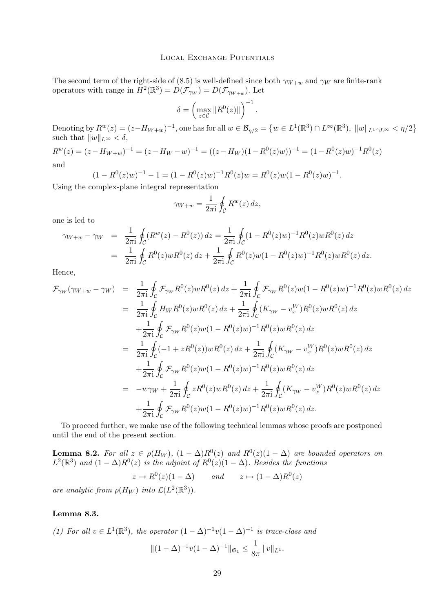<span id="page-29-0"></span>The second term of the right-side of [\(8.5\)](#page-28-0) is well-defined since both  $\gamma_{W+w}$  and  $\gamma_W$  are finite-rank operators with range in  $H^2(\mathbb{R}^3) = D(\mathcal{F}_{\gamma_W}) = D(\mathcal{F}_{\gamma_{W+w}})$ . Let

$$
\delta = \left( \max_{z \in \mathcal{C}} \| R^0(z) \| \right)^{-1}.
$$

Denoting by  $R^w(z) = (z - H_{W+w})^{-1}$ , one has for all  $w \in \mathcal{B}_{\eta/2} = \{w \in L^1(\mathbb{R}^3) \cap L^\infty(\mathbb{R}^3), \|w\|_{L^1 \cap L^\infty} < \eta/2\}$ such that  $||w||_{L^{\infty}} < \delta$ ,

 $R^{w}(z) = (z - H_{W+w})^{-1} = (z - H_{W} - w)^{-1} = ((z - H_{W})(1 - R^{0}(z)w))^{-1} = (1 - R^{0}(z)w)^{-1}R^{0}(z)$ and

$$
(1 - R^{0}(z)w)^{-1} - 1 = (1 - R^{0}(z)w)^{-1}R^{0}(z)w = R^{0}(z)w(1 - R^{0}(z)w)^{-1}.
$$
  

Using the complex-plane integral representation

$$
\gamma_{W+w} = \frac{1}{2\pi i} \oint_C R^w(z) \, dz,
$$

one is led to

$$
\gamma_{W+w} - \gamma_W = \frac{1}{2\pi i} \oint_C (R^w(z) - R^0(z)) dz = \frac{1}{2\pi i} \oint_C (1 - R^0(z)w)^{-1} R^0(z) w R^0(z) dz
$$
  
= 
$$
\frac{1}{2\pi i} \oint_C R^0(z) w R^0(z) dz + \frac{1}{2\pi i} \oint_C R^0(z) w (1 - R^0(z)w)^{-1} R^0(z) w R^0(z) dz.
$$

Hence,

$$
\mathcal{F}_{\gamma_W}(\gamma_{W+w} - \gamma_W) = \frac{1}{2\pi i} \oint_C \mathcal{F}_{\gamma_W} R^0(z) w R^0(z) dz + \frac{1}{2\pi i} \oint_C \mathcal{F}_{\gamma_W} R^0(z) w (1 - R^0(z) w)^{-1} R^0(z) w R^0(z) dz \n= \frac{1}{2\pi i} \oint_C H_W R^0(z) w R^0(z) dz + \frac{1}{2\pi i} \oint_C (K_{\gamma_W} - v_x^W) R^0(z) w R^0(z) dz \n+ \frac{1}{2\pi i} \oint_C \mathcal{F}_{\gamma_W} R^0(z) w (1 - R^0(z) w)^{-1} R^0(z) w R^0(z) dz \n= \frac{1}{2\pi i} \oint_C (-1 + z R^0(z)) w R^0(z) dz + \frac{1}{2\pi i} \oint_C (K_{\gamma_W} - v_x^W) R^0(z) w R^0(z) dz \n+ \frac{1}{2\pi i} \oint_C \mathcal{F}_{\gamma_W} R^0(z) w (1 - R^0(z) w)^{-1} R^0(z) w R^0(z) dz \n= -w\gamma_W + \frac{1}{2\pi i} \oint_C z R^0(z) w R^0(z) dz + \frac{1}{2\pi i} \oint_C (K_{\gamma_W} - v_x^W) R^0(z) w R^0(z) dz \n+ \frac{1}{2\pi i} \oint_C \mathcal{F}_{\gamma_W} R^0(z) w (1 - R^0(z) w)^{-1} R^0(z) w R^0(z) dz.
$$

To proceed further, we make use of the following technical lemmas whose proofs are postponed until the end of the present section.

**Lemma 8.2.** For all  $z \in \rho(H_W)$ ,  $(1 - \Delta)R^0(z)$  and  $R^0(z)(1 - \Delta)$  are bounded operators on  $L^2(\mathbb{R}^3)$  and  $(1 - \Delta)R^0(z)$  is the adjoint of  $R^0(z)(1 - \Delta)$ *. Besides the functions* 

$$
z \mapsto R^0(z)(1-\Delta)
$$
 and  $z \mapsto (1-\Delta)R^0(z)$ 

*are analytic from*  $\rho(H_W)$  *into*  $\mathcal{L}(L^2(\mathbb{R}^3))$ *.* 

# **Lemma 8.3.**

(1) For all 
$$
v \in L^1(\mathbb{R}^3)
$$
, the operator  $(1 - \Delta)^{-1}v(1 - \Delta)^{-1}$  is trace-class and  $\|(1 - \Delta)^{-1}v(1 - \Delta)^{-1}\|_{\mathfrak{S}_1} \leq \frac{1}{8\pi} \|v\|_{L^1}.$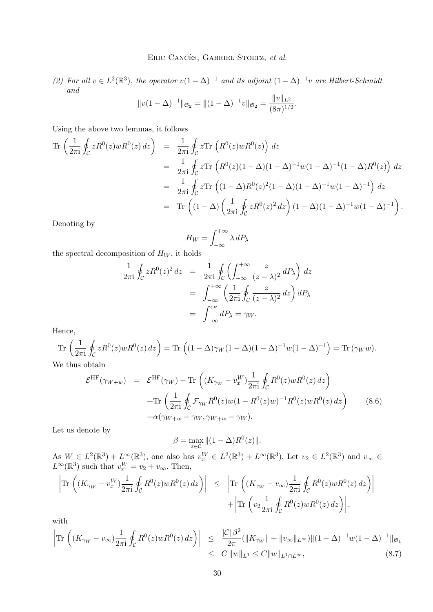<span id="page-30-0"></span>(2) For all  $v \in L^2(\mathbb{R}^3)$ , the operator  $v(1-\Delta)^{-1}$  and its adjoint  $(1-\Delta)^{-1}v$  are Hilbert-Schmidt *and*  $\mathbf{u}$ 

$$
||v(1-\Delta)^{-1}||_{\mathfrak{S}_2} = ||(1-\Delta)^{-1}v||_{\mathfrak{S}_2} = \frac{||v||_{L^2}}{(8\pi)^{1/2}}.
$$

Using the above two lemmas, it follows

$$
\begin{split}\n\text{Tr}\left(\frac{1}{2\pi i}\oint_{\mathcal{C}} zR^{0}(z)wR^{0}(z)\,dz\right) &= \frac{1}{2\pi i}\oint_{\mathcal{C}} z\text{Tr}\left(R^{0}(z)wR^{0}(z)\right)\,dz \\
&= \frac{1}{2\pi i}\oint_{\mathcal{C}} z\text{Tr}\left(R^{0}(z)(1-\Delta)(1-\Delta)^{-1}w(1-\Delta)^{-1}(1-\Delta)R^{0}(z)\right)\,dz \\
&= \frac{1}{2\pi i}\oint_{\mathcal{C}} z\text{Tr}\left((1-\Delta)R^{0}(z)^{2}(1-\Delta)(1-\Delta)^{-1}w(1-\Delta)^{-1}\right)\,dz \\
&= \text{Tr}\left((1-\Delta)\left(\frac{1}{2\pi i}\oint_{\mathcal{C}} zR^{0}(z)^{2}\,dz\right)(1-\Delta)(1-\Delta)^{-1}w(1-\Delta)^{-1}\right).\n\end{split}
$$

Denoting by

$$
H_W = \int_{-\infty}^{+\infty} \lambda \, dP_\lambda
$$

the spectral decomposition of  $H_W$ , it holds

$$
\frac{1}{2\pi i} \oint_C z R^0(z)^2 dz = \frac{1}{2\pi i} \oint_C \left( \int_{-\infty}^{+\infty} \frac{z}{(z-\lambda)^2} dP_\lambda \right) dz
$$

$$
= \int_{-\infty}^{+\infty} \left( \frac{1}{2\pi i} \oint_C \frac{z}{(z-\lambda)^2} dz \right) dP_\lambda
$$

$$
= \int_{-\infty}^{\epsilon_F} dP_\lambda = \gamma_W.
$$

Hence,

$$
\operatorname{Tr}\left(\frac{1}{2\pi\mathrm{i}}\oint_{\mathcal{C}}zR^{0}(z)wR^{0}(z)\,dz\right)=\operatorname{Tr}\left((1-\Delta)\gamma_{W}(1-\Delta)(1-\Delta)^{-1}w(1-\Delta)^{-1}\right)=\operatorname{Tr}\left(\gamma_{W}w\right).
$$

We thus obtain

$$
\mathcal{E}^{\text{HF}}(\gamma_{W+w}) = \mathcal{E}^{\text{HF}}(\gamma_W) + \text{Tr}\left((K_{\gamma_W} - v_x^W)\frac{1}{2\pi i}\oint_C R^0(z)wR^0(z) dz\right) + \text{Tr}\left(\frac{1}{2\pi i}\oint_C \mathcal{F}_{\gamma_W} R^0(z)w(1 - R^0(z)w)^{-1}R^0(z)wR^0(z) dz\right) + \alpha(\gamma_{W+w} - \gamma_W, \gamma_{W+w} - \gamma_W).
$$
\n(8.6)

Let us denote by

 $\beta = \max_{z \in \mathcal{C}} ||(1 - \Delta)R^0(z)||.$ 

As  $W \in L^2(\mathbb{R}^3) + L^{\infty}(\mathbb{R}^3)$ , one also has  $v_x^W \in L^2(\mathbb{R}^3) + L^{\infty}(\mathbb{R}^3)$ . Let  $v_2 \in L^2(\mathbb{R}^3)$  and  $v_{\infty} \in$  $L^{\infty}(\mathbb{R}^3)$  such that  $v_x^W = v_2 + v_{\infty}$ . Then,

$$
\left| \text{Tr} \left( (K_{\gamma_W} - v_x^W) \frac{1}{2\pi i} \oint_C R^0(z) w R^0(z) dz \right) \right| \leq \left| \text{Tr} \left( (K_{\gamma_W} - v_\infty) \frac{1}{2\pi i} \oint_C R^0(z) w R^0(z) dz \right) \right| + \left| \text{Tr} \left( v_2 \frac{1}{2\pi i} \oint_C R^0(z) w R^0(z) dz \right) \right|,
$$

with

$$
\left| \text{Tr} \left( (K_{\gamma_W} - v_{\infty}) \frac{1}{2\pi i} \oint_C R^0(z) w R^0(z) \, dz \right) \right| \leq \frac{|\mathcal{C}| \, \beta^2}{2\pi} (\|K_{\gamma_W}\| + \|v_{\infty}\|_{L^{\infty}}) \| (1 - \Delta)^{-1} w (1 - \Delta)^{-1} \|_{\mathfrak{S}_1} \leq C \|w\|_{L^1} \leq C \|w\|_{L^1 \cap L^{\infty}}, \tag{8.7}
$$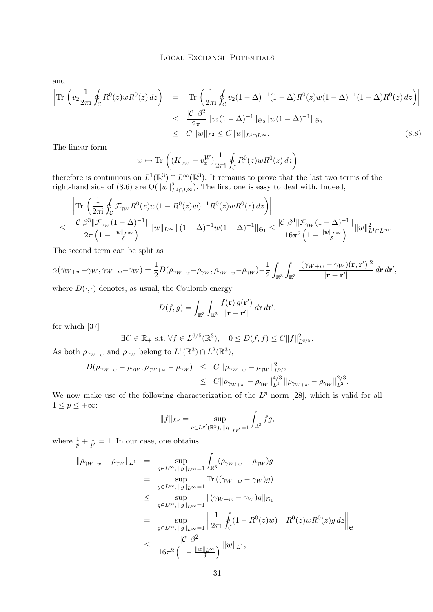<span id="page-31-0"></span>and

$$
\left| \text{Tr} \left( v_2 \frac{1}{2\pi i} \oint_C R^0(z) w R^0(z) dz \right) \right| = \left| \text{Tr} \left( \frac{1}{2\pi i} \oint_C v_2 (1 - \Delta)^{-1} (1 - \Delta) R^0(z) w (1 - \Delta)^{-1} (1 - \Delta) R^0(z) dz \right) \right|
$$
  
\n
$$
\leq \frac{|\mathcal{C}| \beta^2}{2\pi} \| v_2 (1 - \Delta)^{-1} \|_{\mathfrak{S}_2} \| w (1 - \Delta)^{-1} \|_{\mathfrak{S}_2}
$$
  
\n
$$
\leq C \| w \|_{L^2} \leq C \| w \|_{L^1 \cap L^\infty}.
$$
\n(8.8)

The linear form

$$
w \mapsto \text{Tr}\left( (K_{\gamma_W} - v_x^W) \frac{1}{2\pi i} \oint_C R^0(z) w R^0(z) dz \right)
$$

therefore is continuous on  $L^1(\mathbb{R}^3) \cap L^\infty(\mathbb{R}^3)$ . It remains to prove that the last two terms of the right-hand side of [\(8.6\)](#page-30-0) are  $O(||w||^2_{L^1 \cap L^{\infty}})$ . The first one is easy to deal with. Indeed,

$$
\left|\operatorname{Tr}\left(\frac{1}{2\pi\mathrm{i}}\oint_{\mathcal{C}}\mathcal{F}_{\gamma_{W}}R^{0}(z)w(1-R^{0}(z)w)^{-1}R^{0}(z)wR^{0}(z)\,dz\right)\right|
$$
  

$$
\leq \frac{|\mathcal{C}|\beta^{3}\|\mathcal{F}_{\gamma_{W}}(1-\Delta)^{-1}\|}{2\pi\left(1-\frac{\|w\|_{L^{\infty}}}{\delta}\right)}\|w\|_{L^{\infty}}\|(1-\Delta)^{-1}w(1-\Delta)^{-1}\|_{\mathfrak{S}_{1}} \leq \frac{|\mathcal{C}|\beta^{3}\|\mathcal{F}_{\gamma_{W}}(1-\Delta)^{-1}\|}{16\pi^{2}\left(1-\frac{\|w\|_{L^{\infty}}}{\delta}\right)}\|w\|_{L^{1}\cap L^{\infty}}^{2}.
$$

The second term can be split as

$$
\alpha(\gamma_{W+w}-\gamma_W,\gamma_{W+w}-\gamma_W)=\frac{1}{2}D(\rho_{\gamma_{W+w}}-\rho_{\gamma_W},\rho_{\gamma_{W+w}}-\rho_{\gamma_W})-\frac{1}{2}\int_{\mathbb{R}^3}\int_{\mathbb{R}^3}\frac{|(\gamma_{W+w}-\gamma_W)(\mathbf{r},\mathbf{r}')|^2}{|\mathbf{r}-\mathbf{r}'|}d\mathbf{r} d\mathbf{r}',
$$

where  $D(\cdot, \cdot)$  denotes, as usual, the Coulomb energy

$$
D(f,g) = \int_{\mathbb{R}^3} \int_{\mathbb{R}^3} \frac{f(\mathbf{r}) g(\mathbf{r}')}{|\mathbf{r} - \mathbf{r}'|} d\mathbf{r} d\mathbf{r}',
$$

for which [\[37\]](#page-41-0)

$$
\exists C \in \mathbb{R}_+ \text{ s.t. } \forall f \in L^{6/5}(\mathbb{R}^3), \quad 0 \le D(f, f) \le C \|f\|_{L^{6/5}}^2.
$$

As both  $\rho_{\gamma_{W+w}}$  and  $\rho_{\gamma_W}$  belong to  $L^1(\mathbb{R}^3) \cap L^2(\mathbb{R}^3)$ ,

$$
D(\rho_{\gamma_{W+w}} - \rho_{\gamma_W}, \rho_{\gamma_{W+w}} - \rho_{\gamma_W}) \leq C \|\rho_{\gamma_{W+w}} - \rho_{\gamma_W}\|_{L^{6/5}}^2
$$
  

$$
\leq C \|\rho_{\gamma_{W+w}} - \rho_{\gamma_W}\|_{L^1}^{4/3} \|\rho_{\gamma_{W+w}} - \rho_{\gamma_W}\|_{L^2}^{2/3}.
$$

We now make use of the following characterization of the  $L^p$  norm [\[28\]](#page-41-0), which is valid for all  $1 \le p \le +\infty$ :

$$
||f||_{L^p} = \sup_{g \in L^{p'}(\mathbb{R}^3), ||g||_{L^{p'}}=1} \int_{\mathbb{R}^3} fg,
$$

where  $\frac{1}{p} + \frac{1}{p'}$  $\frac{1}{p'}=1$ . In our case, one obtains

$$
\|\rho_{\gamma_W+w} - \rho_{\gamma_W}\|_{L^1} = \sup_{g \in L^{\infty}, \|g\|_{L^{\infty}}=1} \int_{\mathbb{R}^3} (\rho_{\gamma_W+w} - \rho_{\gamma_W})g
$$
  
\n
$$
= \sup_{g \in L^{\infty}, \|g\|_{L^{\infty}}=1} \text{Tr} \left( (\gamma_{W+w} - \gamma_W)g \right)
$$
  
\n
$$
\leq \sup_{g \in L^{\infty}, \|g\|_{L^{\infty}}=1} \| (\gamma_{W+w} - \gamma_W)g \|_{\mathfrak{S}_1}
$$
  
\n
$$
= \sup_{g \in L^{\infty}, \|g\|_{L^{\infty}}=1} \left\| \frac{1}{2\pi i} \oint_C (1 - R^0(z)w)^{-1} R^0(z)w R^0(z)g dz \right\|_{\mathfrak{S}_1}
$$
  
\n
$$
\leq \frac{|C| \beta^2}{16\pi^2 \left(1 - \frac{\|w\|_{L^{\infty}}}{\delta}\right)} \|w\|_{L^1},
$$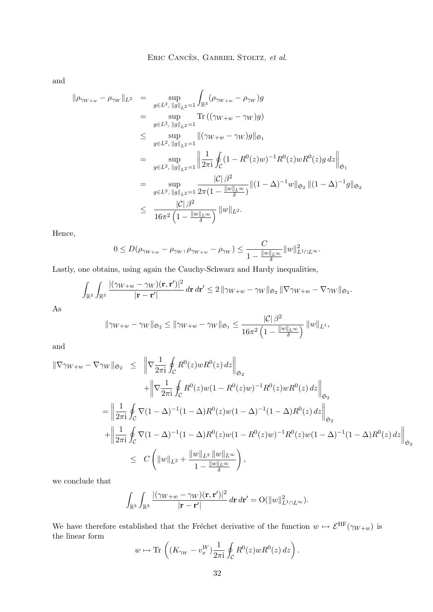and

$$
\|\rho_{\gamma_{W+w}} - \rho_{\gamma_{W}}\|_{L^{2}} = \sup_{g \in L^{2}, \|g\|_{L^{2}} = 1} \int_{\mathbb{R}^{3}} (\rho_{\gamma_{W+w}} - \rho_{\gamma_{W}})g
$$
  
\n
$$
= \sup_{g \in L^{2}, \|g\|_{L^{2}} = 1} \text{Tr}((\gamma_{W+w} - \gamma_{W})g)
$$
  
\n
$$
\leq \sup_{g \in L^{2}, \|g\|_{L^{2}} = 1} \|(\gamma_{W+w} - \gamma_{W})g\|_{\mathfrak{S}_{1}}
$$
  
\n
$$
= \sup_{g \in L^{2}, \|g\|_{L^{2}} = 1} \left\|\frac{1}{2\pi i} \oint_{\mathcal{C}} (1 - R^{0}(z)w)^{-1} R^{0}(z)w R^{0}(z)g dz\right\|_{\mathfrak{S}_{1}}
$$
  
\n
$$
= \sup_{g \in L^{2}, \|g\|_{L^{2}} = 1} \frac{|\mathcal{C}|\beta^{2}}{2\pi(1 - \frac{\|w\|_{L^{\infty}}}{\delta})} \| (1 - \Delta)^{-1}w \|_{\mathfrak{S}_{2}} \| (1 - \Delta)^{-1}g \|_{\mathfrak{S}_{2}}
$$
  
\n
$$
\leq \frac{|\mathcal{C}|\beta^{2}}{16\pi^{2} (1 - \frac{\|w\|_{L^{\infty}}}{\delta})} \|w\|_{L^{2}}.
$$

Hence,

$$
0\leq D(\rho_{\gamma_{W+w}}-\rho_{\gamma_W},\rho_{\gamma_{W+w}}-\rho_{\gamma_W})\leq \frac{C}{1-\frac{\|w\|_{L^\infty}}{\delta}}\|w\|_{L^1\cap L^\infty}^2.
$$

Lastly, one obtains, using again the Cauchy-Schwarz and Hardy inequalities,

$$
\int_{\mathbb{R}^3}\int_{\mathbb{R}^3}\frac{|(\gamma_{W+w}-\gamma_W)(\mathbf{r},\mathbf{r}')|^2}{|\mathbf{r}-\mathbf{r}'|}\,d\mathbf{r}\,d\mathbf{r}'\leq 2\,\|\gamma_{W+w}-\gamma_W\|_{\mathfrak{S}_2}\,\|\nabla\gamma_{W+w}-\nabla\gamma_W\|_{\mathfrak{S}_2}.
$$

As

$$
\|\gamma_{W+w}-\gamma_W\|_{\mathfrak{S}_2}\leq \|\gamma_{W+w}-\gamma_W\|_{\mathfrak{S}_1}\leq \frac{|\mathcal{C}|\beta^2}{16\pi^2\left(1-\frac{\|w\|_{L^\infty}}{\delta}\right)}\|w\|_{L^1},
$$

and

$$
\begin{split} \|\nabla \gamma_{W+w} - \nabla \gamma_{W}\|_{\mathfrak{S}_{2}} &\leq \left\|\nabla \frac{1}{2\pi \mathrm{i}} \oint_{\mathcal{C}} R^{0}(z) w R^{0}(z) \, dz\right\|_{\mathfrak{S}_{2}} \\ &+ \left\|\nabla \frac{1}{2\pi \mathrm{i}} \oint_{\mathcal{C}} R^{0}(z) w (1 - R^{0}(z) w)^{-1} R^{0}(z) w R^{0}(z) \, dz\right\|_{\mathfrak{S}_{2}} \\ &= \left\|\frac{1}{2\pi \mathrm{i}} \oint_{\mathcal{C}} \nabla (1 - \Delta)^{-1} (1 - \Delta) R^{0}(z) w (1 - \Delta)^{-1} (1 - \Delta) R^{0}(z) \, dz\right\|_{\mathfrak{S}_{2}} \\ &+ \left\|\frac{1}{2\pi \mathrm{i}} \oint_{\mathcal{C}} \nabla (1 - \Delta)^{-1} (1 - \Delta) R^{0}(z) w (1 - R^{0}(z) w)^{-1} R^{0}(z) w (1 - \Delta)^{-1} (1 - \Delta) R^{0}(z) \, dz\right\|_{\mathfrak{S}_{2}} \\ &\leq C \left(\|w\|_{L^{2}} + \frac{\|w\|_{L^{2}} \|w\|_{L^{\infty}}}{1 - \frac{\|w\|_{L^{\infty}}}{\delta}}\right), \end{split}
$$

we conclude that

$$
\int_{\mathbb{R}^3}\int_{\mathbb{R}^3}\frac{|(\gamma_{W+w}-\gamma_W)(\mathbf{r},\mathbf{r}')|^2}{|\mathbf{r}-\mathbf{r}'|}\,d\mathbf{r}\,d\mathbf{r}'=\mathrm{O}(\|w\|_{L^1\cap L^\infty}^2).
$$

We have therefore established that the Fréchet derivative of the function  $w \mapsto \mathcal{E}^{\text{HF}}(\gamma_{W+w})$  is the linear form

$$
w \mapsto \text{Tr}\left((K_{\gamma_W} - v_x^W) \frac{1}{2\pi i} \oint_C R^0(z) w R^0(z) dz\right).
$$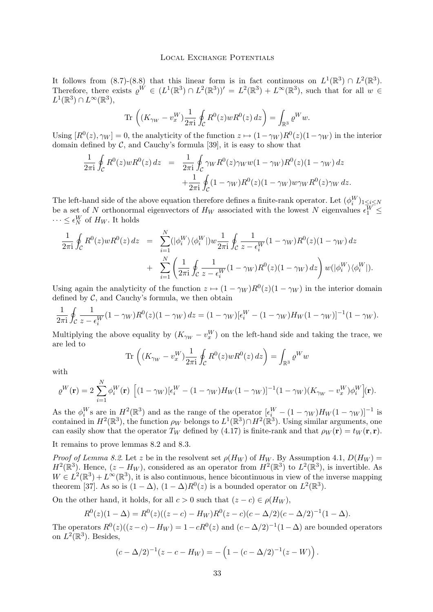It follows from  $(8.7)-(8.8)$  $(8.7)-(8.8)$  $(8.7)-(8.8)$  that this linear form is in fact continuous on  $L^1(\mathbb{R}^3) \cap L^2(\mathbb{R}^3)$ . Therefore, there exists  $\varrho^{W} \in (L^{1}(\mathbb{R}^{3}) \cap L^{2}(\mathbb{R}^{3}))' = L^{2}(\mathbb{R}^{3}) + L^{\infty}(\mathbb{R}^{3})$ , such that for all  $w \in$  $L^1(\mathbb{R}^3)\cap L^\infty(\mathbb{R}^3),$ 

$$
\text{Tr}\,\left( (K_{\gamma_W} - v_x^W) \frac{1}{2\pi \mathrm{i}} \oint_{\mathcal{C}} R^0(z) w R^0(z) \, dz \right) = \int_{\mathbb{R}^3} \varrho^W w.
$$

Using  $[R^0(z), \gamma_W] = 0$ , the analyticity of the function  $z \mapsto (1 - \gamma_W)R^0(z)(1 - \gamma_W)$  in the interior domain defined by  $C$ , and Cauchy's formula [\[39\]](#page-41-0), it is easy to show that

$$
\frac{1}{2\pi i} \oint_C R^0(z) w R^0(z) dz = \frac{1}{2\pi i} \oint_C \gamma_W R^0(z) \gamma_W w (1 - \gamma_W) R^0(z) (1 - \gamma_W) dz \n+ \frac{1}{2\pi i} \oint_C (1 - \gamma_W) R^0(z) (1 - \gamma_W) w \gamma_W R^0(z) \gamma_W dz.
$$

The left-hand side of the above equation therefore defines a finite-rank operator. Let  $(\phi_i^W)_{1 \leq i \leq N}$ be a set of N orthonormal eigenvectors of  $H_W$  associated with the lowest N eigenvalues  $\epsilon_1^W$   $\leq$  $\cdots \leq \epsilon_N^W$  of  $H_W$ . It holds

$$
\frac{1}{2\pi i} \oint_C R^0(z) w R^0(z) dz = \sum_{i=1}^N (|\phi_i^W\rangle \langle \phi_i^W|) w \frac{1}{2\pi i} \oint_C \frac{1}{z - \epsilon_i^W} (1 - \gamma_W) R^0(z) (1 - \gamma_W) dz \n+ \sum_{i=1}^N \left( \frac{1}{2\pi i} \oint_C \frac{1}{z - \epsilon_i^W} (1 - \gamma_W) R^0(z) (1 - \gamma_W) dz \right) w(|\phi_i^W\rangle \langle \phi_i^W|).
$$

Using again the analyticity of the function  $z \mapsto (1 - \gamma_W)R^0(z)(1 - \gamma_W)$  in the interior domain defined by  $C$ , and Cauchy's formula, we then obtain

$$
\frac{1}{2\pi i} \oint_C \frac{1}{z - \epsilon_i^W} (1 - \gamma_W) R^0(z) (1 - \gamma_W) dz = (1 - \gamma_W) [\epsilon_i^W - (1 - \gamma_W) H_W (1 - \gamma_W)]^{-1} (1 - \gamma_W).
$$

Multiplying the above equality by  $(K_{\gamma_W} - v_x^W)$  on the left-hand side and taking the trace, we are led to

$$
\text{Tr}\,\left( (K_{\gamma_W} - v_x^W) \frac{1}{2\pi \mathrm{i}} \oint_{\mathcal{C}} R^0(z) w R^0(z) \, dz \right) = \int_{\mathbb{R}^3} \varrho^W w
$$

with

$$
\varrho^{W}(\mathbf{r}) = 2 \sum_{i=1}^{N} \phi_{i}^{W}(\mathbf{r}) \left[ (1 - \gamma_{W})[\epsilon_{i}^{W} - (1 - \gamma_{W})H_{W}(1 - \gamma_{W})]^{-1}(1 - \gamma_{W})(K_{\gamma_{W}} - v_{x}^{W})\phi_{i}^{W}](\mathbf{r}).
$$

As the  $\phi_i^W$ s are in  $H^2(\mathbb{R}^3)$  and as the range of the operator  $[\epsilon_i^W - (1 - \gamma_W)H_W(1 - \gamma_W)]^{-1}$  is contained in  $H^2(\mathbb{R}^3)$ , the function  $\rho_W$  belongs to  $L^1(\mathbb{R}^3) \cap H^2(\mathbb{R}^3)$ . Using similar arguments, one can easily show that the operator  $T_W$  defined by [\(4.17\)](#page-13-0) is finite-rank and that  $\rho_W(\mathbf{r}) = t_W(\mathbf{r}, \mathbf{r})$ .

It remains to prove lemmas [8.2](#page-29-0) and [8.3.](#page-29-0)

N

*Proof of Lemma [8.2](#page-29-0).* Let z be in the resolvent set  $\rho(H_W)$  of  $H_W$ . By Assumption [4.1,](#page-12-0)  $D(H_W)$  =  $H^2(\mathbb{R}^3)$ . Hence,  $(z - H_W)$ , considered as an operator from  $H^2(\mathbb{R}^3)$  to  $L^2(\mathbb{R}^3)$ , is invertible. As  $W \in L^2(\mathbb{R}^3) + L^{\infty}(\mathbb{R}^3)$ , it is also continuous, hence bicontinuous in view of the inverse mapping theorem [\[37\]](#page-41-0). As so is  $(1 - \Delta)$ ,  $(1 - \Delta)R^0(z)$  is a bounded operator on  $L^2(\mathbb{R}^3)$ .

On the other hand, it holds, for all  $c > 0$  such that  $(z - c) \in \rho(H_W)$ ,

$$
R^{0}(z)(1 - \Delta) = R^{0}(z)((z - c) - H_{W})R^{0}(z - c)(c - \Delta/2)(c - \Delta/2)^{-1}(1 - \Delta).
$$

The operators  $R^0(z)((z-c)-H_W) = 1 - cR^0(z)$  and  $(c-\Delta/2)^{-1}(1-\Delta)$  are bounded operators on  $L^2(\mathbb{R}^3)$ . Besides,

$$
(c - \Delta/2)^{-1}(z - c - H_W) = -\left(1 - (c - \Delta/2)^{-1}(z - W)\right).
$$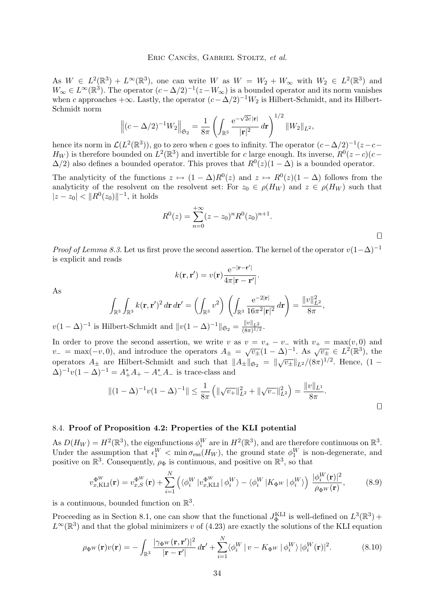<span id="page-34-0"></span>As  $W \in L^2(\mathbb{R}^3) + L^{\infty}(\mathbb{R}^3)$ , one can write W as  $W = W_2 + W_{\infty}$  with  $W_2 \in L^2(\mathbb{R}^3)$  and  $W_{\infty} \in L^{\infty}(\mathbb{R}^{3})$ . The operator  $(c - \Delta/2)^{-1}(z - W_{\infty})$  is a bounded operator and its norm vanishes when c approaches  $+\infty$ . Lastly, the operator  $(c-\Delta/2)^{-1}W_2$  is Hilbert-Schmidt, and its Hilbert-Schmidt norm √

$$
\left\|(c-\Delta/2)^{-1}W_2\right\|_{\mathfrak{S}_2}=\frac{1}{8\pi}\left(\int_{\mathbb{R}^3}\frac{\mathrm{e}^{-\sqrt{2c}\,|\mathbf{r}|}}{|\mathbf{r}|^2}\,d\mathbf{r}\right)^{1/2}\|W_2\|_{L^2},
$$

hence its norm in  $\mathcal{L}(L^2(\mathbb{R}^3))$ , go to zero when c goes to infinity. The operator  $(c-\Delta/2)^{-1}(z-c H_W$ ) is therefore bounded on  $L^2(\mathbb{R}^3)$  and invertible for c large enough. Its inverse,  $R^0(z-c)(c-c)$  $\Delta/2$ ) also defines a bounded operator. This proves that  $R^0(z)(1-\Delta)$  is a bounded operator.

The analyticity of the functions  $z \mapsto (1 - \Delta)R^0(z)$  and  $z \mapsto R^0(z)(1 - \Delta)$  follows from the analyticity of the resolvent on the resolvent set: For  $z_0 \in \rho(H_W)$  and  $z \in \rho(H_W)$  such that  $|z - z_0| < ||R^0(z_0)||^{-1}$ , it holds

$$
R^{0}(z) = \sum_{n=0}^{+\infty} (z - z_0)^n R^{0}(z_0)^{n+1}.
$$

 $\Box$ 

*Proof of Lemma [8.3.](#page-29-0)* Let us first prove the second assertion. The kernel of the operator  $v(1-\Delta)^{-1}$ is explicit and reads

$$
k(\mathbf{r},\mathbf{r}')=v(\mathbf{r})\frac{\mathrm{e}^{-|\mathbf{r}-\mathbf{r}'|}}{4\pi|\mathbf{r}-\mathbf{r}'|}.
$$

As

$$
\int_{\mathbb{R}^3} \int_{\mathbb{R}^3} k(\mathbf{r}, \mathbf{r}')^2 d\mathbf{r} d\mathbf{r}' = \left( \int_{\mathbb{R}^3} v^2 \right) \left( \int_{\mathbb{R}^3} \frac{e^{-2|\mathbf{r}|}}{16\pi^2 |\mathbf{r}|^2} d\mathbf{r} \right) = \frac{\|v\|_{L^2}^2}{8\pi},
$$

 $v(1-\Delta)^{-1}$  is Hilbert-Schmidt and  $||v(1-\Delta)^{-1}||_{\mathfrak{S}_2} = \frac{||v||_{L^2}}{(8\pi)^{1/2}}$  $\frac{\|v\|_{L^2}}{(8\pi)^{1/2}}$ .

In order to prove the second assertion, we write v as  $v = v_+ - v_-$  with  $v_+ = \max(v, 0)$  and  $v_-=\max(-v,0)$ , and introduce the operators  $A_{\pm}=\sqrt{v_{\pm}}(1-\Delta)^{-1}$ . As  $\sqrt{v_{\pm}}\in L^2(\mathbb{R}^3)$ , the operators  $A_{\pm}$  are Hilbert-Schmidt and such that  $||A_{\pm}||_{\mathfrak{S}_2} = ||\sqrt{v_{\pm}}||_{L^2}/(8\pi)^{1/2}$ . Hence,  $(1 (\Delta)^{-1}v(1-\Delta)^{-1} = A_+^*A_+ - A_-^*A_-$  is trace-class and

$$
||(1-\Delta)^{-1}v(1-\Delta)^{-1}|| \leq \frac{1}{8\pi} \left( \|\sqrt{v_{+}}\|_{L^{2}}^{2} + \|\sqrt{v_{-}}\|_{L^{2}}^{2} \right) = \frac{\|v\|_{L^{1}}}{8\pi}.
$$

## 8.4. **Proof of Proposition [4.2:](#page-15-0) Properties of the KLI potential**

As  $D(H_W) = H^2(\mathbb{R}^3)$ , the eigenfunctions  $\phi_i^W$  are in  $H^2(\mathbb{R}^3)$ , and are therefore continuous on  $\mathbb{R}^3$ . Under the assumption that  $\epsilon_1^W < \min \sigma_{\text{ess}}(H_W)$ , the ground state  $\phi_1^W$  is non-degenerate, and positive on  $\mathbb{R}^3$ . Consequently,  $\rho_{\Phi}$  is continuous, and positive on  $\mathbb{R}^3$ , so that

$$
v_{x,\text{KLI}}^{\Phi^W}(\mathbf{r}) = v_{x,S}^{\Phi^W}(\mathbf{r}) + \sum_{i=1}^N \left( \langle \phi_i^W | v_{x,\text{KLI}}^{\Phi^W} | \phi_i^W \rangle - \langle \phi_i^W | K_{\Phi^W} | \phi_i^W \rangle \right) \frac{|\phi_i^W(\mathbf{r})|^2}{\rho_{\Phi^W}(\mathbf{r})},\tag{8.9}
$$

is a continuous, bounded function on  $\mathbb{R}^3$ .

Proceeding as in Section [8.1,](#page-23-0) one can show that the functional  $J_{\Phi}^{\text{KLI}}$  is well-defined on  $L^3(\mathbb{R}^3)$  +  $L^{\infty}(\mathbb{R}^{3})$  and that the global minimizers v of [\(4.23\)](#page-16-0) are exactly the solutions of the KLI equation

$$
\rho_{\Phi^W}(\mathbf{r})v(\mathbf{r}) = -\int_{\mathbb{R}^3} \frac{|\gamma_{\Phi^W}(\mathbf{r}, \mathbf{r}')|^2}{|\mathbf{r} - \mathbf{r}'|} d\mathbf{r}' + \sum_{i=1}^N \langle \phi_i^W | v - K_{\Phi^W} | \phi_i^W \rangle |\phi_i^W(\mathbf{r})|^2.
$$
(8.10)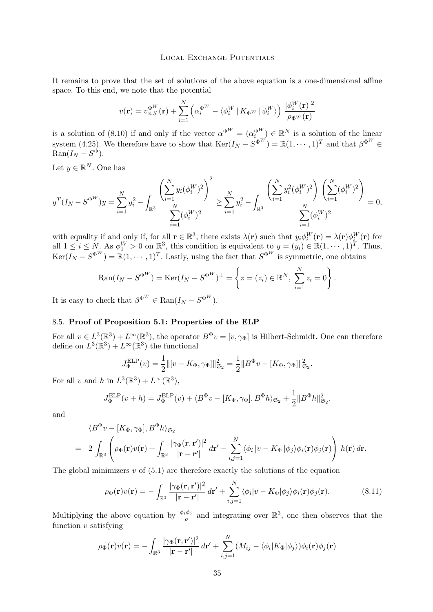<span id="page-35-0"></span>It remains to prove that the set of solutions of the above equation is a one-dimensional affine space. To this end, we note that the potential

$$
v(\mathbf{r}) = v_{x,S}^{\Phi^W}(\mathbf{r}) + \sum_{i=1}^N \left( \alpha_i^{\Phi^W} - \langle \phi_i^W | K_{\Phi^W} | \phi_i^W \rangle \right) \frac{|\phi_i^W(\mathbf{r})|^2}{\rho_{\Phi^W}(\mathbf{r})}
$$

is a solution of [\(8.10\)](#page-34-0) if and only if the vector  $\alpha^{\Phi^W} = (\alpha_i^{\Phi^W}) \in \mathbb{R}^N$  is a solution of the linear system [\(4.25\)](#page-16-0). We therefore have to show that  $\text{Ker}(I_N - S^{\Phi^W}) = \mathbb{R}(1, \dots, 1)^T$  and that  $\beta^{\Phi^W} \in$  $\text{Ran}(I_N - S^{\Phi}).$ 

Let  $y \in \mathbb{R}^N$ . One has

$$
y^{T}(I_{N}-S^{\Phi^{W}})y = \sum_{i=1}^{N} y_{i}^{2} - \int_{\mathbb{R}^{3}} \frac{\left(\sum_{i=1}^{N} y_{i}(\phi_{i}^{W})^{2}\right)^{2}}{\sum_{i=1}^{N} (\phi_{i}^{W})^{2}} \geq \sum_{i=1}^{N} y_{i}^{2} - \int_{\mathbb{R}^{3}} \frac{\left(\sum_{i=1}^{N} y_{i}^{2}(\phi_{i}^{W})^{2}\right)\left(\sum_{i=1}^{N} (\phi_{i}^{W})^{2}\right)}{\sum_{i=1}^{N} (\phi_{i}^{W})^{2}} = 0,
$$

with equality if and only if, for all  $\mathbf{r} \in \mathbb{R}^3$ , there exists  $\lambda(\mathbf{r})$  such that  $y_i \phi_i^W(\mathbf{r}) = \lambda(\mathbf{r}) \phi_i^W(\mathbf{r})$  for all  $1 \leq i \leq N$ . As  $\phi_1^W > 0$  on  $\mathbb{R}^3$ , this condition is equivalent to  $y = (y_i) \in \mathbb{R}(1, \dots, 1)^T$ . Thus,  $\text{Ker}(I_N - S^{\Phi^W}) = \mathbb{R}(1, \dots, 1)^T$ . Lastly, using the fact that  $S^{\Phi^W}$  is symmetric, one obtains

$$
Ran(I_N - S^{\Phi^W}) = \text{Ker}(I_N - S^{\Phi^W})^{\perp} = \left\{ z = (z_i) \in \mathbb{R}^N, \sum_{i=1}^N z_i = 0 \right\}.
$$

It is easy to check that  $\beta^{\Phi^W} \in \text{Ran}(I_N - S^{\Phi^W}).$ 

# 8.5. **Proof of Proposition [5.1:](#page-17-0) Properties of the ELP**

For all  $v \in L^3(\mathbb{R}^3) + L^\infty(\mathbb{R}^3)$ , the operator  $B^{\Phi}v = [v, \gamma_{\Phi}]$  is Hilbert-Schmidt. One can therefore define on  $L^3(\mathbb{R}^3) + L^\infty(\mathbb{R}^3)$  the functional

$$
J_{\Phi}^{\text{ELP}}(v) = \frac{1}{2} ||[v - K_{\Phi}, \gamma_{\Phi}||_{\mathfrak{S}_2}^2 = \frac{1}{2} ||B^{\Phi}v - [K_{\Phi}, \gamma_{\Phi}||_{\mathfrak{S}_2}^2.
$$

For all v and h in  $L^3(\mathbb{R}^3) + L^\infty(\mathbb{R}^3)$ ,

$$
J_{\Phi}^{\text{ELP}}(v+h) = J_{\Phi}^{\text{ELP}}(v) + \langle B^{\Phi}v - [K_{\Phi}, \gamma_{\Phi}], B^{\Phi}h \rangle_{\mathfrak{S}_2} + \frac{1}{2} ||B^{\Phi}h||_{\mathfrak{S}_2}^2,
$$

and

$$
\langle B^{\Phi} v - [K_{\Phi}, \gamma_{\Phi}], B^{\Phi} h \rangle_{\mathfrak{S}_2}
$$
  
=  $2 \int_{\mathbb{R}^3} \left( \rho_{\Phi}(\mathbf{r}) v(\mathbf{r}) + \int_{\mathbb{R}^3} \frac{|\gamma_{\Phi}(\mathbf{r}, \mathbf{r}')|^2}{|\mathbf{r} - \mathbf{r}'|} d\mathbf{r}' - \sum_{i,j=1}^N \langle \phi_i | v - K_{\Phi} | \phi_j \rangle \phi_i(\mathbf{r}) \phi_j(\mathbf{r}) \right) h(\mathbf{r}) d\mathbf{r}.$ 

The global minimizers  $v$  of  $(5.1)$  are therefore exactly the solutions of the equation

$$
\rho_{\Phi}(\mathbf{r})v(\mathbf{r}) = -\int_{\mathbb{R}^3} \frac{|\gamma_{\Phi}(\mathbf{r}, \mathbf{r}')|^2}{|\mathbf{r} - \mathbf{r}'|} d\mathbf{r}' + \sum_{i,j=1}^N \langle \phi_i | v - K_{\Phi} | \phi_j \rangle \phi_i(\mathbf{r}) \phi_j(\mathbf{r}). \tag{8.11}
$$

Multiplying the above equation by  $\frac{\phi_i \phi_j}{\rho}$  and integrating over  $\mathbb{R}^3$ , one then observes that the function  $v$  satisfying

$$
\rho_{\Phi}(\mathbf{r})v(\mathbf{r}) = -\int_{\mathbb{R}^3} \frac{|\gamma_{\Phi}(\mathbf{r}, \mathbf{r}')|^2}{|\mathbf{r} - \mathbf{r}'|} d\mathbf{r}' + \sum_{i,j=1}^N (M_{ij} - \langle \phi_i | K_{\Phi} | \phi_j \rangle) \phi_i(\mathbf{r}) \phi_j(\mathbf{r})
$$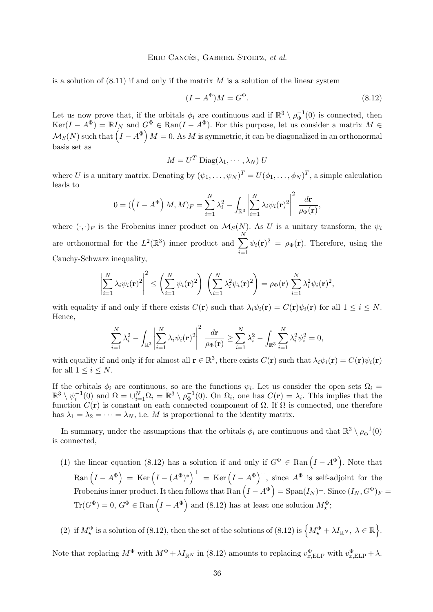#### Eric Cancès, Gabriel Stoltz, *et al.*

is a solution of  $(8.11)$  if and only if the matrix M is a solution of the linear system

$$
(I - A^{\Phi})M = G^{\Phi}.
$$
\n
$$
(8.12)
$$

Let us now prove that, if the orbitals  $\phi_i$  are continuous and if  $\mathbb{R}^3 \setminus \rho_{\Phi}^{-1}(0)$  is connected, then  $Ker(I - A^{\Phi}) = \mathbb{R}I_N$  and  $G^{\Phi} \in \text{Ran}(I - A^{\Phi})$ . For this purpose, let us consider a matrix  $M \in$  $\mathcal{M}_S(N)$  such that  $\left(I - A^\Phi\right) M = 0.$  As  $M$  is symmetric, it can be diagonalized in an orthonormal basis set as

$$
M = U^T \operatorname{Diag}(\lambda_1, \cdots, \lambda_N) U
$$

where U is a unitary matrix. Denoting by  $(\psi_1, \dots, \psi_N)^T = U(\phi_1, \dots, \phi_N)^T$ , a simple calculation leads to

$$
0 = (\left(I - A^{\Phi}\right)M, M)_F = \sum_{i=1}^N \lambda_i^2 - \int_{\mathbb{R}^3} \left| \sum_{i=1}^N \lambda_i \psi_i(\mathbf{r})^2 \right|^2 \frac{d\mathbf{r}}{\rho_{\Phi}(\mathbf{r})},
$$

where  $(\cdot, \cdot)_F$  is the Frobenius inner product on  $\mathcal{M}_S(N)$ . As U is a unitary transform, the  $\psi_i$ are orthonormal for the  $L^2(\mathbb{R}^3)$  inner product and  $\sum$ N  $i=1$  $\psi_i(\mathbf{r})^2 = \rho_{\Phi}(\mathbf{r})$ . Therefore, using the Cauchy-Schwarz inequality,

$$
\left|\sum_{i=1}^N \lambda_i \psi_i(\mathbf{r})^2\right|^2 \le \left(\sum_{i=1}^N \psi_i(\mathbf{r})^2\right) \left(\sum_{i=1}^N \lambda_i^2 \psi_i(\mathbf{r})^2\right) = \rho_{\Phi}(\mathbf{r}) \sum_{i=1}^N \lambda_i^2 \psi_i(\mathbf{r})^2,
$$

with equality if and only if there exists  $C(\mathbf{r})$  such that  $\lambda_i \psi_i(\mathbf{r}) = C(\mathbf{r}) \psi_i(\mathbf{r})$  for all  $1 \leq i \leq N$ . Hence,

$$
\sum_{i=1}^N \lambda_i^2 - \int_{\mathbb{R}^3} \left| \sum_{i=1}^N \lambda_i \psi_i(\mathbf{r})^2 \right|^2 \frac{d\mathbf{r}}{\rho_{\Phi}(\mathbf{r})} \ge \sum_{i=1}^N \lambda_i^2 - \int_{\mathbb{R}^3} \sum_{i=1}^N \lambda_i^2 \psi_i^2 = 0,
$$

with equality if and only if for almost all  $\mathbf{r} \in \mathbb{R}^3$ , there exists  $C(\mathbf{r})$  such that  $\lambda_i \psi_i(\mathbf{r}) = C(\mathbf{r}) \psi_i(\mathbf{r})$ for all  $1 \leq i \leq N$ .

If the orbitals  $\phi_i$  are continuous, so are the functions  $\psi_i$ . Let us consider the open sets  $\Omega_i =$  $\mathbb{R}^3 \setminus \psi_i^{-1}(0)$  and  $\Omega = \bigcup_{i=1}^N \Omega_i = \mathbb{R}^3 \setminus \rho_{\Phi}^{-1}(0)$ . On  $\Omega_i$ , one has  $C(\mathbf{r}) = \lambda_i$ . This implies that the function  $C(\mathbf{r})$  is constant on each connected component of  $\Omega$ . If  $\Omega$  is connected, one therefore has  $\lambda_1 = \lambda_2 = \cdots = \lambda_N$ , i.e. M is proportional to the identity matrix.

In summary, under the assumptions that the orbitals  $\phi_i$  are continuous and that  $\mathbb{R}^3 \setminus \rho_{\Phi}^{-1}(0)$ is connected,

(1) the linear equation (8.12) has a solution if and only if  $G^{\Phi} \in \text{Ran} (I - A^{\Phi})$ . Note that  $\text{Ran} (I - A^{\Phi}) = \text{Ker} (I - (A^{\Phi})^*)^{\perp} = \text{Ker} (I - A^{\Phi})^{\perp}$ , since  $A^{\Phi}$  is self-adjoint for the Frobenius inner product. It then follows that  $\text{Ran}\left(I-A^\Phi\right)=\text{Span}(I_N)^\perp.$  Since  $(I_N,G^\Phi)_F=$  $\text{Tr}(G^{\Phi}) = 0, G^{\Phi} \in \text{Ran} (I - A^{\Phi})$  and (8.12) has at least one solution  $M_{\star}^{\Phi}$ ;

(2) if  $M^{\Phi}_{\star}$  is a solution of (8.12), then the set of the solutions of (8.12) is  $\left\{M^{\Phi}_{\star} + \lambda I_{\mathbb{R}^N}, \lambda \in \mathbb{R}\right\}$ .

Note that replacing  $M^{\Phi}$  with  $M^{\Phi} + \lambda I_{\mathbb{R}^N}$  in (8.12) amounts to replacing  $v_{x,\text{ELP}}^{\Phi}$  with  $v_{x,\text{ELP}}^{\Phi} + \lambda$ .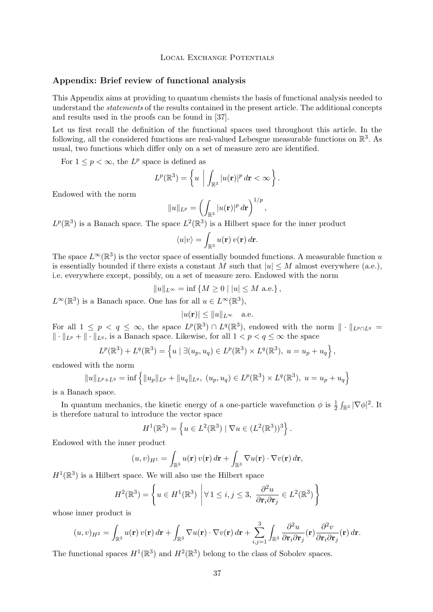# **Appendix: Brief review of functional analysis**

This Appendix aims at providing to quantum chemists the basis of functional analysis needed to understand the *statements* of the results contained in the present article. The additional concepts and results used in the proofs can be found in [\[37\]](#page-41-0).

Let us first recall the definition of the functional spaces used throughout this article. In the following, all the considered functions are real-valued Lebesgue measurable functions on  $\mathbb{R}^3$ . As usual, two functions which differ only on a set of measure zero are identified.

For  $1 \leq p < \infty$ , the  $L^p$  space is defined as

$$
L^{p}(\mathbb{R}^{3})=\left\{ u \mid \int_{\mathbb{R}^{3}}|u(\mathbf{r})|^{p} d\mathbf{r}<\infty\right\}.
$$

Endowed with the norm

$$
||u||_{L^p} = \left(\int_{\mathbb{R}^3} |u(\mathbf{r})|^p d\mathbf{r}\right)^{1/p},
$$

 $L^p(\mathbb{R}^3)$  is a Banach space. The space  $L^2(\mathbb{R}^3)$  is a Hilbert space for the inner product

$$
\langle u|v\rangle = \int_{\mathbb{R}^3} u(\mathbf{r}) v(\mathbf{r}) d\mathbf{r}.
$$

The space  $L^{\infty}(\mathbb{R}^3)$  is the vector space of essentially bounded functions. A measurable function u is essentially bounded if there exists a constant M such that  $|u| \leq M$  almost everywhere (a.e.), i.e. everywhere except, possibly, on a set of measure zero. Endowed with the norm

$$
||u||_{L^{\infty}} = \inf \{ M \ge 0 \mid |u| \le M \text{ a.e.} \},
$$

 $L^{\infty}(\mathbb{R}^{3})$  is a Banach space. One has for all  $u \in L^{\infty}(\mathbb{R}^{3})$ ,

$$
|u(\mathbf{r})| \le ||u||_{L^{\infty}} \quad \text{a.e.}
$$

For all  $1 \leq p \leq \infty$ , the space  $L^p(\mathbb{R}^3) \cap L^q(\mathbb{R}^3)$ , endowed with the norm  $\|\cdot\|_{L^p \cap L^q} =$  $\|\cdot\|_{L^p} + \|\cdot\|_{L^q}$ , is a Banach space. Likewise, for all  $1 < p < q \leq \infty$  the space

$$
L^{p}(\mathbb{R}^{3}) + L^{q}(\mathbb{R}^{3}) = \left\{ u \mid \exists (u_{p}, u_{q}) \in L^{p}(\mathbb{R}^{3}) \times L^{q}(\mathbb{R}^{3}), u = u_{p} + u_{q} \right\},\
$$

endowed with the norm

$$
||u||_{L^p+L^q} = \inf \{ ||u_p||_{L^p} + ||u_q||_{L^q}, (u_p, u_q) \in L^p(\mathbb{R}^3) \times L^q(\mathbb{R}^3), u = u_p + u_q \}
$$

is a Banach space.

In quantum mechanics, the kinetic energy of a one-particle wavefunction  $\phi$  is  $\frac{1}{2} \int_{\mathbb{R}^3} |\nabla \phi|^2$ . It is therefore natural to introduce the vector space

$$
H^{1}(\mathbb{R}^{3}) = \left\{ u \in L^{2}(\mathbb{R}^{3}) \mid \nabla u \in (L^{2}(\mathbb{R}^{3}))^{3} \right\}.
$$

Endowed with the inner product

$$
(u,v)_{H^1} = \int_{\mathbb{R}^3} u(\mathbf{r}) v(\mathbf{r}) d\mathbf{r} + \int_{\mathbb{R}^3} \nabla u(\mathbf{r}) \cdot \nabla v(\mathbf{r}) d\mathbf{r},
$$

 $H^1(\mathbb{R}^3)$  is a Hilbert space. We will also use the Hilbert space

$$
H^{2}(\mathbb{R}^{3}) = \left\{ u \in H^{1}(\mathbb{R}^{3}) \middle| \forall 1 \leq i, j \leq 3, \ \frac{\partial^{2} u}{\partial \mathbf{r}_{i} \partial \mathbf{r}_{j}} \in L^{2}(\mathbb{R}^{3}) \right\}
$$

whose inner product is

$$
(u,v)_{H^2} = \int_{\mathbb{R}^3} u(\mathbf{r}) v(\mathbf{r}) d\mathbf{r} + \int_{\mathbb{R}^3} \nabla u(\mathbf{r}) \cdot \nabla v(\mathbf{r}) d\mathbf{r} + \sum_{i,j=1}^3 \int_{\mathbb{R}^3} \frac{\partial^2 u}{\partial \mathbf{r}_i \partial \mathbf{r}_j}(\mathbf{r}) \frac{\partial^2 v}{\partial \mathbf{r}_i \partial \mathbf{r}_j}(\mathbf{r}) d\mathbf{r}.
$$

The functional spaces  $H^1(\mathbb{R}^3)$  and  $H^2(\mathbb{R}^3)$  belong to the class of Sobolev spaces.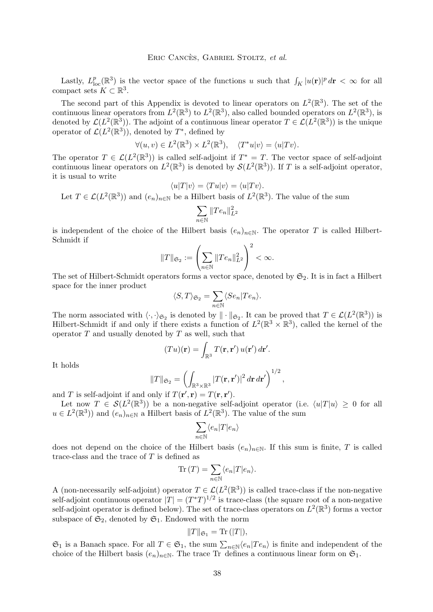Lastly,  $L_{\text{loc}}^p(\mathbb{R}^3)$  is the vector space of the functions u such that  $\int_K |u(\mathbf{r})|^p d\mathbf{r} < \infty$  for all compact sets  $K \subset \mathbb{R}^3$ .

The second part of this Appendix is devoted to linear operators on  $L^2(\mathbb{R}^3)$ . The set of the continuous linear operators from  $L^2(\mathbb{R}^3)$  to  $L^2(\mathbb{R}^3)$ , also called bounded operators on  $L^2(\mathbb{R}^3)$ , is denoted by  $\mathcal{L}(L^2(\mathbb{R}^3))$ . The adjoint of a continuous linear operator  $T \in \mathcal{L}(L^2(\mathbb{R}^3))$  is the unique operator of  $\mathcal{L}(L^2(\mathbb{R}^3))$ , denoted by  $T^*$ , defined by

$$
\forall (u, v) \in L^{2}(\mathbb{R}^{3}) \times L^{2}(\mathbb{R}^{3}), \quad \langle T^{*}u | v \rangle = \langle u | Tv \rangle.
$$

The operator  $T \in \mathcal{L}(L^2(\mathbb{R}^3))$  is called self-adjoint if  $T^* = T$ . The vector space of self-adjoint continuous linear operators on  $L^2(\mathbb{R}^3)$  is denoted by  $\mathcal{S}(L^2(\mathbb{R}^3))$ . If T is a self-adjoint operator, it is usual to write

$$
\langle u|T|v\rangle = \langle Tu|v\rangle = \langle u|Tv\rangle.
$$

Let  $T \in \mathcal{L}(L^2(\mathbb{R}^3))$  and  $(e_n)_{n \in \mathbb{N}}$  be a Hilbert basis of  $L^2(\mathbb{R}^3)$ . The value of the sum

$$
\sum_{n\in\mathbb{N}}\|Te_n\|_{L^2}^2
$$

is independent of the choice of the Hilbert basis  $(e_n)_{n\in\mathbb{N}}$ . The operator T is called Hilbert-Schmidt if

$$
||T||_{\mathfrak{S}_2} := \left(\sum_{n \in \mathbb{N}} ||Te_n||_{L^2}^2\right)^2 < \infty.
$$

The set of Hilbert-Schmidt operators forms a vector space, denoted by  $\mathfrak{S}_2$ . It is in fact a Hilbert space for the inner product

$$
\langle S, T \rangle_{\mathfrak{S}_2} = \sum_{n \in \mathbb{N}} \langle S e_n | T e_n \rangle.
$$

The norm associated with  $\langle \cdot, \cdot \rangle_{\mathfrak{S}_2}$  is denoted by  $\|\cdot\|_{\mathfrak{S}_2}$ . It can be proved that  $T \in \mathcal{L}(L^2(\mathbb{R}^3))$  is Hilbert-Schmidt if and only if there exists a function of  $L^2(\mathbb{R}^3 \times \mathbb{R}^3)$ , called the kernel of the operator  $T$  and usually denoted by  $T$  as well, such that

$$
(Tu)(\mathbf{r}) = \int_{\mathbb{R}^3} T(\mathbf{r}, \mathbf{r}') u(\mathbf{r}') d\mathbf{r}'.
$$

It holds

$$
||T||_{\mathfrak{S}_2} = \left(\int_{\mathbb{R}^3 \times \mathbb{R}^3} |T(\mathbf{r}, \mathbf{r}')|^2 d\mathbf{r} d\mathbf{r}'\right)^{1/2},
$$

and T is self-adjoint if and only if  $T(\mathbf{r}', \mathbf{r}) = T(\mathbf{r}, \mathbf{r}')$ .

Let now  $T \in \mathcal{S}(L^2(\mathbb{R}^3))$  be a non-negative self-adjoint operator (i.e.  $\langle u|T|u \rangle \geq 0$  for all  $u \in L^2(\mathbb{R}^3)$  and  $(e_n)_{n \in \mathbb{N}}$  a Hilbert basis of  $L^2(\mathbb{R}^3)$ . The value of the sum

$$
\sum_{n \in \mathbb{N}} \langle e_n | T | e_n \rangle
$$

does not depend on the choice of the Hilbert basis  $(e_n)_{n\in\mathbb{N}}$ . If this sum is finite, T is called trace-class and the trace of  $T$  is defined as

$$
\text{Tr}\left(T\right) = \sum_{n \in \mathbb{N}} \langle e_n | T | e_n \rangle.
$$

A (non-necessarily self-adjoint) operator  $T \in \mathcal{L}(L^2(\mathbb{R}^3))$  is called trace-class if the non-negative self-adjoint continuous operator  $|T| = (T^*T)^{1/2}$  is trace-class (the square root of a non-negative self-adjoint operator is defined below). The set of trace-class operators on  $L^2(\mathbb{R}^3)$  forms a vector subspace of  $\mathfrak{S}_2$ , denoted by  $\mathfrak{S}_1$ . Endowed with the norm

$$
||T||_{\mathfrak{S}_1} = \text{Tr}(|T|),
$$

 $\mathfrak{S}_1$  is a Banach space. For all  $T \in \mathfrak{S}_1$ , the sum  $\sum_{n \in \mathbb{N}} \langle e_n | Te_n \rangle$  is finite and independent of the choice of the Hilbert basis  $(e_n)_{n\in\mathbb{N}}$ . The trace Tr defines a continuous linear form on  $\mathfrak{S}_1$ .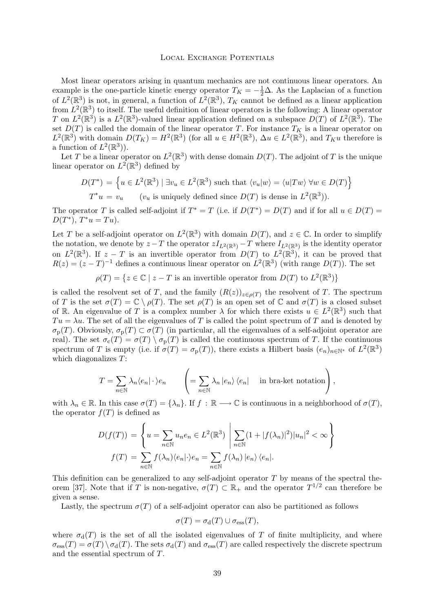Most linear operators arising in quantum mechanics are not continuous linear operators. An example is the one-particle kinetic energy operator  $T_K = -\frac{1}{2}\Delta$ . As the Laplacian of a function of  $L^2(\mathbb{R}^3)$  is not, in general, a function of  $L^2(\mathbb{R}^3)$ ,  $T_K$  cannot be defined as a linear application from  $L^2(\mathbb{R}^3)$  to itself. The useful definition of linear operators is the following: A linear operator T on  $L^2(\mathbb{R}^3)$  is a  $L^2(\mathbb{R}^3)$ -valued linear application defined on a subspace  $D(T)$  of  $L^2(\mathbb{R}^3)$ . The set  $D(T)$  is called the domain of the linear operator T. For instance  $T_K$  is a linear operator on  $L^2(\mathbb{R}^3)$  with domain  $D(T_K) = H^2(\mathbb{R}^3)$  (for all  $u \in H^2(\mathbb{R}^3)$ ,  $\Delta u \in L^2(\mathbb{R}^3)$ , and  $T_K u$  therefore is a function of  $L^2(\mathbb{R}^3)$ .

Let T be a linear operator on  $L^2(\mathbb{R}^3)$  with dense domain  $D(T)$ . The adjoint of T is the unique linear operator on  $L^2(\mathbb{R}^3)$  defined by

$$
D(T^*) = \left\{ u \in L^2(\mathbb{R}^3) \mid \exists v_u \in L^2(\mathbb{R}^3) \text{ such that } \langle v_u | w \rangle = \langle u | Tw \rangle \ \forall w \in D(T) \right\}
$$
  

$$
T^*u = v_u \qquad (v_u \text{ is uniquely defined since } D(T) \text{ is dense in } L^2(\mathbb{R}^3)).
$$

The operator T is called self-adjoint if  $T^* = T$  (i.e. if  $D(T^*) = D(T)$  and if for all  $u \in D(T)$  $D(T^*), T^*u = Tu$ .

Let T be a self-adjoint operator on  $L^2(\mathbb{R}^3)$  with domain  $D(T)$ , and  $z \in \mathbb{C}$ . In order to simplify the notation, we denote by  $z-T$  the operator  $zI_{L^2(\mathbb{R}^3)} - T$  where  $I_{L^2(\mathbb{R}^3)}$  is the identity operator on  $L^2(\mathbb{R}^3)$ . If  $z-T$  is an invertible operator from  $D(T)$  to  $L^2(\mathbb{R}^3)$ , it can be proved that  $R(z) = (z - T)^{-1}$  defines a continuous linear operator on  $L^2(\mathbb{R}^3)$  (with range  $D(T)$ ). The set

 $\rho(T) = \{ z \in \mathbb{C} \mid z - T \text{ is an invertible operator from } D(T) \text{ to } L^2(\mathbb{R}^3) \}$ 

is called the resolvent set of T, and the family  $(R(z))_{z \in \rho(T)}$  the resolvent of T. The spectrum of T is the set  $\sigma(T) = \mathbb{C} \setminus \rho(T)$ . The set  $\rho(T)$  is an open set of  $\mathbb C$  and  $\sigma(T)$  is a closed subset of R. An eigenvalue of T is a complex number  $\lambda$  for which there exists  $u \in L^2(\mathbb{R}^3)$  such that  $Tu = \lambda u$ . The set of all the eigenvalues of T is called the point spectrum of T and is denoted by  $\sigma_{\rm p}(T)$ . Obviously,  $\sigma_{\rm p}(T) \subset \sigma(T)$  (in particular, all the eigenvalues of a self-adjoint operator are real). The set  $\sigma_c(T) = \sigma(T) \setminus \sigma_p(T)$  is called the continuous spectrum of T. If the continuous spectrum of T is empty (i.e. if  $\sigma(T) = \sigma_{\text{p}}(T)$ ), there exists a Hilbert basis  $(e_n)_{n \in \mathbb{N}^*}$  of  $L^2(\mathbb{R}^3)$ which diagonalizes T:

$$
T = \sum_{n \in \mathbb{N}} \lambda_n \langle e_n | \cdot \rangle e_n \qquad \left( = \sum_{n \in \mathbb{N}} \lambda_n |e_n\rangle \langle e_n | \text{ in bra-ket notation} \right),
$$

with  $\lambda_n \in \mathbb{R}$ . In this case  $\sigma(T) = {\lambda_n}$ . If  $f : \mathbb{R} \longrightarrow \mathbb{C}$  is continuous in a neighborhood of  $\sigma(T)$ , the operator  $f(T)$  is defined as

$$
D(f(T)) = \left\{ u = \sum_{n \in \mathbb{N}} u_n e_n \in L^2(\mathbb{R}^3) \middle| \sum_{n \in \mathbb{N}} (1 + |f(\lambda_n)|^2) |u_n|^2 < \infty \right\}
$$

$$
f(T) = \sum_{n \in \mathbb{N}} f(\lambda_n) \langle e_n | \cdot \rangle e_n = \sum_{n \in \mathbb{N}} f(\lambda_n) |e_n \rangle \langle e_n |.
$$

This definition can be generalized to any self-adjoint operator  $T$  by means of the spectral the-orem [\[37\]](#page-41-0). Note that if T is non-negative,  $\sigma(T) \subset \mathbb{R}_+$  and the operator  $T^{1/2}$  can therefore be given a sense.

Lastly, the spectrum  $\sigma(T)$  of a self-adjoint operator can also be partitioned as follows

$$
\sigma(T) = \sigma_{\rm d}(T) \cup \sigma_{\rm ess}(T),
$$

where  $\sigma_d(T)$  is the set of all the isolated eigenvalues of T of finite multiplicity, and where  $\sigma_{\rm ess}(T) = \sigma(T) \setminus \sigma_d(T)$ . The sets  $\sigma_d(T)$  and  $\sigma_{\rm ess}(T)$  are called respectively the discrete spectrum and the essential spectrum of T.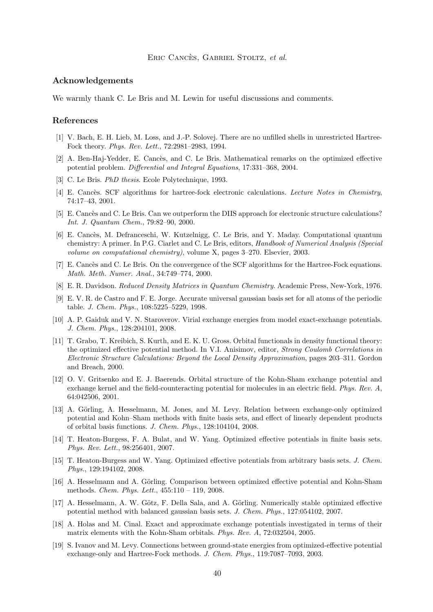## Eric Cancès, Gabriel Stoltz, *et al.*

## <span id="page-40-0"></span>**Acknowledgements**

We warmly thank C. Le Bris and M. Lewin for useful discussions and comments.

# **References**

- [1] V. Bach, E. H. Lieb, M. Loss, and J.-P. Solovej. There are no unfilled shells in unrestricted Hartree-Fock theory. *Phys. Rev. Lett.*, 72:2981–2983, 1994.
- [2] A. Ben-Haj-Yedder, E. Cancès, and C. Le Bris. Mathematical remarks on the optimized effective potential problem. *Differential and Integral Equations*, 17:331–368, 2004.
- [3] C. Le Bris. *PhD thesis*. Ecole Polytechnique, 1993.
- [4] E. Cancès. SCF algorithms for hartree-fock electronic calculations. *Lecture Notes in Chemistry*, 74:17–43, 2001.
- [5] E. Cancès and C. Le Bris. Can we outperform the DIIS approach for electronic structure calculations? *Int. J. Quantum Chem.*, 79:82–90, 2000.
- [6] E. Cancès, M. Defranceschi, W. Kutzelnigg, C. Le Bris, and Y. Maday. Computational quantum chemistry: A primer. In P.G. Ciarlet and C. Le Bris, editors, *Handbook of Numerical Analysis (Special volume on computational chemistry)*, volume X, pages 3–270. Elsevier, 2003.
- [7] E. Cancès and C. Le Bris. On the convergence of the SCF algorithms for the Hartree-Fock equations. *Math. Meth. Numer. Anal.*, 34:749–774, 2000.
- [8] E. R. Davidson. *Reduced Density Matrices in Quantum Chemistry*. Academic Press, New-York, 1976.
- [9] E. V. R. de Castro and F. E. Jorge. Accurate universal gaussian basis set for all atoms of the periodic table. *J. Chem. Phys.*, 108:5225–5229, 1998.
- [10] A. P. Gaiduk and V. N. Staroverov. Virial exchange energies from model exact-exchange potentials. *J. Chem. Phys.*, 128:204101, 2008.
- [11] T. Grabo, T. Kreibich, S. Kurth, and E. K. U. Gross. Orbital functionals in density functional theory: the optimized effective potential method. In V.I. Anisimov, editor, *Strong Coulomb Correlations in Electronic Structure Calculations: Beyond the Local Density Approximation*, pages 203–311. Gordon and Breach, 2000.
- [12] O. V. Gritsenko and E. J. Baerends. Orbital structure of the Kohn-Sham exchange potential and exchange kernel and the field-counteracting potential for molecules in an electric field. *Phys. Rev. A*, 64:042506, 2001.
- [13] A. Görling, A. Hesselmann, M. Jones, and M. Levy. Relation between exchange-only optimized potential and Kohn–Sham methods with finite basis sets, and effect of linearly dependent products of orbital basis functions. *J. Chem. Phys.*, 128:104104, 2008.
- [14] T. Heaton-Burgess, F. A. Bulat, and W. Yang. Optimized effective potentials in finite basis sets. *Phys. Rev. Lett.*, 98:256401, 2007.
- [15] T. Heaton-Burgess and W. Yang. Optimized effective potentials from arbitrary basis sets. *J. Chem. Phys.*, 129:194102, 2008.
- [16] A. Hesselmann and A. Görling. Comparison between optimized effective potential and Kohn-Sham methods. *Chem. Phys. Lett.*, 455:110 – 119, 2008.
- [17] A. Hesselmann, A. W. Götz, F. Della Sala, and A. Görling. Numerically stable optimized effective potential method with balanced gaussian basis sets. *J. Chem. Phys.*, 127:054102, 2007.
- [18] A. Holas and M. Cinal. Exact and approximate exchange potentials investigated in terms of their matrix elements with the Kohn-Sham orbitals. *Phys. Rev. A*, 72:032504, 2005.
- [19] S. Ivanov and M. Levy. Connections between ground-state energies from optimized-effective potential exchange-only and Hartree-Fock methods. *J. Chem. Phys.*, 119:7087–7093, 2003.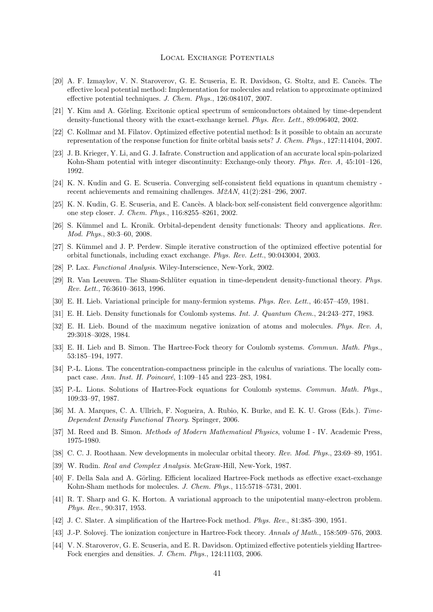- <span id="page-41-0"></span>[20] A. F. Izmaylov, V. N. Staroverov, G. E. Scuseria, E. R. Davidson, G. Stoltz, and E. Cancès. The effective local potential method: Implementation for molecules and relation to approximate optimized effective potential techniques. *J. Chem. Phys.*, 126:084107, 2007.
- [21] Y. Kim and A. Görling. Excitonic optical spectrum of semiconductors obtained by time-dependent density-functional theory with the exact-exchange kernel. *Phys. Rev. Lett.*, 89:096402, 2002.
- [22] C. Kollmar and M. Filatov. Optimized effective potential method: Is it possible to obtain an accurate representation of the response function for finite orbital basis sets? *J. Chem. Phys.*, 127:114104, 2007.
- [23] J. B. Krieger, Y. Li, and G. J. Iafrate. Construction and application of an accurate local spin-polarized Kohn-Sham potential with integer discontinuity: Exchange-only theory. *Phys. Rev. A*, 45:101–126, 1992.
- [24] K. N. Kudin and G. E. Scuseria. Converging self-consistent field equations in quantum chemistry recent achievements and remaining challenges. *M2AN*, 41(2):281–296, 2007.
- [25] K. N. Kudin, G. E. Scuseria, and E. Cancès. A black-box self-consistent field convergence algorithm: one step closer. *J. Chem. Phys.*, 116:8255–8261, 2002.
- [26] S. Kümmel and L. Kronik. Orbital-dependent density functionals: Theory and applications. *Rev. Mod. Phys.*, 80:3–60, 2008.
- [27] S. Kümmel and J. P. Perdew. Simple iterative construction of the optimized effective potential for orbital functionals, including exact exchange. *Phys. Rev. Lett.*, 90:043004, 2003.
- [28] P. Lax. *Functional Analysis*. Wiley-Interscience, New-York, 2002.
- [29] R. Van Leeuwen. The Sham-Schlüter equation in time-dependent density-functional theory. *Phys. Rev. Lett.*, 76:3610–3613, 1996.
- [30] E. H. Lieb. Variational principle for many-fermion systems. *Phys. Rev. Lett.*, 46:457–459, 1981.
- [31] E. H. Lieb. Density functionals for Coulomb systems. *Int. J. Quantum Chem.*, 24:243–277, 1983.
- [32] E. H. Lieb. Bound of the maximum negative ionization of atoms and molecules. *Phys. Rev. A*, 29:3018–3028, 1984.
- [33] E. H. Lieb and B. Simon. The Hartree-Fock theory for Coulomb systems. *Commun. Math. Phys.*, 53:185–194, 1977.
- [34] P.-L. Lions. The concentration-compactness principle in the calculus of variations. The locally compact case. *Ann. Inst. H. Poincaré*, 1:109–145 and 223–283, 1984.
- [35] P.-L. Lions. Solutions of Hartree-Fock equations for Coulomb systems. *Commun. Math. Phys.*, 109:33–97, 1987.
- [36] M. A. Marques, C. A. Ullrich, F. Nogueira, A. Rubio, K. Burke, and E. K. U. Gross (Eds.). *Time-Dependent Density Functional Theory*. Springer, 2006.
- [37] M. Reed and B. Simon. *Methods of Modern Mathematical Physics*, volume I IV. Academic Press, 1975-1980.
- [38] C. C. J. Roothaan. New developments in molecular orbital theory. *Rev. Mod. Phys.*, 23:69–89, 1951.
- [39] W. Rudin. *Real and Complex Analysis*. McGraw-Hill, New-York, 1987.
- [40] F. Della Sala and A. Görling. Efficient localized Hartree-Fock methods as effective exact-exchange Kohn-Sham methods for molecules. *J. Chem. Phys.*, 115:5718–5731, 2001.
- [41] R. T. Sharp and G. K. Horton. A variational approach to the unipotential many-electron problem. *Phys. Rev.*, 90:317, 1953.
- [42] J. C. Slater. A simplification of the Hartree-Fock method. *Phys. Rev.*, 81:385–390, 1951.
- [43] J.-P. Solovej. The ionization conjecture in Hartree-Fock theory. *Annals of Math.*, 158:509–576, 2003.
- [44] V. N. Staroverov, G. E. Scuseria, and E. R. Davidson. Optimized effective potentiels yielding Hartree-Fock energies and densities. *J. Chem. Phys.*, 124:11103, 2006.